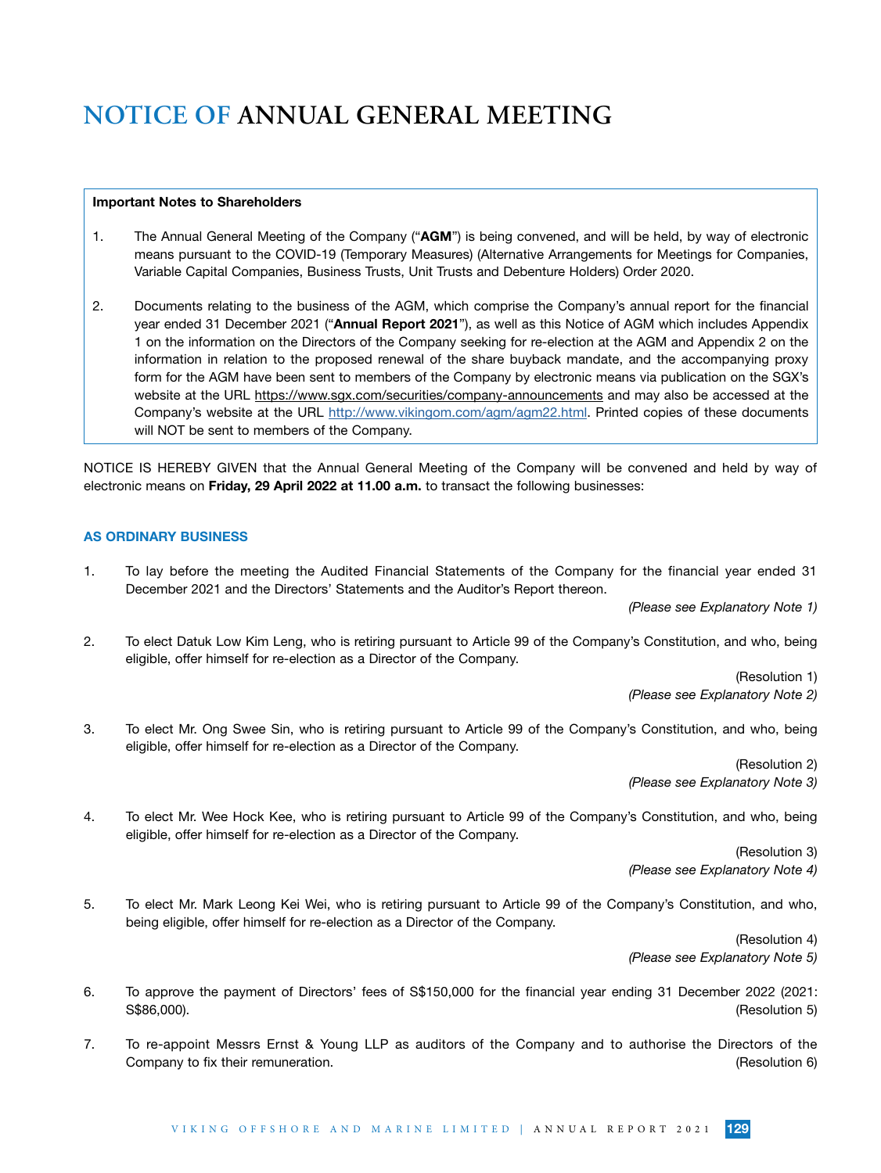#### Important Notes to Shareholders

- 1. The Annual General Meeting of the Company ("AGM") is being convened, and will be held, by way of electronic means pursuant to the COVID-19 (Temporary Measures) (Alternative Arrangements for Meetings for Companies, Variable Capital Companies, Business Trusts, Unit Trusts and Debenture Holders) Order 2020.
- 2. Documents relating to the business of the AGM, which comprise the Company's annual report for the financial year ended 31 December 2021 ("Annual Report 2021"), as well as this Notice of AGM which includes Appendix 1 on the information on the Directors of the Company seeking for re-election at the AGM and Appendix 2 on the information in relation to the proposed renewal of the share buyback mandate, and the accompanying proxy form for the AGM have been sent to members of the Company by electronic means via publication on the SGX's website at the URL https://www.sgx.com/securities/company-announcements and may also be accessed at the Company's website at the URL http://www.vikingom.com/agm/agm22.html. Printed copies of these documents will NOT be sent to members of the Company.

NOTICE IS HEREBY GIVEN that the Annual General Meeting of the Company will be convened and held by way of electronic means on Friday, 29 April 2022 at 11.00 a.m. to transact the following businesses:

### AS ORDINARY BUSINESS

1. To lay before the meeting the Audited Financial Statements of the Company for the financial year ended 31 December 2021 and the Directors' Statements and the Auditor's Report thereon.

 *(Please see Explanatory Note 1)*

2. To elect Datuk Low Kim Leng, who is retiring pursuant to Article 99 of the Company's Constitution, and who, being eligible, offer himself for re-election as a Director of the Company.

> (Resolution 1)  *(Please see Explanatory Note 2)*

3. To elect Mr. Ong Swee Sin, who is retiring pursuant to Article 99 of the Company's Constitution, and who, being eligible, offer himself for re-election as a Director of the Company.

> (Resolution 2)  *(Please see Explanatory Note 3)*

4. To elect Mr. Wee Hock Kee, who is retiring pursuant to Article 99 of the Company's Constitution, and who, being eligible, offer himself for re-election as a Director of the Company.

> (Resolution 3)  *(Please see Explanatory Note 4)*

5. To elect Mr. Mark Leong Kei Wei, who is retiring pursuant to Article 99 of the Company's Constitution, and who, being eligible, offer himself for re-election as a Director of the Company.

> (Resolution 4)  *(Please see Explanatory Note 5)*

- 6. To approve the payment of Directors' fees of S\$150,000 for the financial year ending 31 December 2022 (2021: S\$86,000). (Resolution 5)
- 7. To re-appoint Messrs Ernst & Young LLP as auditors of the Company and to authorise the Directors of the Company to fix their remuneration. Company to fix their remuneration.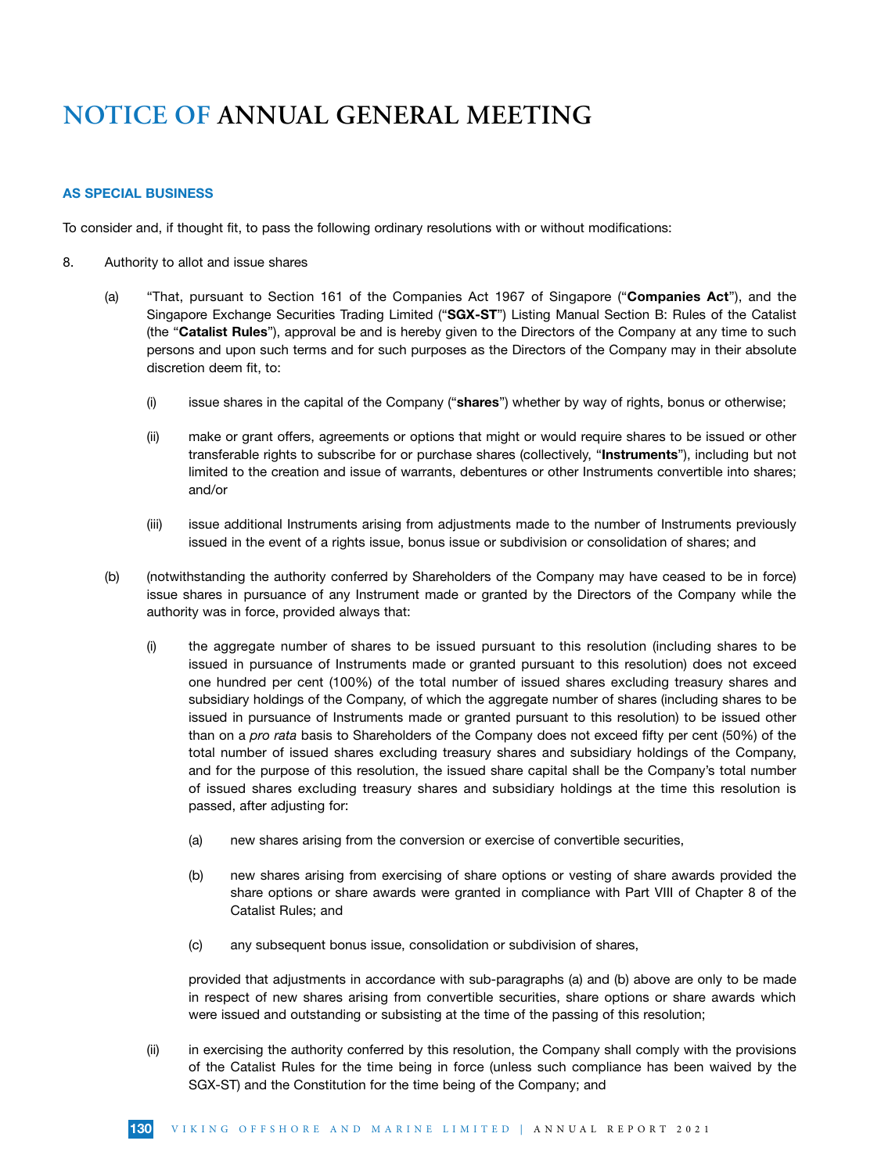### AS SPECIAL BUSINESS

To consider and, if thought fit, to pass the following ordinary resolutions with or without modifications:

- 8. Authority to allot and issue shares
	- (a) "That, pursuant to Section 161 of the Companies Act 1967 of Singapore ("Companies Act"), and the Singapore Exchange Securities Trading Limited ("SGX-ST") Listing Manual Section B: Rules of the Catalist (the "Catalist Rules"), approval be and is hereby given to the Directors of the Company at any time to such persons and upon such terms and for such purposes as the Directors of the Company may in their absolute discretion deem fit, to:
		- $(i)$  issue shares in the capital of the Company ("shares") whether by way of rights, bonus or otherwise;
		- (ii) make or grant offers, agreements or options that might or would require shares to be issued or other transferable rights to subscribe for or purchase shares (collectively, "Instruments"), including but not limited to the creation and issue of warrants, debentures or other Instruments convertible into shares; and/or
		- (iii) issue additional Instruments arising from adjustments made to the number of Instruments previously issued in the event of a rights issue, bonus issue or subdivision or consolidation of shares; and
	- (b) (notwithstanding the authority conferred by Shareholders of the Company may have ceased to be in force) issue shares in pursuance of any Instrument made or granted by the Directors of the Company while the authority was in force, provided always that:
		- (i) the aggregate number of shares to be issued pursuant to this resolution (including shares to be issued in pursuance of Instruments made or granted pursuant to this resolution) does not exceed one hundred per cent (100%) of the total number of issued shares excluding treasury shares and subsidiary holdings of the Company, of which the aggregate number of shares (including shares to be issued in pursuance of Instruments made or granted pursuant to this resolution) to be issued other than on a *pro rata* basis to Shareholders of the Company does not exceed fifty per cent (50%) of the total number of issued shares excluding treasury shares and subsidiary holdings of the Company, and for the purpose of this resolution, the issued share capital shall be the Company's total number of issued shares excluding treasury shares and subsidiary holdings at the time this resolution is passed, after adjusting for:
			- (a) new shares arising from the conversion or exercise of convertible securities,
			- (b) new shares arising from exercising of share options or vesting of share awards provided the share options or share awards were granted in compliance with Part VIII of Chapter 8 of the Catalist Rules; and
			- (c) any subsequent bonus issue, consolidation or subdivision of shares,

provided that adjustments in accordance with sub-paragraphs (a) and (b) above are only to be made in respect of new shares arising from convertible securities, share options or share awards which were issued and outstanding or subsisting at the time of the passing of this resolution;

(ii) in exercising the authority conferred by this resolution, the Company shall comply with the provisions of the Catalist Rules for the time being in force (unless such compliance has been waived by the SGX-ST) and the Constitution for the time being of the Company; and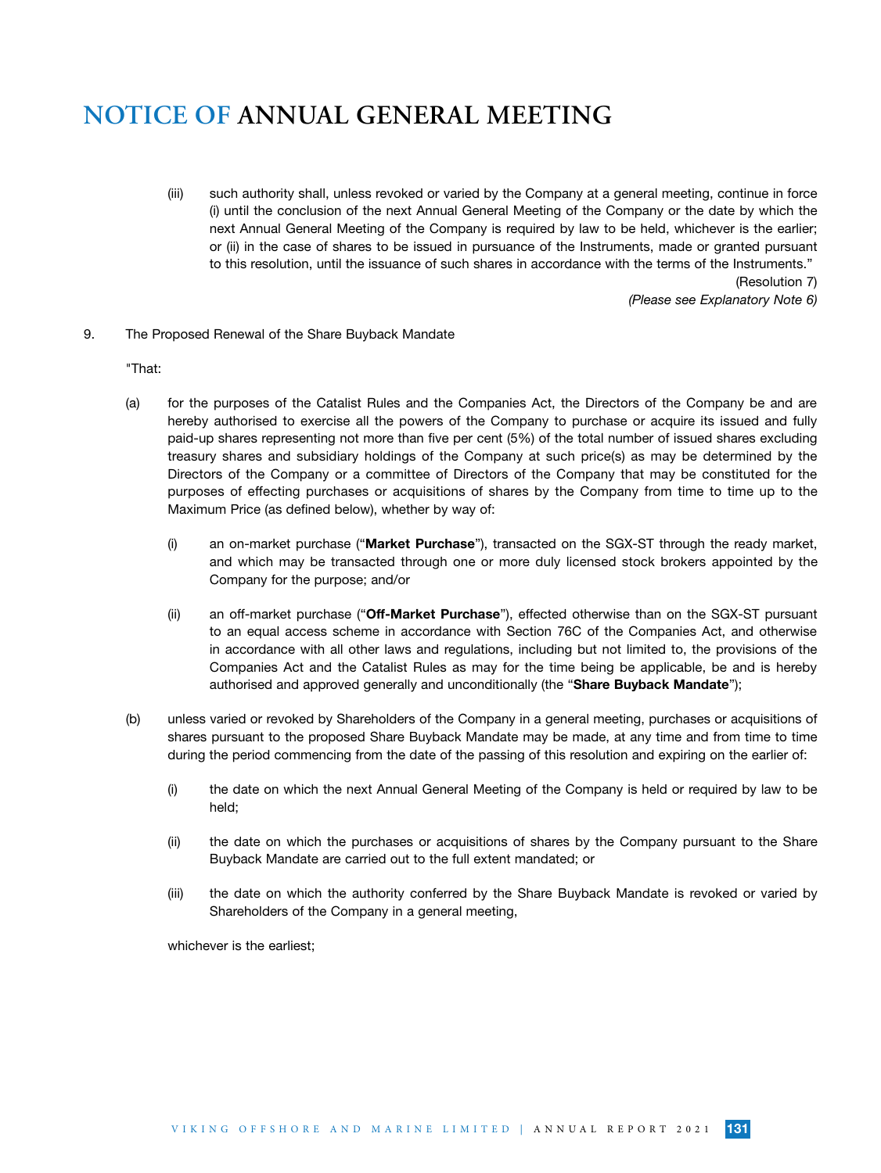(iii) such authority shall, unless revoked or varied by the Company at a general meeting, continue in force (i) until the conclusion of the next Annual General Meeting of the Company or the date by which the next Annual General Meeting of the Company is required by law to be held, whichever is the earlier; or (ii) in the case of shares to be issued in pursuance of the Instruments, made or granted pursuant to this resolution, until the issuance of such shares in accordance with the terms of the Instruments." (Resolution 7)

*(Please see Explanatory Note 6)*

9. The Proposed Renewal of the Share Buyback Mandate

"That:

- (a) for the purposes of the Catalist Rules and the Companies Act, the Directors of the Company be and are hereby authorised to exercise all the powers of the Company to purchase or acquire its issued and fully paid-up shares representing not more than five per cent (5%) of the total number of issued shares excluding treasury shares and subsidiary holdings of the Company at such price(s) as may be determined by the Directors of the Company or a committee of Directors of the Company that may be constituted for the purposes of effecting purchases or acquisitions of shares by the Company from time to time up to the Maximum Price (as defined below), whether by way of:
	- (i) an on-market purchase ("Market Purchase"), transacted on the SGX-ST through the ready market, and which may be transacted through one or more duly licensed stock brokers appointed by the Company for the purpose; and/or
	- (ii) an off-market purchase ("Off-Market Purchase"), effected otherwise than on the SGX-ST pursuant to an equal access scheme in accordance with Section 76C of the Companies Act, and otherwise in accordance with all other laws and regulations, including but not limited to, the provisions of the Companies Act and the Catalist Rules as may for the time being be applicable, be and is hereby authorised and approved generally and unconditionally (the "Share Buyback Mandate");
- (b) unless varied or revoked by Shareholders of the Company in a general meeting, purchases or acquisitions of shares pursuant to the proposed Share Buyback Mandate may be made, at any time and from time to time during the period commencing from the date of the passing of this resolution and expiring on the earlier of:
	- (i) the date on which the next Annual General Meeting of the Company is held or required by law to be held;
	- (ii) the date on which the purchases or acquisitions of shares by the Company pursuant to the Share Buyback Mandate are carried out to the full extent mandated; or
	- (iii) the date on which the authority conferred by the Share Buyback Mandate is revoked or varied by Shareholders of the Company in a general meeting,

whichever is the earliest;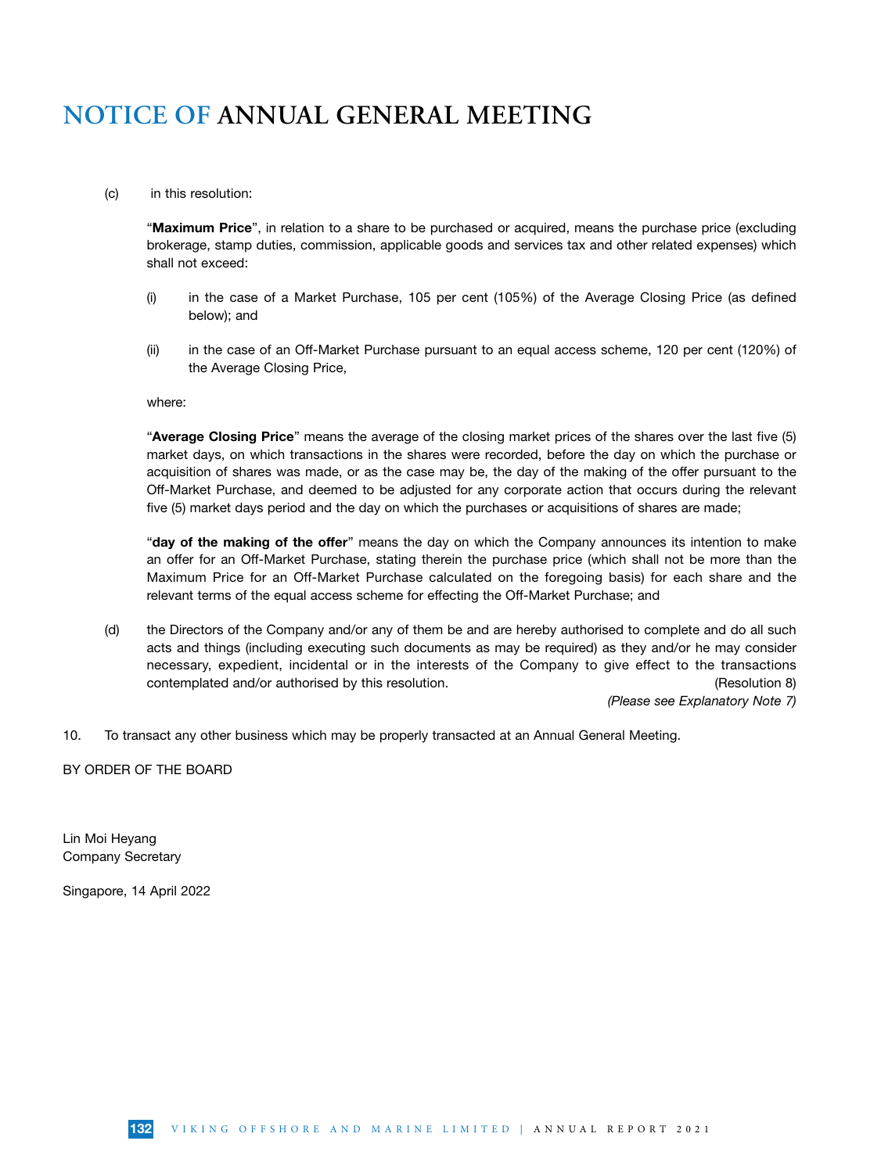### (c) in this resolution:

"Maximum Price", in relation to a share to be purchased or acquired, means the purchase price (excluding brokerage, stamp duties, commission, applicable goods and services tax and other related expenses) which shall not exceed:

- (i) in the case of a Market Purchase, 105 per cent (105%) of the Average Closing Price (as defined below); and
- (ii) in the case of an Off-Market Purchase pursuant to an equal access scheme, 120 per cent (120%) of the Average Closing Price,

where:

"Average Closing Price" means the average of the closing market prices of the shares over the last five (5) market days, on which transactions in the shares were recorded, before the day on which the purchase or acquisition of shares was made, or as the case may be, the day of the making of the offer pursuant to the Off-Market Purchase, and deemed to be adjusted for any corporate action that occurs during the relevant five (5) market days period and the day on which the purchases or acquisitions of shares are made;

"day of the making of the offer" means the day on which the Company announces its intention to make an offer for an Off-Market Purchase, stating therein the purchase price (which shall not be more than the Maximum Price for an Off-Market Purchase calculated on the foregoing basis) for each share and the relevant terms of the equal access scheme for effecting the Off-Market Purchase; and

(d) the Directors of the Company and/or any of them be and are hereby authorised to complete and do all such acts and things (including executing such documents as may be required) as they and/or he may consider necessary, expedient, incidental or in the interests of the Company to give effect to the transactions contemplated and/or authorised by this resolution. The contemplated and/or authorised by this resolution.

*(Please see Explanatory Note 7)*

10. To transact any other business which may be properly transacted at an Annual General Meeting.

BY ORDER OF THE BOARD

Lin Moi Heyang Company Secretary

Singapore, 14 April 2022

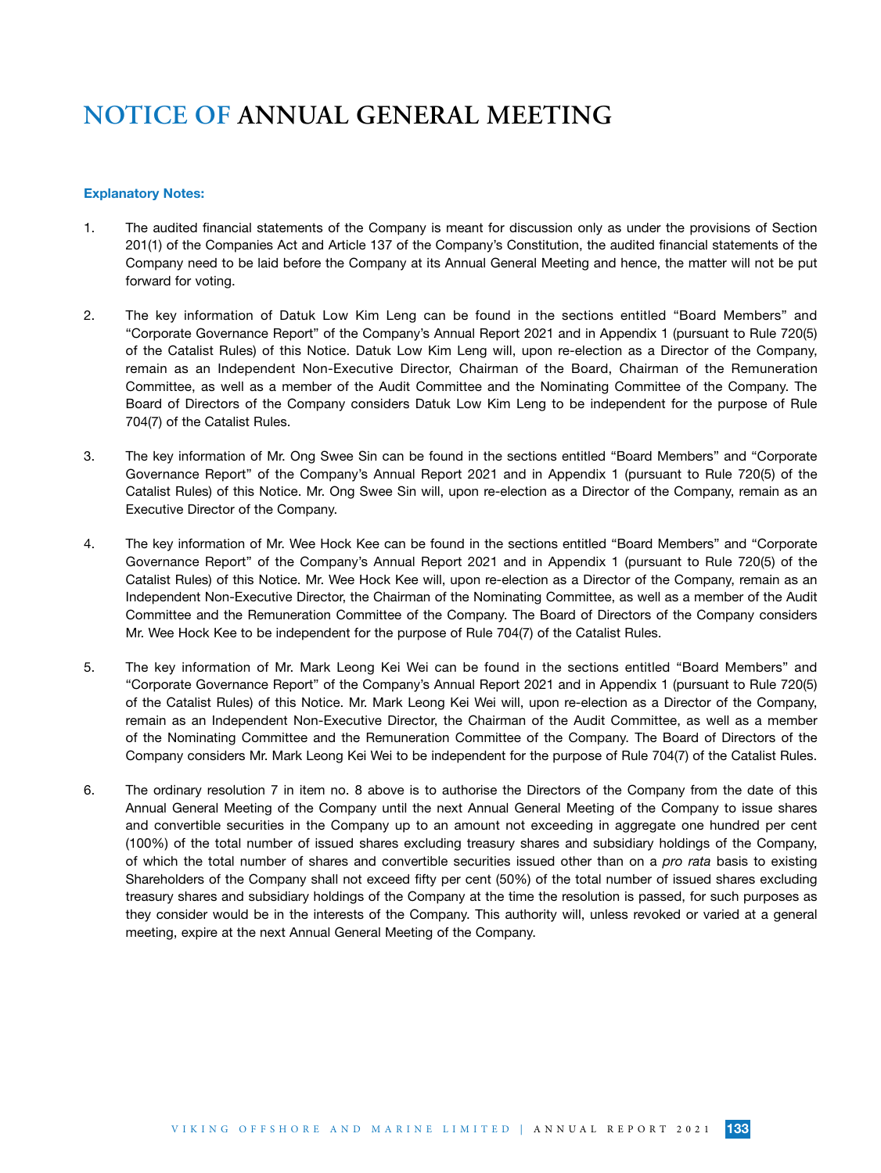#### Explanatory Notes:

- 1. The audited financial statements of the Company is meant for discussion only as under the provisions of Section 201(1) of the Companies Act and Article 137 of the Company's Constitution, the audited financial statements of the Company need to be laid before the Company at its Annual General Meeting and hence, the matter will not be put forward for voting.
- 2. The key information of Datuk Low Kim Leng can be found in the sections entitled "Board Members" and "Corporate Governance Report" of the Company's Annual Report 2021 and in Appendix 1 (pursuant to Rule 720(5) of the Catalist Rules) of this Notice. Datuk Low Kim Leng will, upon re-election as a Director of the Company, remain as an Independent Non-Executive Director, Chairman of the Board, Chairman of the Remuneration Committee, as well as a member of the Audit Committee and the Nominating Committee of the Company. The Board of Directors of the Company considers Datuk Low Kim Leng to be independent for the purpose of Rule 704(7) of the Catalist Rules.
- 3. The key information of Mr. Ong Swee Sin can be found in the sections entitled "Board Members" and "Corporate Governance Report" of the Company's Annual Report 2021 and in Appendix 1 (pursuant to Rule 720(5) of the Catalist Rules) of this Notice. Mr. Ong Swee Sin will, upon re-election as a Director of the Company, remain as an Executive Director of the Company.
- 4. The key information of Mr. Wee Hock Kee can be found in the sections entitled "Board Members" and "Corporate Governance Report" of the Company's Annual Report 2021 and in Appendix 1 (pursuant to Rule 720(5) of the Catalist Rules) of this Notice. Mr. Wee Hock Kee will, upon re-election as a Director of the Company, remain as an Independent Non-Executive Director, the Chairman of the Nominating Committee, as well as a member of the Audit Committee and the Remuneration Committee of the Company. The Board of Directors of the Company considers Mr. Wee Hock Kee to be independent for the purpose of Rule 704(7) of the Catalist Rules.
- 5. The key information of Mr. Mark Leong Kei Wei can be found in the sections entitled "Board Members" and "Corporate Governance Report" of the Company's Annual Report 2021 and in Appendix 1 (pursuant to Rule 720(5) of the Catalist Rules) of this Notice. Mr. Mark Leong Kei Wei will, upon re-election as a Director of the Company, remain as an Independent Non-Executive Director, the Chairman of the Audit Committee, as well as a member of the Nominating Committee and the Remuneration Committee of the Company. The Board of Directors of the Company considers Mr. Mark Leong Kei Wei to be independent for the purpose of Rule 704(7) of the Catalist Rules.
- 6. The ordinary resolution 7 in item no. 8 above is to authorise the Directors of the Company from the date of this Annual General Meeting of the Company until the next Annual General Meeting of the Company to issue shares and convertible securities in the Company up to an amount not exceeding in aggregate one hundred per cent (100%) of the total number of issued shares excluding treasury shares and subsidiary holdings of the Company, of which the total number of shares and convertible securities issued other than on a *pro rata* basis to existing Shareholders of the Company shall not exceed fifty per cent (50%) of the total number of issued shares excluding treasury shares and subsidiary holdings of the Company at the time the resolution is passed, for such purposes as they consider would be in the interests of the Company. This authority will, unless revoked or varied at a general meeting, expire at the next Annual General Meeting of the Company.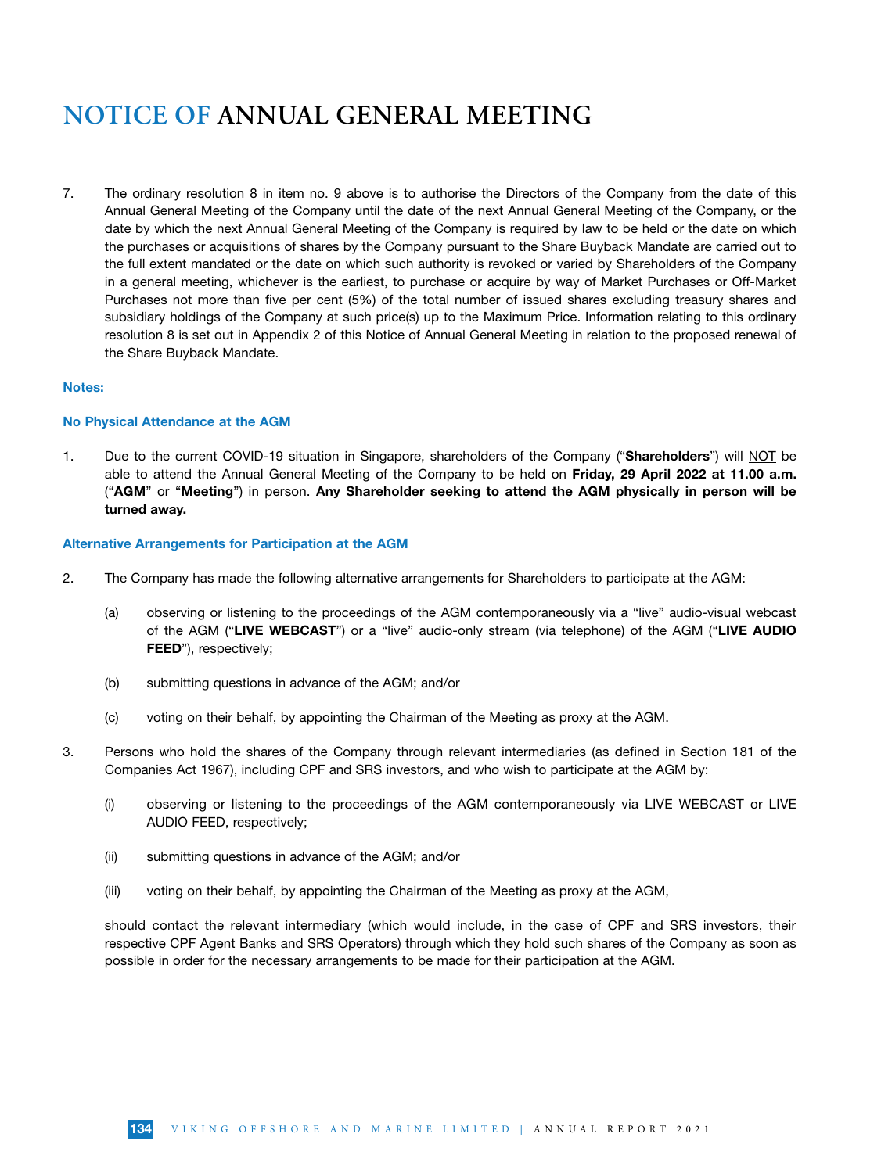7. The ordinary resolution 8 in item no. 9 above is to authorise the Directors of the Company from the date of this Annual General Meeting of the Company until the date of the next Annual General Meeting of the Company, or the date by which the next Annual General Meeting of the Company is required by law to be held or the date on which the purchases or acquisitions of shares by the Company pursuant to the Share Buyback Mandate are carried out to the full extent mandated or the date on which such authority is revoked or varied by Shareholders of the Company in a general meeting, whichever is the earliest, to purchase or acquire by way of Market Purchases or Off-Market Purchases not more than five per cent (5%) of the total number of issued shares excluding treasury shares and subsidiary holdings of the Company at such price(s) up to the Maximum Price. Information relating to this ordinary resolution 8 is set out in Appendix 2 of this Notice of Annual General Meeting in relation to the proposed renewal of the Share Buyback Mandate.

#### Notes:

### No Physical Attendance at the AGM

1. Due to the current COVID-19 situation in Singapore, shareholders of the Company ("Shareholders") will NOT be able to attend the Annual General Meeting of the Company to be held on Friday, 29 April 2022 at 11.00 a.m. ("AGM" or "Meeting") in person. Any Shareholder seeking to attend the AGM physically in person will be turned away.

#### Alternative Arrangements for Participation at the AGM

- 2. The Company has made the following alternative arrangements for Shareholders to participate at the AGM:
	- (a) observing or listening to the proceedings of the AGM contemporaneously via a "live" audio-visual webcast of the AGM ("LIVE WEBCAST") or a "live" audio-only stream (via telephone) of the AGM ("LIVE AUDIO FEED"), respectively;
	- (b) submitting questions in advance of the AGM; and/or
	- (c) voting on their behalf, by appointing the Chairman of the Meeting as proxy at the AGM.
- 3. Persons who hold the shares of the Company through relevant intermediaries (as defined in Section 181 of the Companies Act 1967), including CPF and SRS investors, and who wish to participate at the AGM by:
	- (i) observing or listening to the proceedings of the AGM contemporaneously via LIVE WEBCAST or LIVE AUDIO FEED, respectively;
	- (ii) submitting questions in advance of the AGM; and/or
	- (iii) voting on their behalf, by appointing the Chairman of the Meeting as proxy at the AGM,

should contact the relevant intermediary (which would include, in the case of CPF and SRS investors, their respective CPF Agent Banks and SRS Operators) through which they hold such shares of the Company as soon as possible in order for the necessary arrangements to be made for their participation at the AGM.

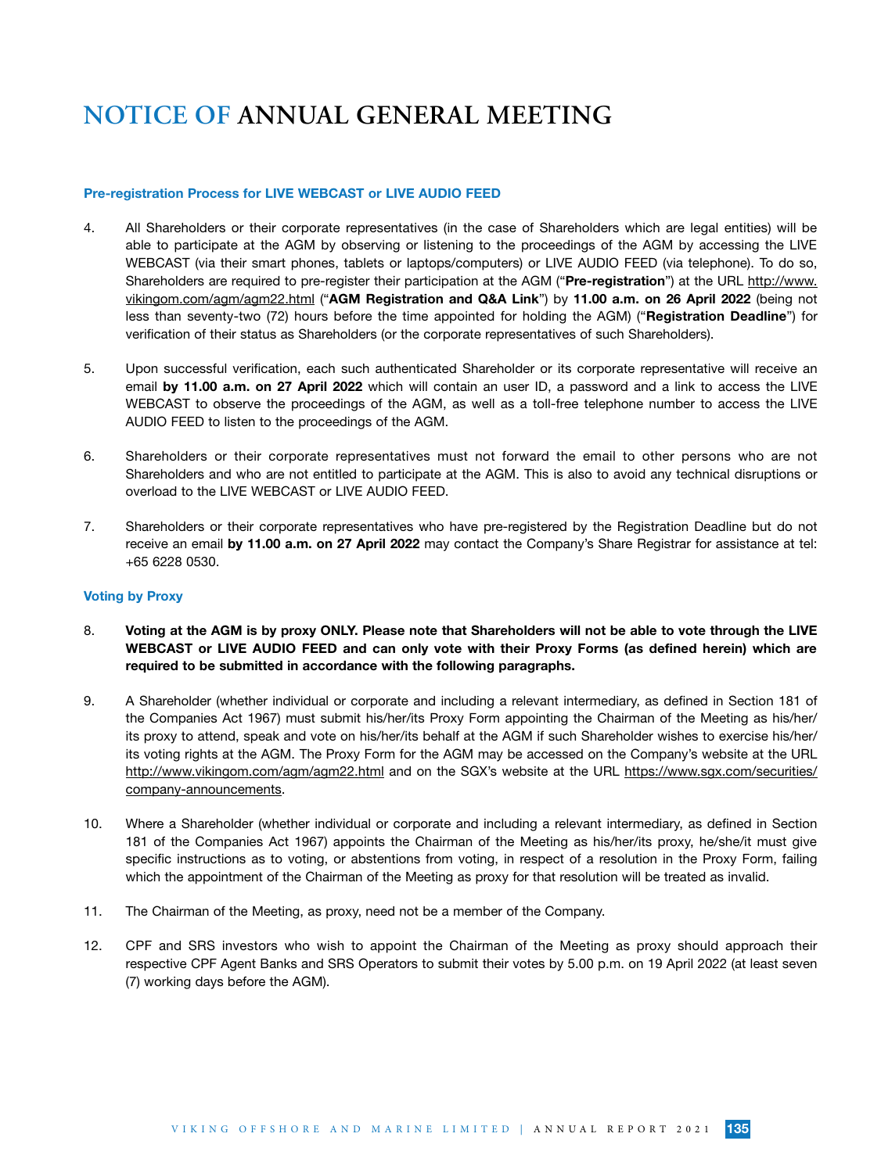#### Pre-registration Process for LIVE WEBCAST or LIVE AUDIO FEED

- 4. All Shareholders or their corporate representatives (in the case of Shareholders which are legal entities) will be able to participate at the AGM by observing or listening to the proceedings of the AGM by accessing the LIVE WEBCAST (via their smart phones, tablets or laptops/computers) or LIVE AUDIO FEED (via telephone). To do so, Shareholders are required to pre-register their participation at the AGM ("Pre-registration") at the URL http://www. vikingom.com/agm/agm22.html ("AGM Registration and Q&A Link") by 11.00 a.m. on 26 April 2022 (being not less than seventy-two (72) hours before the time appointed for holding the AGM) ("Registration Deadline") for verification of their status as Shareholders (or the corporate representatives of such Shareholders).
- 5. Upon successful verification, each such authenticated Shareholder or its corporate representative will receive an email by 11.00 a.m. on 27 April 2022 which will contain an user ID, a password and a link to access the LIVE WEBCAST to observe the proceedings of the AGM, as well as a toll-free telephone number to access the LIVE AUDIO FEED to listen to the proceedings of the AGM.
- 6. Shareholders or their corporate representatives must not forward the email to other persons who are not Shareholders and who are not entitled to participate at the AGM. This is also to avoid any technical disruptions or overload to the LIVE WEBCAST or LIVE AUDIO FEED.
- 7. Shareholders or their corporate representatives who have pre-registered by the Registration Deadline but do not receive an email by 11.00 a.m. on 27 April 2022 may contact the Company's Share Registrar for assistance at tel: +65 6228 0530.

### Voting by Proxy

- 8. Voting at the AGM is by proxy ONLY. Please note that Shareholders will not be able to vote through the LIVE WEBCAST or LIVE AUDIO FEED and can only vote with their Proxy Forms (as defined herein) which are required to be submitted in accordance with the following paragraphs.
- 9. A Shareholder (whether individual or corporate and including a relevant intermediary, as defined in Section 181 of the Companies Act 1967) must submit his/her/its Proxy Form appointing the Chairman of the Meeting as his/her/ its proxy to attend, speak and vote on his/her/its behalf at the AGM if such Shareholder wishes to exercise his/her/ its voting rights at the AGM. The Proxy Form for the AGM may be accessed on the Company's website at the URL http://www.vikingom.com/agm/agm22.html and on the SGX's website at the URL https://www.sgx.com/securities/ company-announcements.
- 10. Where a Shareholder (whether individual or corporate and including a relevant intermediary, as defined in Section 181 of the Companies Act 1967) appoints the Chairman of the Meeting as his/her/its proxy, he/she/it must give specific instructions as to voting, or abstentions from voting, in respect of a resolution in the Proxy Form, failing which the appointment of the Chairman of the Meeting as proxy for that resolution will be treated as invalid.
- 11. The Chairman of the Meeting, as proxy, need not be a member of the Company.
- 12. CPF and SRS investors who wish to appoint the Chairman of the Meeting as proxy should approach their respective CPF Agent Banks and SRS Operators to submit their votes by 5.00 p.m. on 19 April 2022 (at least seven (7) working days before the AGM).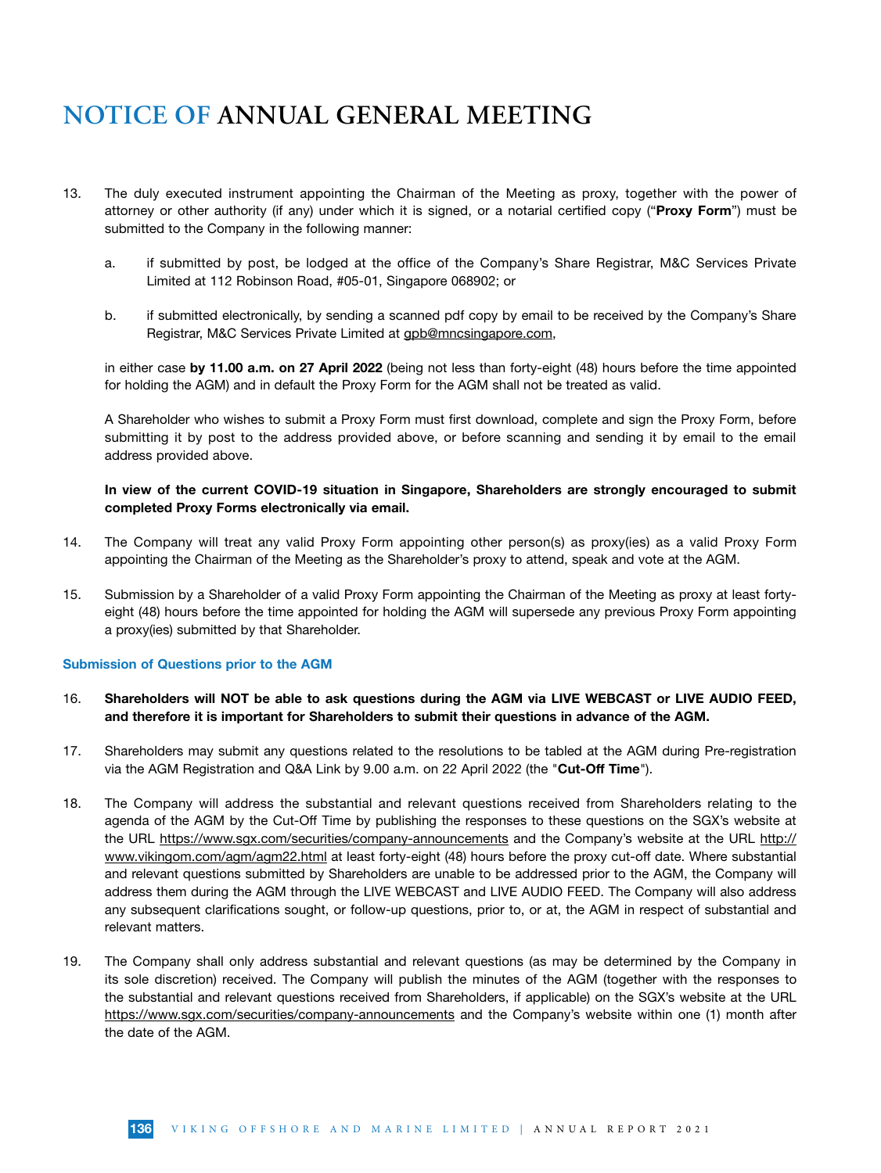- 13. The duly executed instrument appointing the Chairman of the Meeting as proxy, together with the power of attorney or other authority (if any) under which it is signed, or a notarial certified copy ("Proxy Form") must be submitted to the Company in the following manner:
	- a. if submitted by post, be lodged at the office of the Company's Share Registrar, M&C Services Private Limited at 112 Robinson Road, #05-01, Singapore 068902; or
	- b. if submitted electronically, by sending a scanned pdf copy by email to be received by the Company's Share Registrar, M&C Services Private Limited at gpb@mncsingapore.com,

in either case by 11.00 a.m. on 27 April 2022 (being not less than forty-eight (48) hours before the time appointed for holding the AGM) and in default the Proxy Form for the AGM shall not be treated as valid.

A Shareholder who wishes to submit a Proxy Form must first download, complete and sign the Proxy Form, before submitting it by post to the address provided above, or before scanning and sending it by email to the email address provided above.

### In view of the current COVID-19 situation in Singapore, Shareholders are strongly encouraged to submit completed Proxy Forms electronically via email.

- 14. The Company will treat any valid Proxy Form appointing other person(s) as proxy(ies) as a valid Proxy Form appointing the Chairman of the Meeting as the Shareholder's proxy to attend, speak and vote at the AGM.
- 15. Submission by a Shareholder of a valid Proxy Form appointing the Chairman of the Meeting as proxy at least fortyeight (48) hours before the time appointed for holding the AGM will supersede any previous Proxy Form appointing a proxy(ies) submitted by that Shareholder.

### Submission of Questions prior to the AGM

- 16. Shareholders will NOT be able to ask questions during the AGM via LIVE WEBCAST or LIVE AUDIO FEED, and therefore it is important for Shareholders to submit their questions in advance of the AGM.
- 17. Shareholders may submit any questions related to the resolutions to be tabled at the AGM during Pre-registration via the AGM Registration and Q&A Link by 9.00 a.m. on 22 April 2022 (the "Cut-Off Time").
- 18. The Company will address the substantial and relevant questions received from Shareholders relating to the agenda of the AGM by the Cut-Off Time by publishing the responses to these questions on the SGX's website at the URL https://www.sgx.com/securities/company-announcements and the Company's website at the URL http:// www.vikingom.com/agm/agm22.html at least forty-eight (48) hours before the proxy cut-off date. Where substantial and relevant questions submitted by Shareholders are unable to be addressed prior to the AGM, the Company will address them during the AGM through the LIVE WEBCAST and LIVE AUDIO FEED. The Company will also address any subsequent clarifications sought, or follow-up questions, prior to, or at, the AGM in respect of substantial and relevant matters.
- 19. The Company shall only address substantial and relevant questions (as may be determined by the Company in its sole discretion) received. The Company will publish the minutes of the AGM (together with the responses to the substantial and relevant questions received from Shareholders, if applicable) on the SGX's website at the URL https://www.sgx.com/securities/company-announcements and the Company's website within one (1) month after the date of the AGM.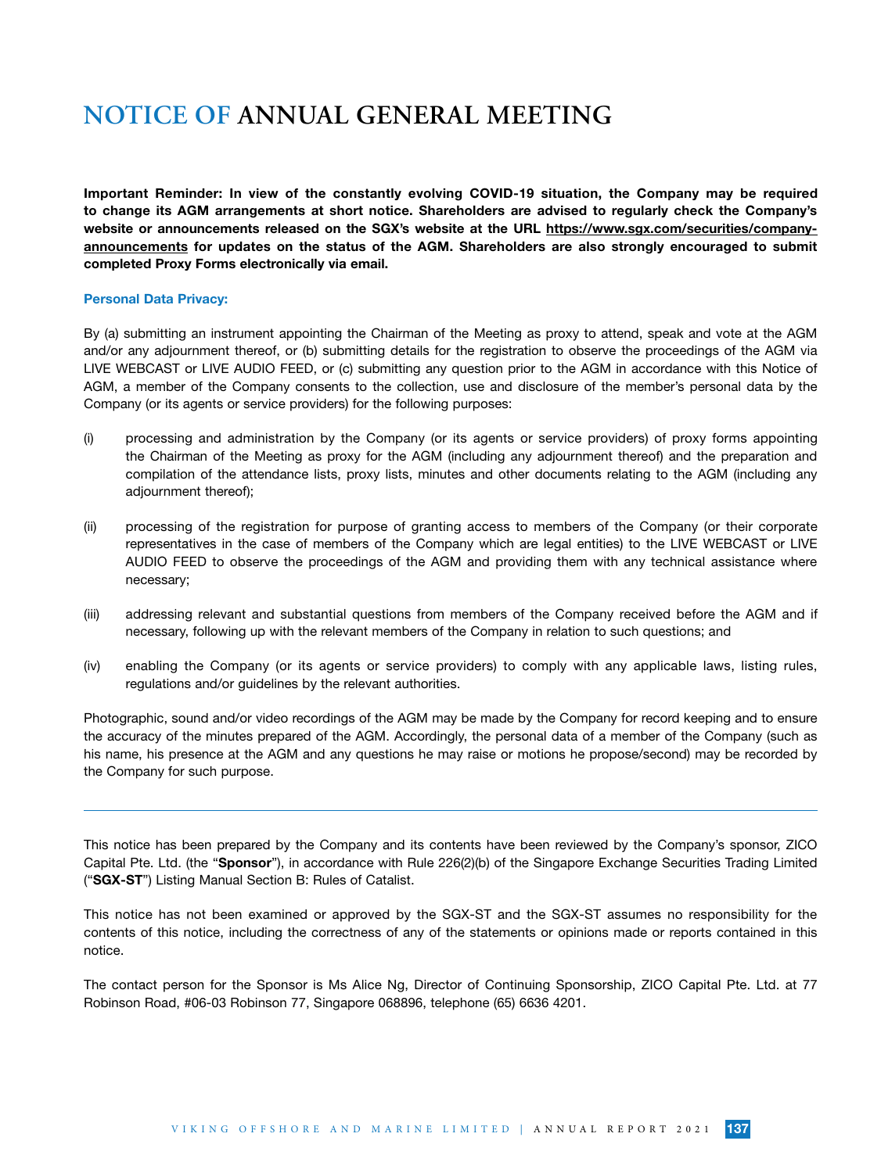Important Reminder: In view of the constantly evolving COVID-19 situation, the Company may be required to change its AGM arrangements at short notice. Shareholders are advised to regularly check the Company's website or announcements released on the SGX's website at the URL https://www.sgx.com/securities/companyannouncements for updates on the status of the AGM. Shareholders are also strongly encouraged to submit completed Proxy Forms electronically via email.

### Personal Data Privacy:

By (a) submitting an instrument appointing the Chairman of the Meeting as proxy to attend, speak and vote at the AGM and/or any adjournment thereof, or (b) submitting details for the registration to observe the proceedings of the AGM via LIVE WEBCAST or LIVE AUDIO FEED, or (c) submitting any question prior to the AGM in accordance with this Notice of AGM, a member of the Company consents to the collection, use and disclosure of the member's personal data by the Company (or its agents or service providers) for the following purposes:

- (i) processing and administration by the Company (or its agents or service providers) of proxy forms appointing the Chairman of the Meeting as proxy for the AGM (including any adjournment thereof) and the preparation and compilation of the attendance lists, proxy lists, minutes and other documents relating to the AGM (including any adjournment thereof);
- (ii) processing of the registration for purpose of granting access to members of the Company (or their corporate representatives in the case of members of the Company which are legal entities) to the LIVE WEBCAST or LIVE AUDIO FEED to observe the proceedings of the AGM and providing them with any technical assistance where necessary;
- (iii) addressing relevant and substantial questions from members of the Company received before the AGM and if necessary, following up with the relevant members of the Company in relation to such questions; and
- (iv) enabling the Company (or its agents or service providers) to comply with any applicable laws, listing rules, regulations and/or guidelines by the relevant authorities.

Photographic, sound and/or video recordings of the AGM may be made by the Company for record keeping and to ensure the accuracy of the minutes prepared of the AGM. Accordingly, the personal data of a member of the Company (such as his name, his presence at the AGM and any questions he may raise or motions he propose/second) may be recorded by the Company for such purpose.

This notice has been prepared by the Company and its contents have been reviewed by the Company's sponsor, ZICO Capital Pte. Ltd. (the "Sponsor"), in accordance with Rule 226(2)(b) of the Singapore Exchange Securities Trading Limited ("SGX-ST") Listing Manual Section B: Rules of Catalist.

This notice has not been examined or approved by the SGX-ST and the SGX-ST assumes no responsibility for the contents of this notice, including the correctness of any of the statements or opinions made or reports contained in this notice.

The contact person for the Sponsor is Ms Alice Ng, Director of Continuing Sponsorship, ZICO Capital Pte. Ltd. at 77 Robinson Road, #06-03 Robinson 77, Singapore 068896, telephone (65) 6636 4201.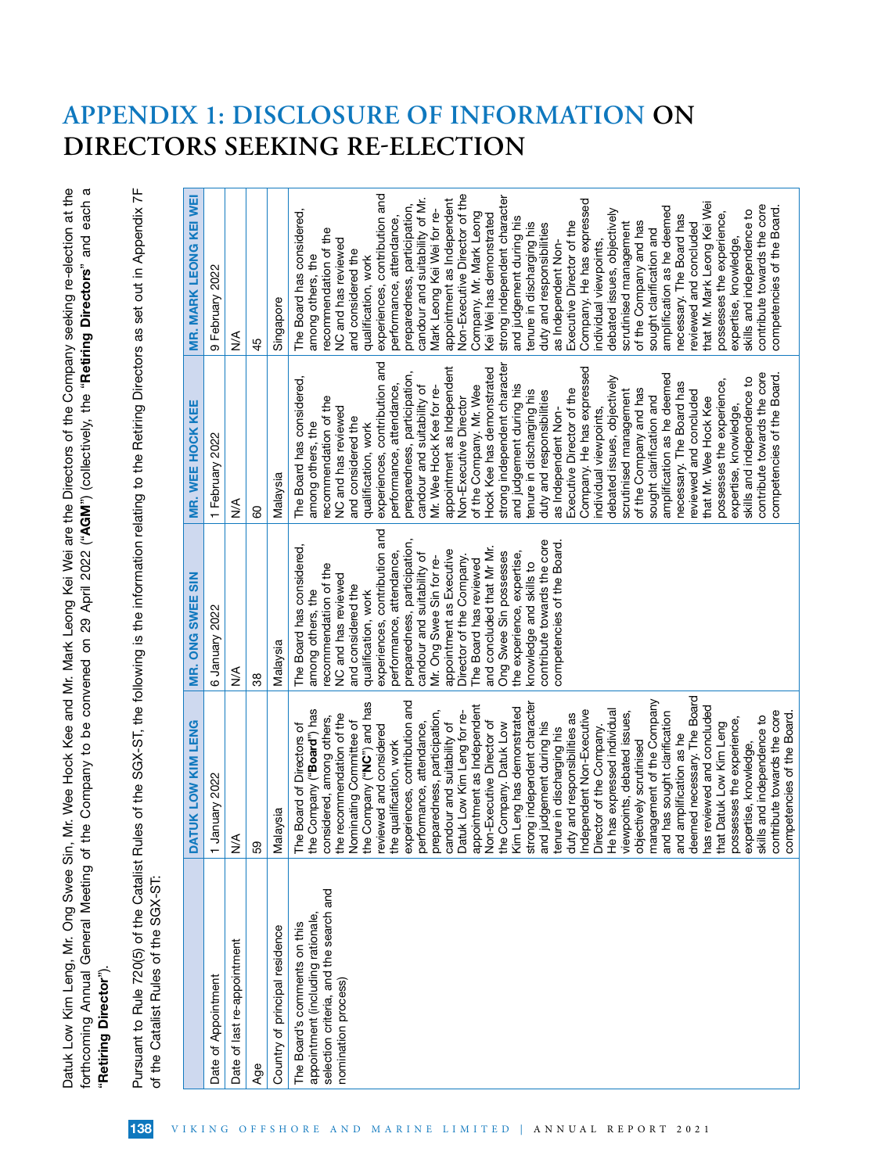Datuk Low Kim Leng, Mr. Ong Swee Sin, Mr. Wee Hock Kee and Mr. Mark Leong Kei Wei are the Directors of the Company seeking re-election at the forthcoming Annual General Meeting of the Company to be convened on 29 April 2022 ("AGM") (collectively, the "Retiring Directors" and each a forthcoming Annual General Meeting of the Company to be convened on 29 April 2022 ("AGM") (collectively, the "Retiring Directors" and each a Datuk Low Kim Leng, Mr. Ong Swee Sin, Mr. Wee Hock Kee and Mr. Mark Leong Kei Wei are the Directors of the Company seeking re-election at the "Retiring Director"). "Retiring Director").

Pursuant to Rule 720(5) of the Catalist Rules of the SGX-ST, the following is the information relating to the Retiring Directors as set out in Appendix 7F Pursuant to Rule 720(5) of the Catalist Rules of the SGX-ST, the following is the information relating to the Retiring Directors as set out in Appendix 7F of the Catalist Rules of the SGX-ST: of the Catalist Rules of the SGX-ST:

| Malaysia<br>$\frac{1}{2}$<br>59<br>Country of principal residence<br>Date of last re-appointment<br>Date of Appointment<br>Age                    |                                                                                                                                                                                                                                                                                                                                                                                                                                                                                                                                                                                                                                                                                                                                                                                                                                                                                                                                                                                                                                                                                                                                                 | MR. ONG SWEE SIN                                                                                                                                                                                                                                                                                                                                                                                                                                                                                                                                                  | MR. WEE HOCK KEE                                                                                                                                                                                                                                                                                                                                                                                                                                                                                                                                                                                                                                                                                                                                                                                                                                                                                                                                                                                                                 | MR. MARK LEONG KEI WEI                                                                                                                                                                                                                                                                                                                                                                                                                                                                                                                                                                                                                                                                                                                                                                                                                                                                                                                                                                                                                             |
|---------------------------------------------------------------------------------------------------------------------------------------------------|-------------------------------------------------------------------------------------------------------------------------------------------------------------------------------------------------------------------------------------------------------------------------------------------------------------------------------------------------------------------------------------------------------------------------------------------------------------------------------------------------------------------------------------------------------------------------------------------------------------------------------------------------------------------------------------------------------------------------------------------------------------------------------------------------------------------------------------------------------------------------------------------------------------------------------------------------------------------------------------------------------------------------------------------------------------------------------------------------------------------------------------------------|-------------------------------------------------------------------------------------------------------------------------------------------------------------------------------------------------------------------------------------------------------------------------------------------------------------------------------------------------------------------------------------------------------------------------------------------------------------------------------------------------------------------------------------------------------------------|----------------------------------------------------------------------------------------------------------------------------------------------------------------------------------------------------------------------------------------------------------------------------------------------------------------------------------------------------------------------------------------------------------------------------------------------------------------------------------------------------------------------------------------------------------------------------------------------------------------------------------------------------------------------------------------------------------------------------------------------------------------------------------------------------------------------------------------------------------------------------------------------------------------------------------------------------------------------------------------------------------------------------------|----------------------------------------------------------------------------------------------------------------------------------------------------------------------------------------------------------------------------------------------------------------------------------------------------------------------------------------------------------------------------------------------------------------------------------------------------------------------------------------------------------------------------------------------------------------------------------------------------------------------------------------------------------------------------------------------------------------------------------------------------------------------------------------------------------------------------------------------------------------------------------------------------------------------------------------------------------------------------------------------------------------------------------------------------|
|                                                                                                                                                   | January 2022                                                                                                                                                                                                                                                                                                                                                                                                                                                                                                                                                                                                                                                                                                                                                                                                                                                                                                                                                                                                                                                                                                                                    | 6 January 2022                                                                                                                                                                                                                                                                                                                                                                                                                                                                                                                                                    | 1 February 2022                                                                                                                                                                                                                                                                                                                                                                                                                                                                                                                                                                                                                                                                                                                                                                                                                                                                                                                                                                                                                  | 9 February 2022                                                                                                                                                                                                                                                                                                                                                                                                                                                                                                                                                                                                                                                                                                                                                                                                                                                                                                                                                                                                                                    |
|                                                                                                                                                   |                                                                                                                                                                                                                                                                                                                                                                                                                                                                                                                                                                                                                                                                                                                                                                                                                                                                                                                                                                                                                                                                                                                                                 | ≸                                                                                                                                                                                                                                                                                                                                                                                                                                                                                                                                                                 | ⋚                                                                                                                                                                                                                                                                                                                                                                                                                                                                                                                                                                                                                                                                                                                                                                                                                                                                                                                                                                                                                                | ≸                                                                                                                                                                                                                                                                                                                                                                                                                                                                                                                                                                                                                                                                                                                                                                                                                                                                                                                                                                                                                                                  |
|                                                                                                                                                   |                                                                                                                                                                                                                                                                                                                                                                                                                                                                                                                                                                                                                                                                                                                                                                                                                                                                                                                                                                                                                                                                                                                                                 | 38                                                                                                                                                                                                                                                                                                                                                                                                                                                                                                                                                                | 80                                                                                                                                                                                                                                                                                                                                                                                                                                                                                                                                                                                                                                                                                                                                                                                                                                                                                                                                                                                                                               | 45                                                                                                                                                                                                                                                                                                                                                                                                                                                                                                                                                                                                                                                                                                                                                                                                                                                                                                                                                                                                                                                 |
|                                                                                                                                                   |                                                                                                                                                                                                                                                                                                                                                                                                                                                                                                                                                                                                                                                                                                                                                                                                                                                                                                                                                                                                                                                                                                                                                 | Malaysia                                                                                                                                                                                                                                                                                                                                                                                                                                                                                                                                                          | Malaysia                                                                                                                                                                                                                                                                                                                                                                                                                                                                                                                                                                                                                                                                                                                                                                                                                                                                                                                                                                                                                         | Singapore                                                                                                                                                                                                                                                                                                                                                                                                                                                                                                                                                                                                                                                                                                                                                                                                                                                                                                                                                                                                                                          |
| Ō<br>Ō<br>w<br>selection criteria, and the search and<br>appointment (including rationale,<br>The Board's comments on this<br>nomination process) | eemed necessary. The Board<br>objectively scrutinised<br>management of the Company<br>and has sought clarification<br>and amplification as he<br>deemed necessary. The Board<br>has reviewed and concluded<br>the qualification, work<br>experiences, contribution and<br>performance, attendance,<br>preparedness, participation,<br>candour and suitability of<br>Datuk Low Kim Leng for re-<br>appointment as Independent<br>Non-Executive Director of<br>the Company ("NC") and has<br>strong independent character<br>the Company. Datuk Low<br>Kim Leng has demonstrated<br>duty and responsibilities as<br>Independent Non-Executive<br>Director of the Company.<br>He has expressed individual<br>the Company ("Board") has<br>ontribute towards the core<br>viewpoints, debated issues,<br>the recommendation of the<br>ompetencies of the Board<br>kills and independence to<br>considered, among others,<br>possesses the experience,<br>expertise, knowledge,<br>Nominating Committee of<br>and judgement during his<br>that Datuk Low Kim Leng<br>he Board of Directors of<br>reviewed and considered<br>tenure in discharging his | experiences, contribution and<br>preparedness, participation,<br>contribute towards the core<br>competencies of the Board.<br>The Board has considered,<br>and concluded that Mr Mr.<br>appointment as Executive<br>performance, attendance,<br>Ong Swee Sin possesses<br>the experience, expertise,<br>candour and suitability of<br>Director of the Company.<br>Mr. Ong Swee Sin for re-<br>The Board has reviewed<br>knowledge and skills to<br>recommendation of the<br>NC and has reviewed<br>and considered the<br>among others, the<br>qualification, work | experiences, contribution and<br>strong independent character<br>appointment as Independent<br>Company. He has expressed<br>Hock Kee has demonstrated<br>preparedness, participation,<br>contribute towards the core<br>amplification as he deemed<br>competencies of the Board.<br>skills and independence to<br>The Board has considered,<br>debated issues, objectively<br>possesses the experience,<br>necessary. The Board has<br>and judgement during his<br>performance, attendance,<br>of the Company. Mr. Wee<br>candour and suitability of<br>Mr. Wee Hock Kee for re-<br>of the Company and has<br>Executive Director of the<br>scrutinised management<br>tenure in discharging his<br>duty and responsibilities<br>reviewed and concluded<br>recommendation of the<br>Non-Executive Director<br>sought clarification and<br>that Mr. Wee Hock Kee<br>expertise, knowledge,<br>NC and has reviewed<br>as Independent Non-<br>individual viewpoints,<br>and considered the<br>among others, the<br>qualification, work | experiences, contribution and<br>Non-Executive Director of the<br>strong independent character<br>candour and suitability of Mr.<br>appointment as Independent<br>Company. He has expressed<br>that Mr. Mark Leong Kei Wei<br>preparedness, participation,<br>contribute towards the core<br>competencies of the Board.<br>amplification as he deemed<br>Mark Leong Kei Wei for re-<br>skills and independence to<br>debated issues, objectively<br>The Board has considered,<br>possesses the experience,<br>Company. Mr. Mark Leong<br>Kei Wei has demonstrated<br>necessary. The Board has<br>performance, attendance,<br>and judgement during his<br>of the Company and has<br>Executive Director of the<br>scrutinised management<br>tenure in discharging his<br>reviewed and concluded<br>duty and responsibilities<br>recommendation of the<br>sought clarification and<br>expertise, knowledge,<br>NC and has reviewed<br>as Independent Non-<br>individual viewpoints,<br>and considered the<br>among others, the<br>qualification, work |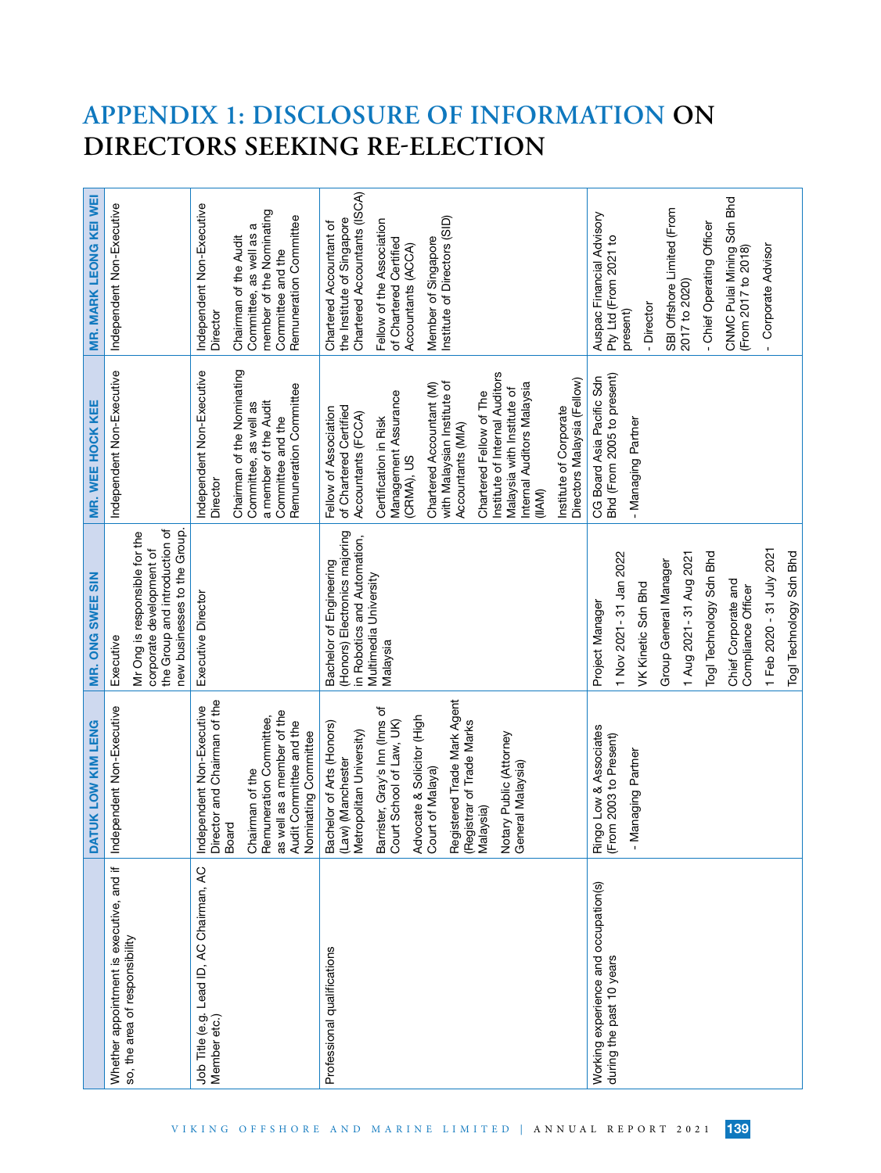|                                                                            | DATUK LOW KIM LENG                                                                                                                                                                                                                                                                                                  | MR. ONG SWEE SIN                                                                                                                                                                                                                                   | MR. WEE HOCK KEE                                                                                                                                                                                                                                                                                                                                                                                                 | MR. MARK LEONG KEI WEI                                                                                                                                                                                                            |
|----------------------------------------------------------------------------|---------------------------------------------------------------------------------------------------------------------------------------------------------------------------------------------------------------------------------------------------------------------------------------------------------------------|----------------------------------------------------------------------------------------------------------------------------------------------------------------------------------------------------------------------------------------------------|------------------------------------------------------------------------------------------------------------------------------------------------------------------------------------------------------------------------------------------------------------------------------------------------------------------------------------------------------------------------------------------------------------------|-----------------------------------------------------------------------------------------------------------------------------------------------------------------------------------------------------------------------------------|
| Whether appointment is executive, and if<br>so, the area of responsibility | Independent Non-Executive                                                                                                                                                                                                                                                                                           | the Group and introduction of<br>new businesses to the Group.<br>Mr Ong is responsible for the<br>corporate development of<br>Executive                                                                                                            | Independent Non-Executive                                                                                                                                                                                                                                                                                                                                                                                        | Independent Non-Executive                                                                                                                                                                                                         |
| Job Title (e.g. Lead ID, AC Chairman, AC<br>Member etc.)                   | Director and Chairman of the<br>Independent Non-Executive<br>as well as a member of the<br>Remuneration Committee,<br>Audit Committee and the<br>Nominating Committee<br>Chairman of the<br>Board                                                                                                                   | Executive Director                                                                                                                                                                                                                                 | Chairman of the Nominating<br>Independent Non-Executive<br>Remuneration Committee<br>a member of the Audit<br>Committee, as well as<br>Committee and the<br>Director                                                                                                                                                                                                                                             | Independent Non-Executive<br>member of the Nominating<br>Remuneration Committee<br>Committee, as well as a<br>Chairman of the Audit<br>Committee and the<br>Director                                                              |
| Professional qualifications                                                | Registered Trade Mark Agent<br>Barrister, Gray's Inn (Inns of<br>Court School of Law, UK)<br>Advocate & Solicitor (High<br>(Registrar of Trade Marks<br>Bachelor of Arts (Honors)<br>Metropolitan University)<br>Notary Public (Attorney<br>(Law) (Manchester<br>General Malaysia)<br>Court of Malaya)<br>Malaysia) | (Honors) Electronics majoring<br>in Robotics and Automation,<br>Bachelor of Engineering<br>Multimedia University<br>Malaysia                                                                                                                       | Institute of Internal Auditors<br>Directors Malaysia (Fellow)<br>with Malaysian Institute of<br>Chartered Accountant (M)<br>Internal Auditors Malaysia<br>Malaysia with Institute of<br>Management Assurance<br>Chartered Fellow of The<br>Institute of Corporate<br>of Chartered Certified<br>Fellow of Association<br>Accountants (FCCA)<br>Certification in Risk<br>Accountants (MIA)<br>(CRMA), US<br>(IIAM) | Chartered Accountants (ISCA)<br>Institute of Directors (SID)<br>the Institute of Singapore<br>Fellow of the Association<br>Chartered Accountant of<br>Member of Singapore<br>of Chartered Certified<br>Accountants (ACCA)         |
| Working experience and occupation(s)<br>during the past 10 years           | Ringo Low & Associates<br>(From 2003 to Present)<br>- Managing Partner                                                                                                                                                                                                                                              | 1 Feb 2020 - 31 July 2021<br>1 Aug 2021-31 Aug 2021<br>Togl Technology Sdn Bhd<br>Togl Technology Sdn Bhd<br>1 Nov 2021-31 Jan 2022<br>Group General Manager<br>Chief Corporate and<br>VK Kinetic Sdn Bhd<br>Compliance Officer<br>Project Manager | Bhd (From 2005 to present)<br>CG Board Asia Pacific Sdn<br>Managing Partner                                                                                                                                                                                                                                                                                                                                      | CNMC Pulai Mining Sdn Bhd<br>(From 2017 to 2018)<br>SBI Offshore Limited (From<br>Auspac Financial Advisory<br>- Chief Operating Officer<br>Pty Ltd (From 2021 to<br>Corporate Advisor<br>2017 to 2020)<br>- Director<br>present) |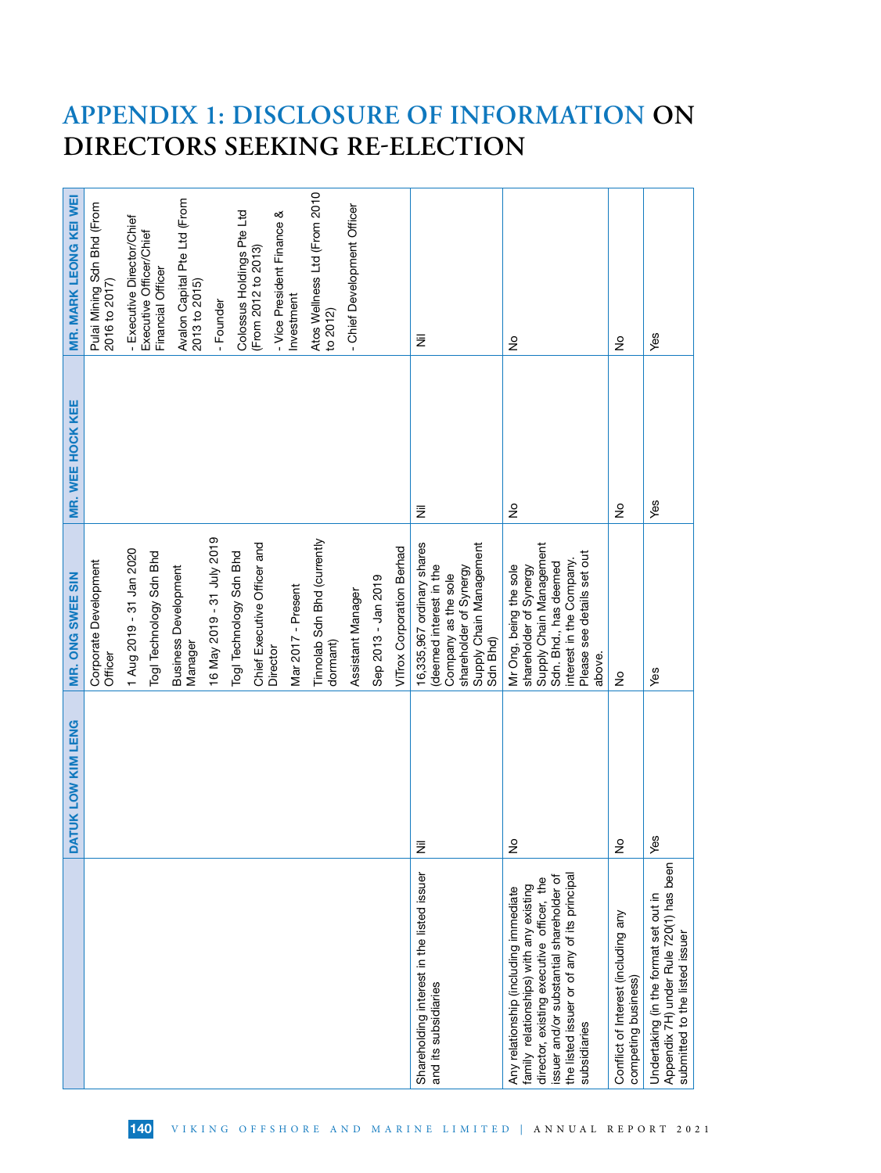|                                                                                                                                                                                                                                           | DATUK LOW KIM LENG  | MR. ONG SWEE SIN                                                                                                                                                         | MR. WEE HOCK KEE | MR. MARK LEONG KEI WEI                            |
|-------------------------------------------------------------------------------------------------------------------------------------------------------------------------------------------------------------------------------------------|---------------------|--------------------------------------------------------------------------------------------------------------------------------------------------------------------------|------------------|---------------------------------------------------|
|                                                                                                                                                                                                                                           |                     | Corporate Development<br>Officer                                                                                                                                         |                  | Pulai Mining Sdn Bhd (From<br>2016 to 2017)       |
|                                                                                                                                                                                                                                           |                     | 1 Aug 2019 - 31 Jan 2020                                                                                                                                                 |                  | - Executive Director/Chief                        |
|                                                                                                                                                                                                                                           |                     | Togl Technology Sdn Bhd                                                                                                                                                  |                  | Executive Officer/Chief<br>Financial Officer      |
|                                                                                                                                                                                                                                           |                     | <b>Business Development</b><br>Manager                                                                                                                                   |                  | Avalon Capital Pte Ltd (From<br>2013 to 2015)     |
|                                                                                                                                                                                                                                           |                     | 16 May 2019 - 31 July 2019                                                                                                                                               |                  | - Founder                                         |
|                                                                                                                                                                                                                                           |                     | Togl Technology Sdn Bhd                                                                                                                                                  |                  | Colossus Holdings Pte Ltd                         |
|                                                                                                                                                                                                                                           |                     | Chief Executive Officer and<br>Director                                                                                                                                  |                  | - Vice President Finance &<br>(From 2012 to 2013) |
|                                                                                                                                                                                                                                           |                     | Mar 2017 - Present                                                                                                                                                       |                  | Investment                                        |
|                                                                                                                                                                                                                                           |                     | Tinnolab Sdn Bhd (currently<br>dormant)                                                                                                                                  |                  | Atos Wellness Ltd (From 2010<br>to 2012)          |
|                                                                                                                                                                                                                                           |                     | Assistant Manager                                                                                                                                                        |                  | - Chief Development Officer                       |
|                                                                                                                                                                                                                                           |                     | Sep 2013 - Jan 2019                                                                                                                                                      |                  |                                                   |
|                                                                                                                                                                                                                                           |                     | ViTrox Corporation Berhad                                                                                                                                                |                  |                                                   |
| Shareholding interest in the listed issuer<br>and its subsidiaries                                                                                                                                                                        | Ē                   | 16,335,967 ordinary shares<br>Supply Chain Management<br>deemed interest in the<br>shareholder of Synergy<br>Company as the sole<br>Sdn Bhd)                             | ž                | Ξ                                                 |
| the listed issuer or of any of its principal<br>issuer and/or substantial shareholder of<br>director, existing executive officer, the<br>family relationships) with any existing<br>Any relationship (including immediate<br>subsidiaries | $\overline{\circ}$  | Supply Chain Management<br>Please see details set out<br>interest in the Company.<br>Sdn. Bhd., has deemed<br>Mr Ong, being the sole<br>shareholder of Synergy<br>above. | $\frac{1}{2}$    | $\frac{1}{2}$                                     |
| Conflict of Interest (including any<br>competing business)                                                                                                                                                                                | $\overline{a}$<br>∠ | ş                                                                                                                                                                        | $\frac{1}{2}$    | $\frac{1}{2}$                                     |
| Appendix 7H) under Rule 720(1) has been<br>Undertaking (in the format set out in<br>submitted to the listed issuer                                                                                                                        | G)                  | Yes                                                                                                                                                                      | yes              | Yes                                               |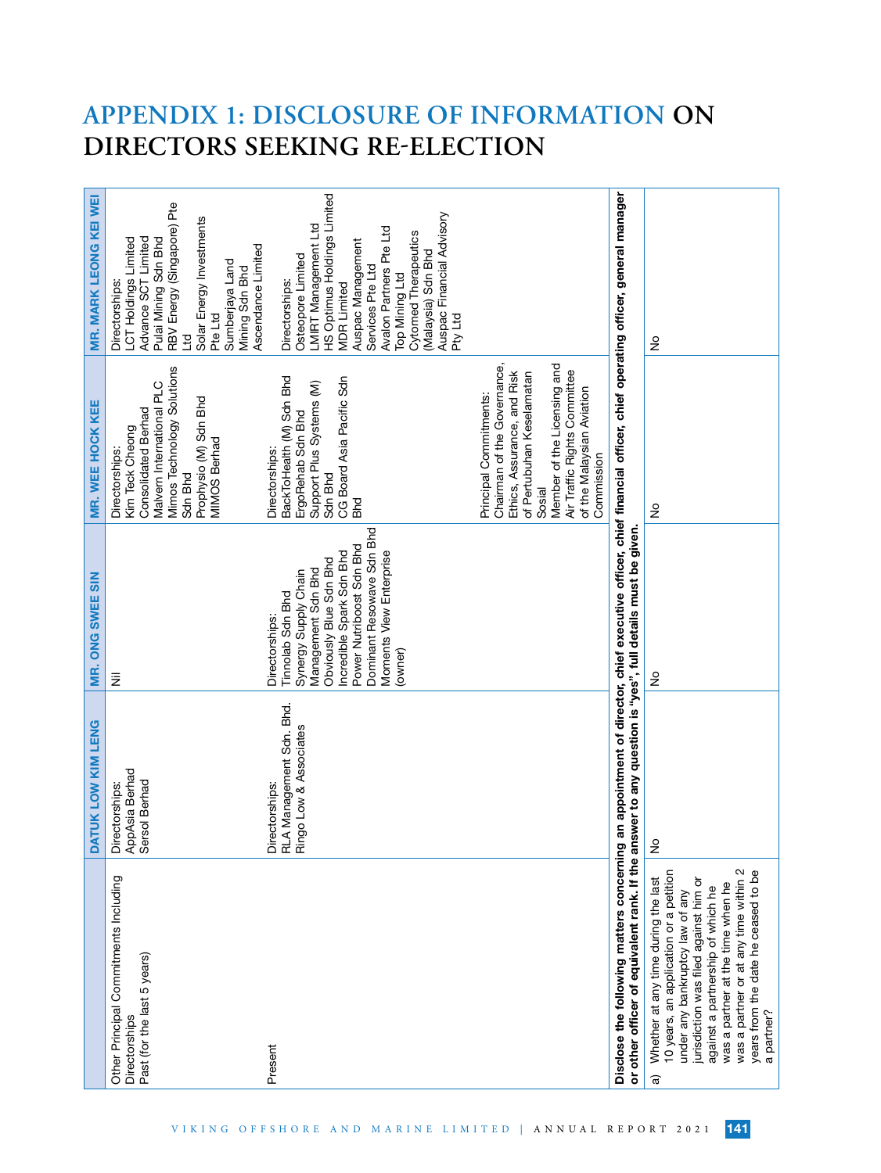| MR. MARK LEONG KEI WEI  | RBV Energy (Singapore) Pte<br>Solar Energy Investments<br>Pulai Mining Sdn Bhd<br>Advance SCT Limited<br>LCT Holdings Limited<br>Ascendance Limited<br>Sumberjaya Land<br>Mining Sdn Bhd<br>Directorships:<br>Pte Ltd<br>모<br>비 | HS Optimus Holdings Limited<br>Auspac Financial Advisory<br>LMIRT Management Ltd<br>Avalon Partners Pte Ltd<br>Cytomed Therapeutics<br>Auspac Management<br>Malaysia) Sdn Bhd<br>Osteopore Limited<br>Services Pte Ltd<br>Top Mining Ltd<br>Directorships:<br><b>MDR Limited</b><br>Pty Ltd |                                                                                                                                                                                                                                       |                                                                                                                                                                                                                                                                              | ş                                                                                                                                                                                                                                                                                                                                      |
|-------------------------|---------------------------------------------------------------------------------------------------------------------------------------------------------------------------------------------------------------------------------|---------------------------------------------------------------------------------------------------------------------------------------------------------------------------------------------------------------------------------------------------------------------------------------------|---------------------------------------------------------------------------------------------------------------------------------------------------------------------------------------------------------------------------------------|------------------------------------------------------------------------------------------------------------------------------------------------------------------------------------------------------------------------------------------------------------------------------|----------------------------------------------------------------------------------------------------------------------------------------------------------------------------------------------------------------------------------------------------------------------------------------------------------------------------------------|
| <b>MR. WEE HOCK KEE</b> | Mimos Technology Solutions<br>Malvern International PLC<br>Prophysio (M) Sdn Bhd<br>Consolidated Berhad<br>Kim Teck Cheong<br><b>MIMOS Berhad</b><br>Directorships:<br>Sdn Bhd                                                  | BackToHealth (M) Sdn Bhd<br>CG Board Asia Pacific Sdn<br>Support Plus Systems (M)<br>ErgoRehab Sdn Bhd<br>Directorships:<br>Sdn Bhd<br><b>Bhd</b>                                                                                                                                           | Chairman of the Governance,<br>Member of the Licensing and<br>Air Traffic Rights Committee<br>Ethics, Assurance, and Risk<br>of Pertubuhan Keselamatan<br>of the Malaysian Aviation<br>Principal Commitments:<br>Commission<br>Sosial |                                                                                                                                                                                                                                                                              | ş                                                                                                                                                                                                                                                                                                                                      |
| <b>MR. ONG SWEE SIN</b> | ₹                                                                                                                                                                                                                               | Dominant Resowave Sdn Bhd<br>Power Nutriboost Sdn Bhd<br>Incredible Spark Sdn Bhd<br>Moments View Enterprise<br>Obviously Blue Sdn Bhd<br>Management Sdn Bhd<br>Synergy Supply Chain<br>Tinnolab Sdn Bhd<br>Directorships:<br>(owner)                                                       |                                                                                                                                                                                                                                       |                                                                                                                                                                                                                                                                              | ş                                                                                                                                                                                                                                                                                                                                      |
| DATUK LOW KIM LENG      | AppAsia Berhad<br>Sersol Berhad<br>Directorships:                                                                                                                                                                               | RLA Management Sdn. Bhd.<br>Ringo Low & Associates<br>Directorships:                                                                                                                                                                                                                        |                                                                                                                                                                                                                                       |                                                                                                                                                                                                                                                                              | $\overline{\circ}$<br>z                                                                                                                                                                                                                                                                                                                |
|                         | Other Principal Commitments Including<br>Past (for the last 5 years)<br>Directorships                                                                                                                                           | Present                                                                                                                                                                                                                                                                                     |                                                                                                                                                                                                                                       | Disclose the following matters concerning an appointment of director, chief executive officer, chief financial officer, chief operating officer, general manager<br>or other officer of equivalent rank. If the answer to any question is "yes", full details must be given. | 10 years, an application or a petition<br>was a partner or at any time within 2<br>years from the date he ceased to be<br>Whether at any time during the last<br>jurisdiction was filed against him or<br>was a partner at the time when he<br>against a partnership of which he<br>under any bankruptcy law of any<br>a partner?<br>ଟ |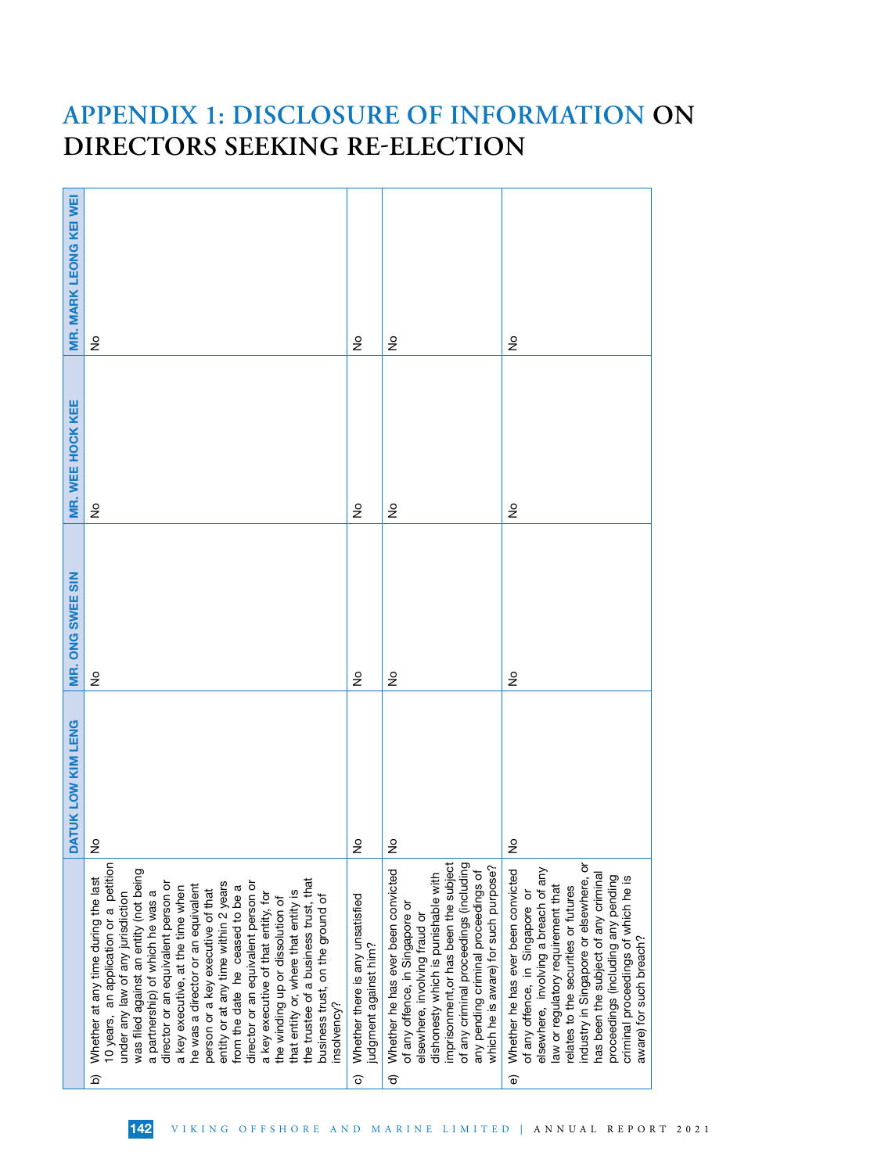| $\frac{\circ}{\sim}$                                                                                                                                                                                                                                                                                                                                                                                                                                                                                                                                                                                                                                                                     | $\frac{1}{2}$                                             | $\frac{1}{2}$                                                                                                                                                                                                                                                                                                   | $\frac{1}{2}$                                                                                                                                                                                                                                                                                                                                                                                |
|------------------------------------------------------------------------------------------------------------------------------------------------------------------------------------------------------------------------------------------------------------------------------------------------------------------------------------------------------------------------------------------------------------------------------------------------------------------------------------------------------------------------------------------------------------------------------------------------------------------------------------------------------------------------------------------|-----------------------------------------------------------|-----------------------------------------------------------------------------------------------------------------------------------------------------------------------------------------------------------------------------------------------------------------------------------------------------------------|----------------------------------------------------------------------------------------------------------------------------------------------------------------------------------------------------------------------------------------------------------------------------------------------------------------------------------------------------------------------------------------------|
|                                                                                                                                                                                                                                                                                                                                                                                                                                                                                                                                                                                                                                                                                          |                                                           |                                                                                                                                                                                                                                                                                                                 | $\frac{1}{2}$                                                                                                                                                                                                                                                                                                                                                                                |
| $\frac{\circ}{\sim}$                                                                                                                                                                                                                                                                                                                                                                                                                                                                                                                                                                                                                                                                     | $\frac{1}{2}$                                             | $\frac{1}{2}$                                                                                                                                                                                                                                                                                                   | ş                                                                                                                                                                                                                                                                                                                                                                                            |
| $\circ$<br>z                                                                                                                                                                                                                                                                                                                                                                                                                                                                                                                                                                                                                                                                             | $\circ$<br>z                                              | $\circ$<br>z                                                                                                                                                                                                                                                                                                    | $\circ$<br>z                                                                                                                                                                                                                                                                                                                                                                                 |
| 10 years, an application or a petition<br>was filed against an entity (not being<br>Whether at any time during the last<br>the trustee of a business trust, that<br>director or an equivalent person or<br>entity or at any time within 2 years<br>director or an equivalent person or<br>he was a director or an equivalent<br>from the date he ceased to be a<br>a key executive, at the time when<br>person or a key executive of that<br>a partnership) of which he was a<br>that entity or, where that entity is<br>under any law of any jurisdiction<br>a key executive of that entity, for<br>business trust, on the ground of<br>the winding up or dissolution of<br>insolvency? | Whether there is any unsatisfied<br>judgment against him? | imprisonment, or has been the subject<br>of any criminal proceedings (including<br>which he is aware) for such purpose?<br>Whether he has ever been convicted<br>any pending criminal proceedings of<br>dishonesty which is punishable with<br>of any offence, in Singapore or<br>elsewhere, involving fraud or | ৯<br>elsewhere, involving a breach of any<br>Whether he has ever been convicted<br>has been the subject of any criminal<br>proceedings (including any pending<br>criminal proceedings of which he is<br>industry in Singapore or elsewhere,<br>law or regulatory requirement that<br>relates to the securities or futures<br>of any offence, in Singapore or<br>aware) for such breach?<br>อ |
|                                                                                                                                                                                                                                                                                                                                                                                                                                                                                                                                                                                                                                                                                          | $\frac{1}{2}$<br>$\widehat{\Omega}$                       | $\frac{1}{2}$<br>$\widehat{\circ}$                                                                                                                                                                                                                                                                              | $\frac{1}{2}$<br>$\widehat{\sigma}$                                                                                                                                                                                                                                                                                                                                                          |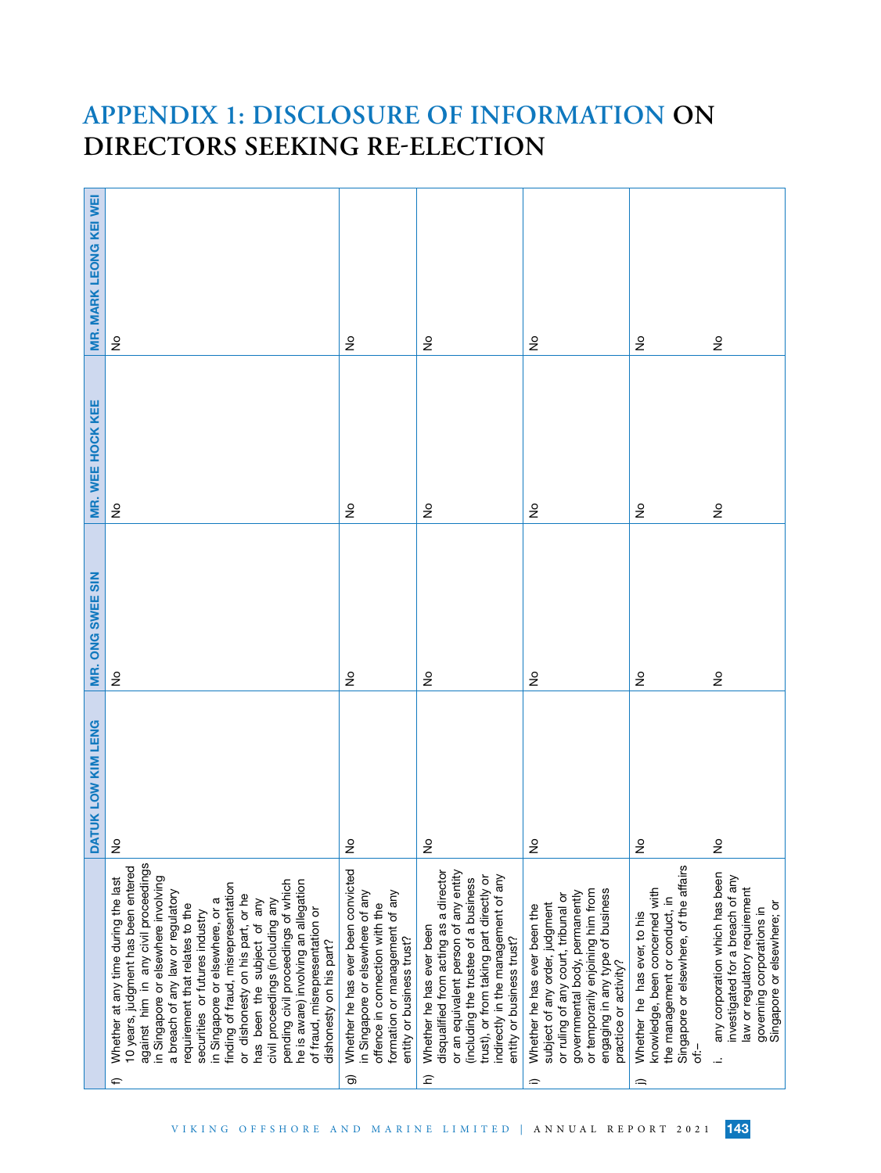| MR. MARK LEONG KEI WEI    | $\epsilon$                                                                                                                                                                                                                                                                                                                                                                                                                                                                                                                                                                                           | $\epsilon$                                                                                                                                                                   | $\frac{1}{2}$                                                                                                                                                                                                                                                                                | $\frac{\circ}{\sim}$                                                                                                                                                                                                                           | $\frac{1}{2}$                                                                                                                                       | $\stackrel{\mathtt{o}}{z}$                                                                                                                                     |
|---------------------------|------------------------------------------------------------------------------------------------------------------------------------------------------------------------------------------------------------------------------------------------------------------------------------------------------------------------------------------------------------------------------------------------------------------------------------------------------------------------------------------------------------------------------------------------------------------------------------------------------|------------------------------------------------------------------------------------------------------------------------------------------------------------------------------|----------------------------------------------------------------------------------------------------------------------------------------------------------------------------------------------------------------------------------------------------------------------------------------------|------------------------------------------------------------------------------------------------------------------------------------------------------------------------------------------------------------------------------------------------|-----------------------------------------------------------------------------------------------------------------------------------------------------|----------------------------------------------------------------------------------------------------------------------------------------------------------------|
| MR. WEE HOCK KEE          | $\frac{1}{2}$                                                                                                                                                                                                                                                                                                                                                                                                                                                                                                                                                                                        | $\frac{1}{2}$                                                                                                                                                                | $\frac{1}{2}$                                                                                                                                                                                                                                                                                | $\frac{1}{2}$                                                                                                                                                                                                                                  | $\stackrel{\mathtt{o}}{z}$                                                                                                                          | $\stackrel{\mathtt{o}}{z}$                                                                                                                                     |
| MR. ONG SWEE SIN          | $\frac{9}{2}$                                                                                                                                                                                                                                                                                                                                                                                                                                                                                                                                                                                        | ş                                                                                                                                                                            | ş                                                                                                                                                                                                                                                                                            | $\epsilon$                                                                                                                                                                                                                                     | $\frac{1}{2}$                                                                                                                                       | $\stackrel{\mathtt{o}}{z}$                                                                                                                                     |
| <b>DATUK LOW KIM LENG</b> | $\frac{6}{2}$                                                                                                                                                                                                                                                                                                                                                                                                                                                                                                                                                                                        | $\frac{1}{2}$                                                                                                                                                                | $\frac{1}{2}$                                                                                                                                                                                                                                                                                | $\frac{1}{2}$                                                                                                                                                                                                                                  | $\frac{1}{2}$                                                                                                                                       | $\frac{1}{2}$                                                                                                                                                  |
|                           | against him in any civil proceedings<br>10 years, judgment has been entered<br>in Singapore or elsewhere involving<br>Whether at any time during the last<br>pending civil proceedings of which<br>he is aware) involving an allegation<br>finding of fraud, misrepresentation<br>a breach of any law or regulatory<br>or dishonesty on his part, or he<br>civil proceedings (including any<br>in Singapore or elsewhere, or a<br>has been the subject of any<br>requirement that relates to the<br>of fraud, misrepresentation or<br>securities or futures industry<br>dishonesty on his part?<br>⇐ | Whether he has ever been convicted<br>in Singapore or elsewhere of any<br>formation or management of any<br>offence in connection with the<br>entity or business trust?<br>ම | disqualified from acting as a director<br>or an equivalent person of any entity<br>trust), or from taking part directly or<br>indirectly in the management of any<br>(including the trustee of a business<br>Whether he has ever been<br>entity or business trust?<br>$\widehat{\mathsf{c}}$ | engaging in any type of business<br>or temporarily enjoining him from<br>governmental body, permanently<br>or ruling of any court, tribunal or<br>subject of any order, judgment<br>Whether he has ever been the<br>practice or activity?<br>≘ | Singapore or elsewhere, of the affairs<br>knowledge, been concerned with<br>the management or conduct, in<br>Whether he has ever, to his<br>ا.<br>Ö | any corporation which has been<br>investigated for a breach of any<br>law or regulatory requirement<br>Singapore or elsewhere; or<br>governing corporations in |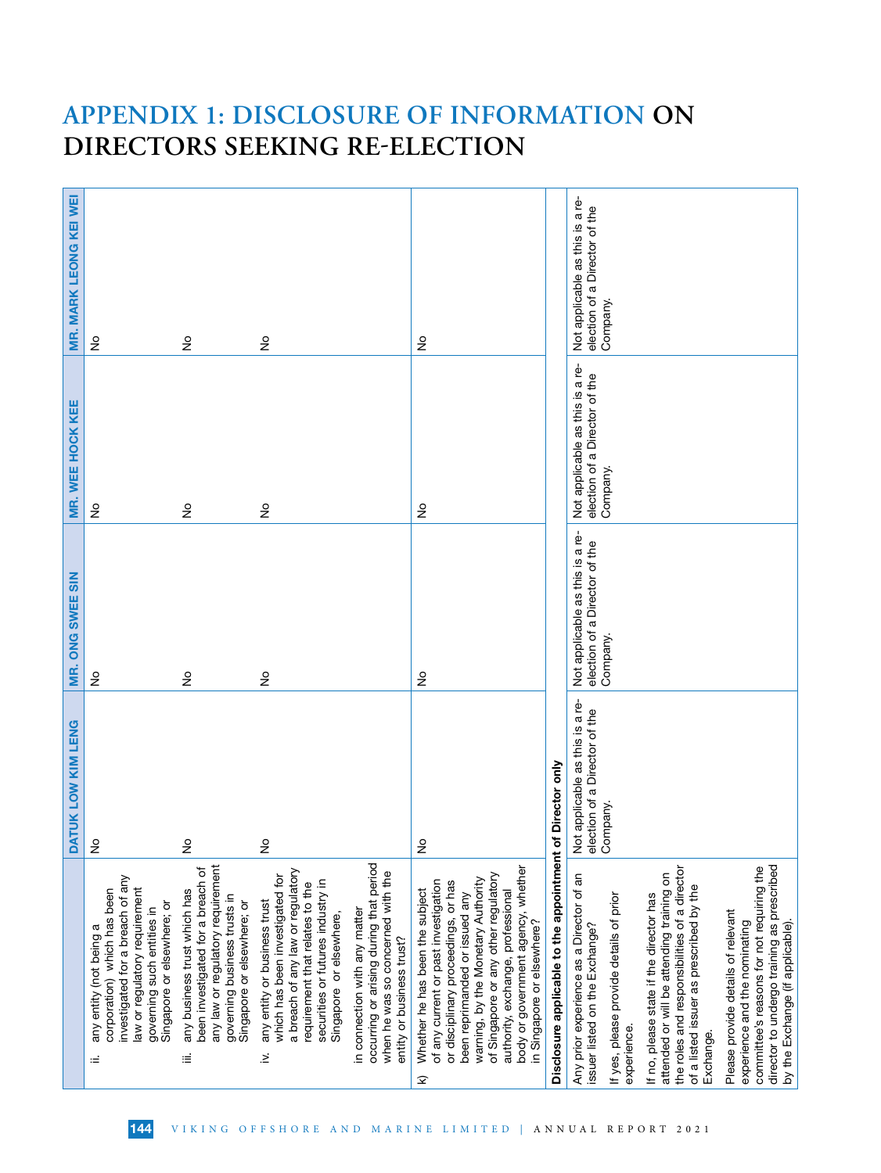|                                                                                                                                                                                                                                                                                                                                              | DATUK LOW KIM LENG                                               | ONG SWEE SIN<br>gë,                                              | MR. WEE HOCK KEE                                                 | MR. MARK LEONG KEI WEI                                           |
|----------------------------------------------------------------------------------------------------------------------------------------------------------------------------------------------------------------------------------------------------------------------------------------------------------------------------------------------|------------------------------------------------------------------|------------------------------------------------------------------|------------------------------------------------------------------|------------------------------------------------------------------|
| investigated for a breach of any<br>law or regulatory requirement<br>corporation) which has been<br>Singapore or elsewhere; or<br>governing such entities in<br>any entity (not being a<br>≔                                                                                                                                                 | 으<br>∠                                                           | $\frac{1}{2}$                                                    | $\frac{1}{2}$                                                    | ş                                                                |
| any law or regulatory requirement<br>been investigated for a breach of<br>any business trust which has<br>governing business trusts in<br>Singapore or elsewhere; or<br>Ξ                                                                                                                                                                    | $\frac{1}{2}$                                                    | $\frac{1}{2}$                                                    | $\frac{1}{2}$                                                    | $\gtrsim$                                                        |
| a breach of any law or regulatory<br>which has been investigated for<br>securities or futures industry in<br>requirement that relates to the<br>any entity or business trust<br>Singapore or elsewhere,<br>$\geq$                                                                                                                            | $\frac{\circ}{\mathsf{Z}}$                                       | ş                                                                | $\frac{1}{2}$                                                    | $\frac{1}{2}$                                                    |
| occurring or arising during that period<br>when he was so concerned with the<br>in connection with any matter<br>entity or business trust?                                                                                                                                                                                                   |                                                                  |                                                                  |                                                                  |                                                                  |
| body or government agency, whether<br>of Singapore or any other regulatory<br>warning, by the Monetary Authority<br>of any current or past investigation<br>or disciplinary proceedings, or has<br>Whether he has been the subject<br>authority, exchange, professional<br>been reprimanded or issued any<br>in Singapore or elsewhere?<br>ହ | $\frac{1}{2}$                                                    | $\epsilon$                                                       | $\frac{1}{2}$                                                    | $\frac{1}{2}$                                                    |
| Disclosure applicable to the appointment                                                                                                                                                                                                                                                                                                     | of Director only                                                 |                                                                  |                                                                  |                                                                  |
| Any prior experience as a Director of an<br>issuer listed on the Exchange?                                                                                                                                                                                                                                                                   | Not applicable as this is a re-<br>election of a Director of the | Not applicable as this is a re-<br>election of a Director of the | Not applicable as this is a re-<br>election of a Director of the | Not applicable as this is a re-<br>election of a Director of the |
| If yes, please provide details of prior<br>experience.                                                                                                                                                                                                                                                                                       | Company.                                                         | Company.                                                         | Company.                                                         | Company.                                                         |
| the roles and responsibilities of a director<br>attended or will be attending training on<br>of a listed issuer as prescribed by the<br>If no, please state if the director has<br>Exchange.                                                                                                                                                 |                                                                  |                                                                  |                                                                  |                                                                  |
| director to undergo training as prescribed<br>committee's reasons for not requiring the<br>Please provide details of relevant<br>experience and the nominating<br>by the Exchange (if applicable).                                                                                                                                           |                                                                  |                                                                  |                                                                  |                                                                  |

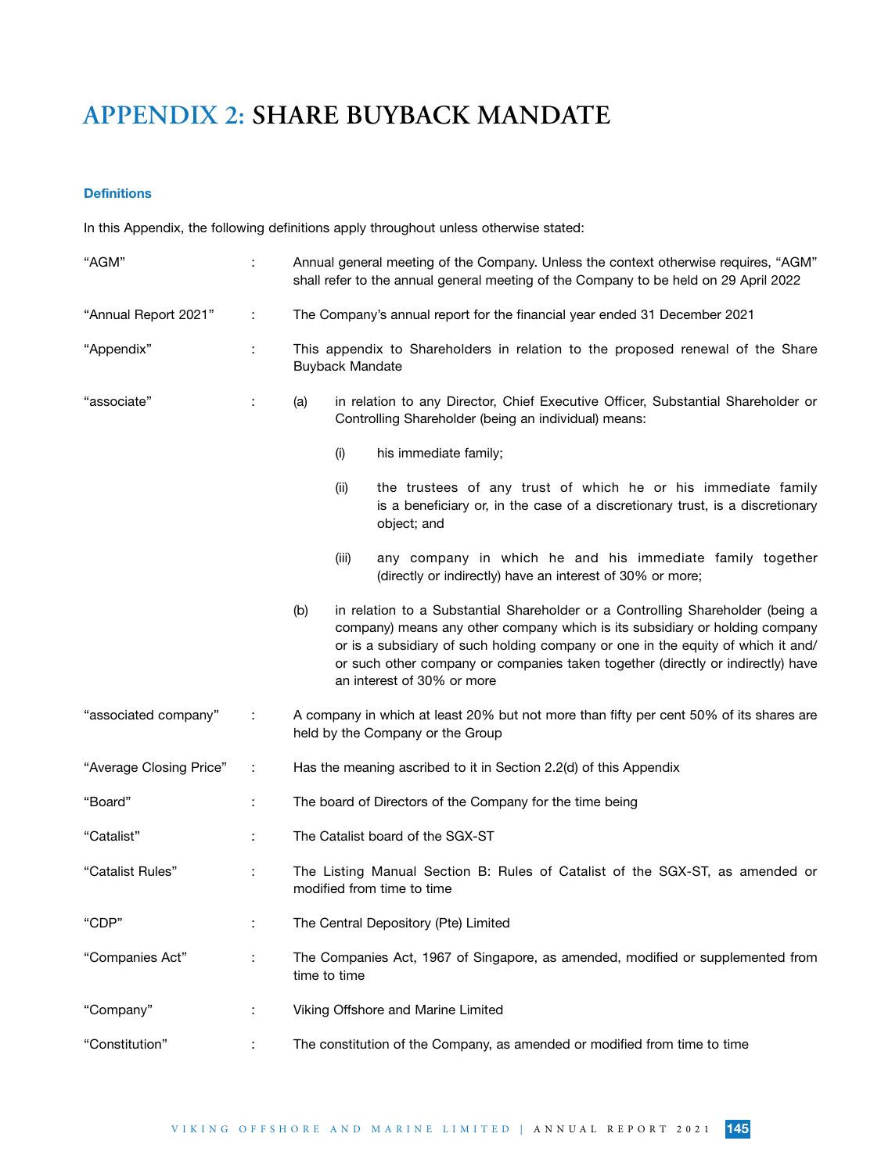## **Definitions**

In this Appendix, the following definitions apply throughout unless otherwise stated:

| "AGM"                   |                      | Annual general meeting of the Company. Unless the context otherwise requires, "AGM"<br>shall refer to the annual general meeting of the Company to be held on 29 April 2022                                                                                                                                                                                               |
|-------------------------|----------------------|---------------------------------------------------------------------------------------------------------------------------------------------------------------------------------------------------------------------------------------------------------------------------------------------------------------------------------------------------------------------------|
| "Annual Report 2021"    | ÷                    | The Company's annual report for the financial year ended 31 December 2021                                                                                                                                                                                                                                                                                                 |
| "Appendix"              | ÷                    | This appendix to Shareholders in relation to the proposed renewal of the Share<br><b>Buyback Mandate</b>                                                                                                                                                                                                                                                                  |
| "associate"             | ÷                    | in relation to any Director, Chief Executive Officer, Substantial Shareholder or<br>(a)<br>Controlling Shareholder (being an individual) means:                                                                                                                                                                                                                           |
|                         |                      | his immediate family;<br>(i)                                                                                                                                                                                                                                                                                                                                              |
|                         |                      | the trustees of any trust of which he or his immediate family<br>(ii)<br>is a beneficiary or, in the case of a discretionary trust, is a discretionary<br>object; and                                                                                                                                                                                                     |
|                         |                      | (iii)<br>any company in which he and his immediate family together<br>(directly or indirectly) have an interest of 30% or more;                                                                                                                                                                                                                                           |
|                         |                      | in relation to a Substantial Shareholder or a Controlling Shareholder (being a<br>(b)<br>company) means any other company which is its subsidiary or holding company<br>or is a subsidiary of such holding company or one in the equity of which it and/<br>or such other company or companies taken together (directly or indirectly) have<br>an interest of 30% or more |
| "associated company"    | ÷                    | A company in which at least 20% but not more than fifty per cent 50% of its shares are<br>held by the Company or the Group                                                                                                                                                                                                                                                |
| "Average Closing Price" | ÷                    | Has the meaning ascribed to it in Section 2.2(d) of this Appendix                                                                                                                                                                                                                                                                                                         |
| "Board"                 | ÷                    | The board of Directors of the Company for the time being                                                                                                                                                                                                                                                                                                                  |
| "Catalist"              | ÷                    | The Catalist board of the SGX-ST                                                                                                                                                                                                                                                                                                                                          |
| "Catalist Rules"        | ÷                    | The Listing Manual Section B: Rules of Catalist of the SGX-ST, as amended or<br>modified from time to time                                                                                                                                                                                                                                                                |
| "CDP"                   |                      | The Central Depository (Pte) Limited                                                                                                                                                                                                                                                                                                                                      |
| "Companies Act"         | $\ddot{\phantom{0}}$ | The Companies Act, 1967 of Singapore, as amended, modified or supplemented from<br>time to time                                                                                                                                                                                                                                                                           |
| "Company"               | :                    | Viking Offshore and Marine Limited                                                                                                                                                                                                                                                                                                                                        |
| "Constitution"          |                      | The constitution of the Company, as amended or modified from time to time                                                                                                                                                                                                                                                                                                 |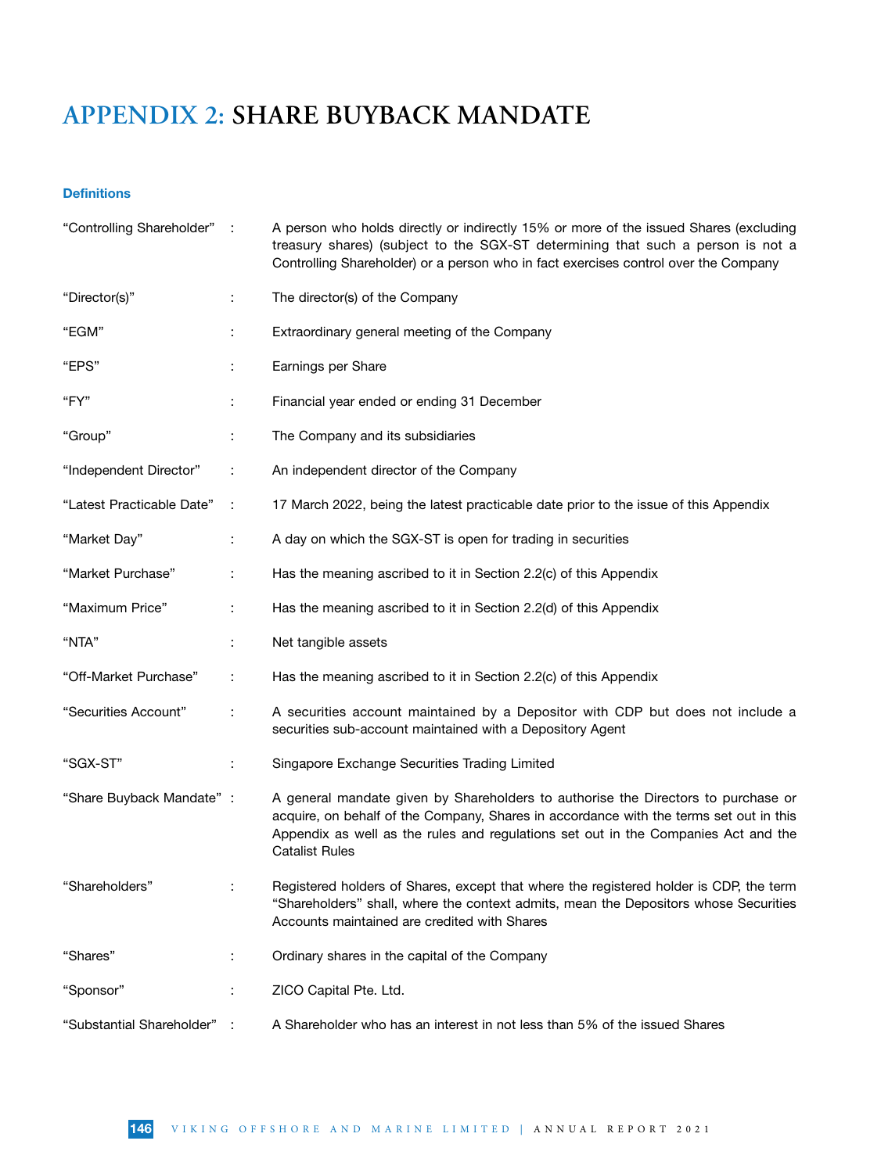## **Definitions**

| "Controlling Shareholder" : |                | A person who holds directly or indirectly 15% or more of the issued Shares (excluding<br>treasury shares) (subject to the SGX-ST determining that such a person is not a<br>Controlling Shareholder) or a person who in fact exercises control over the Company                            |
|-----------------------------|----------------|--------------------------------------------------------------------------------------------------------------------------------------------------------------------------------------------------------------------------------------------------------------------------------------------|
| "Director(s)"               | ÷              | The director(s) of the Company                                                                                                                                                                                                                                                             |
| "EGM"                       | ÷              | Extraordinary general meeting of the Company                                                                                                                                                                                                                                               |
| "EPS"                       | ÷              | Earnings per Share                                                                                                                                                                                                                                                                         |
| "FY"                        | ÷              | Financial year ended or ending 31 December                                                                                                                                                                                                                                                 |
| "Group"                     |                | The Company and its subsidiaries                                                                                                                                                                                                                                                           |
| "Independent Director"      | ÷              | An independent director of the Company                                                                                                                                                                                                                                                     |
| "Latest Practicable Date"   | ÷              | 17 March 2022, being the latest practicable date prior to the issue of this Appendix                                                                                                                                                                                                       |
| "Market Day"                | ÷              | A day on which the SGX-ST is open for trading in securities                                                                                                                                                                                                                                |
| "Market Purchase"           | ÷              | Has the meaning ascribed to it in Section 2.2(c) of this Appendix                                                                                                                                                                                                                          |
| "Maximum Price"             | $\ddot{\cdot}$ | Has the meaning ascribed to it in Section 2.2(d) of this Appendix                                                                                                                                                                                                                          |
| "NTA"                       | ÷              | Net tangible assets                                                                                                                                                                                                                                                                        |
| "Off-Market Purchase"       | ÷              | Has the meaning ascribed to it in Section 2.2(c) of this Appendix                                                                                                                                                                                                                          |
| "Securities Account"        | ÷              | A securities account maintained by a Depositor with CDP but does not include a<br>securities sub-account maintained with a Depository Agent                                                                                                                                                |
| "SGX-ST"                    | ÷              | Singapore Exchange Securities Trading Limited                                                                                                                                                                                                                                              |
| "Share Buyback Mandate" :   |                | A general mandate given by Shareholders to authorise the Directors to purchase or<br>acquire, on behalf of the Company, Shares in accordance with the terms set out in this<br>Appendix as well as the rules and regulations set out in the Companies Act and the<br><b>Catalist Rules</b> |
| "Shareholders"              |                | Registered holders of Shares, except that where the registered holder is CDP, the term<br>"Shareholders" shall, where the context admits, mean the Depositors whose Securities<br>Accounts maintained are credited with Shares                                                             |
| "Shares"                    | ÷              | Ordinary shares in the capital of the Company                                                                                                                                                                                                                                              |
| "Sponsor"                   | ÷              | ZICO Capital Pte. Ltd.                                                                                                                                                                                                                                                                     |
| "Substantial Shareholder"   |                | A Shareholder who has an interest in not less than 5% of the issued Shares                                                                                                                                                                                                                 |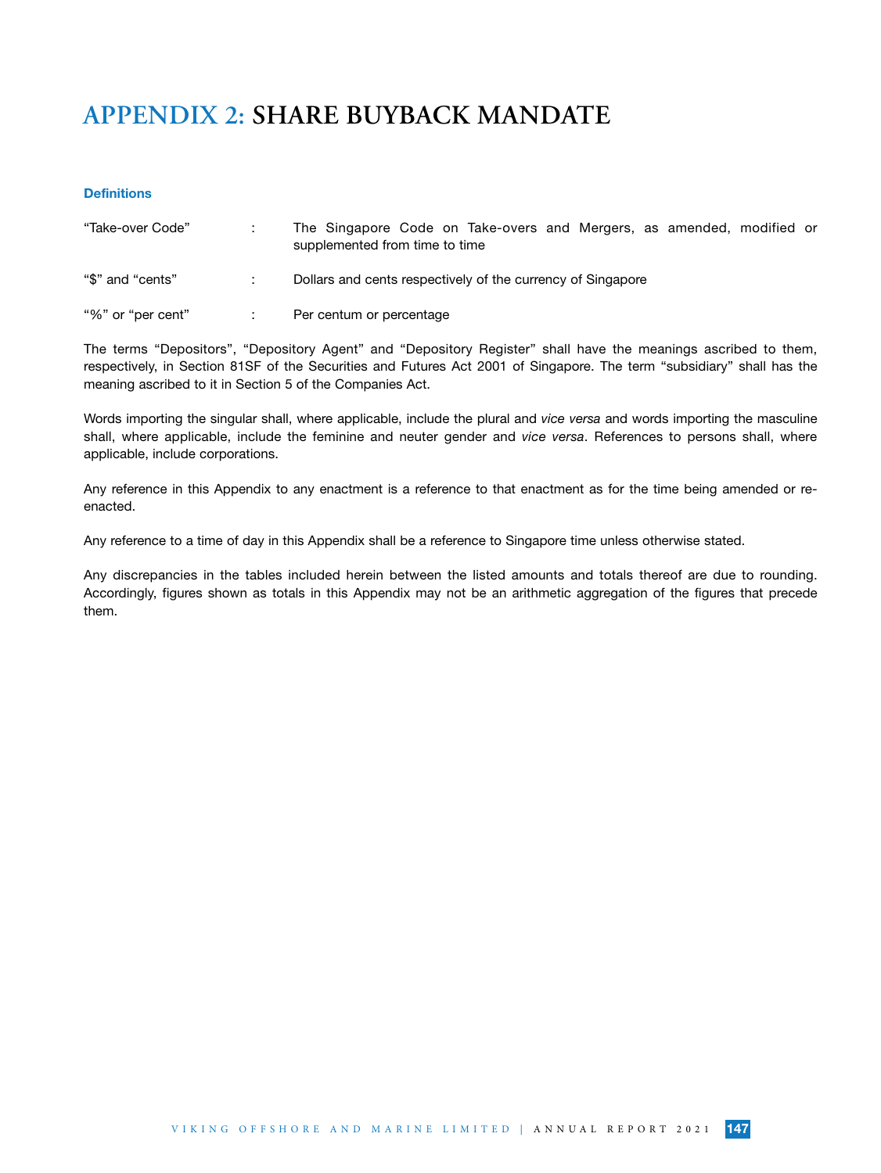### **Definitions**

| "Take-over Code"  | The Singapore Code on Take-overs and Mergers, as amended, modified or<br>supplemented from time to time |
|-------------------|---------------------------------------------------------------------------------------------------------|
| "\$" and "cents"  | Dollars and cents respectively of the currency of Singapore                                             |
| "%" or "per cent" | Per centum or percentage                                                                                |

The terms "Depositors", "Depository Agent" and "Depository Register" shall have the meanings ascribed to them, respectively, in Section 81SF of the Securities and Futures Act 2001 of Singapore. The term "subsidiary" shall has the meaning ascribed to it in Section 5 of the Companies Act.

Words importing the singular shall, where applicable, include the plural and *vice versa* and words importing the masculine shall, where applicable, include the feminine and neuter gender and *vice versa*. References to persons shall, where applicable, include corporations.

Any reference in this Appendix to any enactment is a reference to that enactment as for the time being amended or reenacted.

Any reference to a time of day in this Appendix shall be a reference to Singapore time unless otherwise stated.

Any discrepancies in the tables included herein between the listed amounts and totals thereof are due to rounding. Accordingly, figures shown as totals in this Appendix may not be an arithmetic aggregation of the figures that precede them.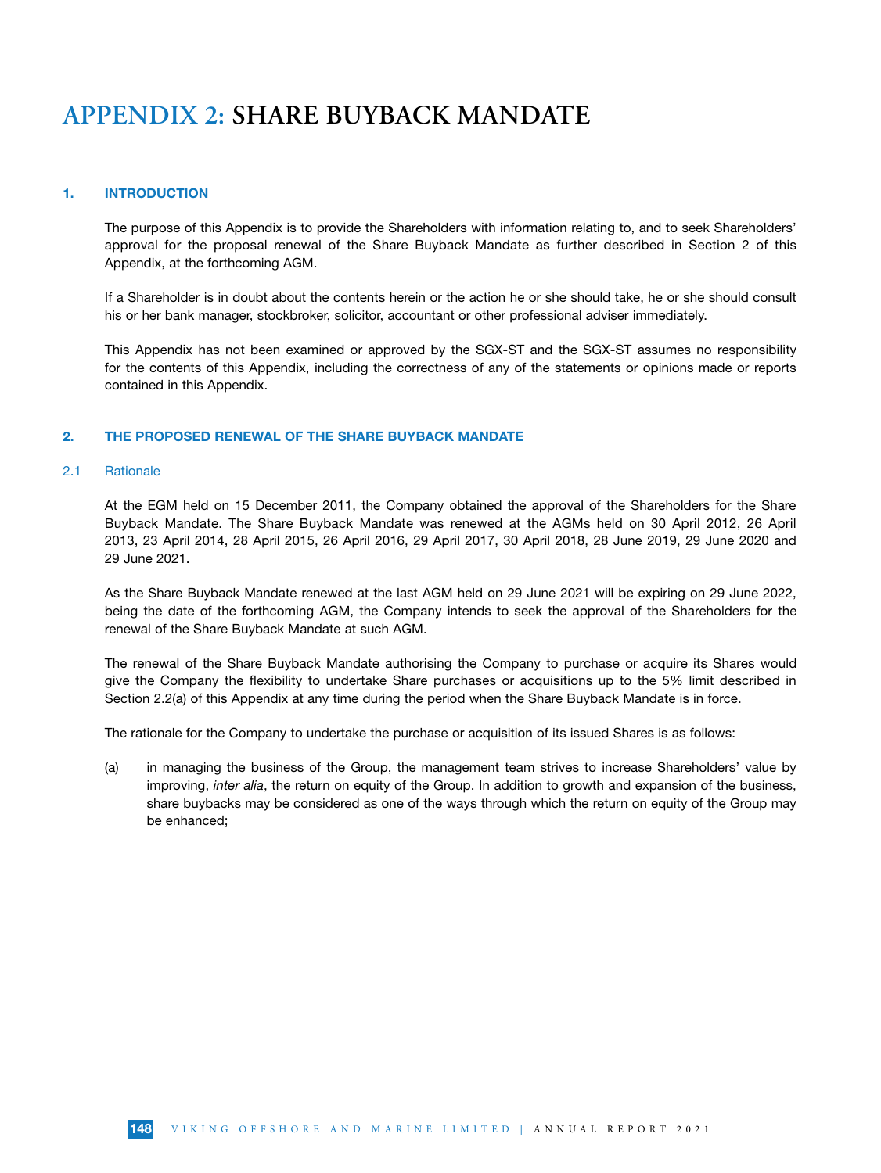### 1. INTRODUCTION

The purpose of this Appendix is to provide the Shareholders with information relating to, and to seek Shareholders' approval for the proposal renewal of the Share Buyback Mandate as further described in Section 2 of this Appendix, at the forthcoming AGM.

If a Shareholder is in doubt about the contents herein or the action he or she should take, he or she should consult his or her bank manager, stockbroker, solicitor, accountant or other professional adviser immediately.

This Appendix has not been examined or approved by the SGX-ST and the SGX-ST assumes no responsibility for the contents of this Appendix, including the correctness of any of the statements or opinions made or reports contained in this Appendix.

### 2. THE PROPOSED RENEWAL OF THE SHARE BUYBACK MANDATE

#### 2.1 Rationale

At the EGM held on 15 December 2011, the Company obtained the approval of the Shareholders for the Share Buyback Mandate. The Share Buyback Mandate was renewed at the AGMs held on 30 April 2012, 26 April 2013, 23 April 2014, 28 April 2015, 26 April 2016, 29 April 2017, 30 April 2018, 28 June 2019, 29 June 2020 and 29 June 2021.

As the Share Buyback Mandate renewed at the last AGM held on 29 June 2021 will be expiring on 29 June 2022, being the date of the forthcoming AGM, the Company intends to seek the approval of the Shareholders for the renewal of the Share Buyback Mandate at such AGM.

The renewal of the Share Buyback Mandate authorising the Company to purchase or acquire its Shares would give the Company the flexibility to undertake Share purchases or acquisitions up to the 5% limit described in Section 2.2(a) of this Appendix at any time during the period when the Share Buyback Mandate is in force.

The rationale for the Company to undertake the purchase or acquisition of its issued Shares is as follows:

(a) in managing the business of the Group, the management team strives to increase Shareholders' value by improving, *inter alia*, the return on equity of the Group. In addition to growth and expansion of the business, share buybacks may be considered as one of the ways through which the return on equity of the Group may be enhanced;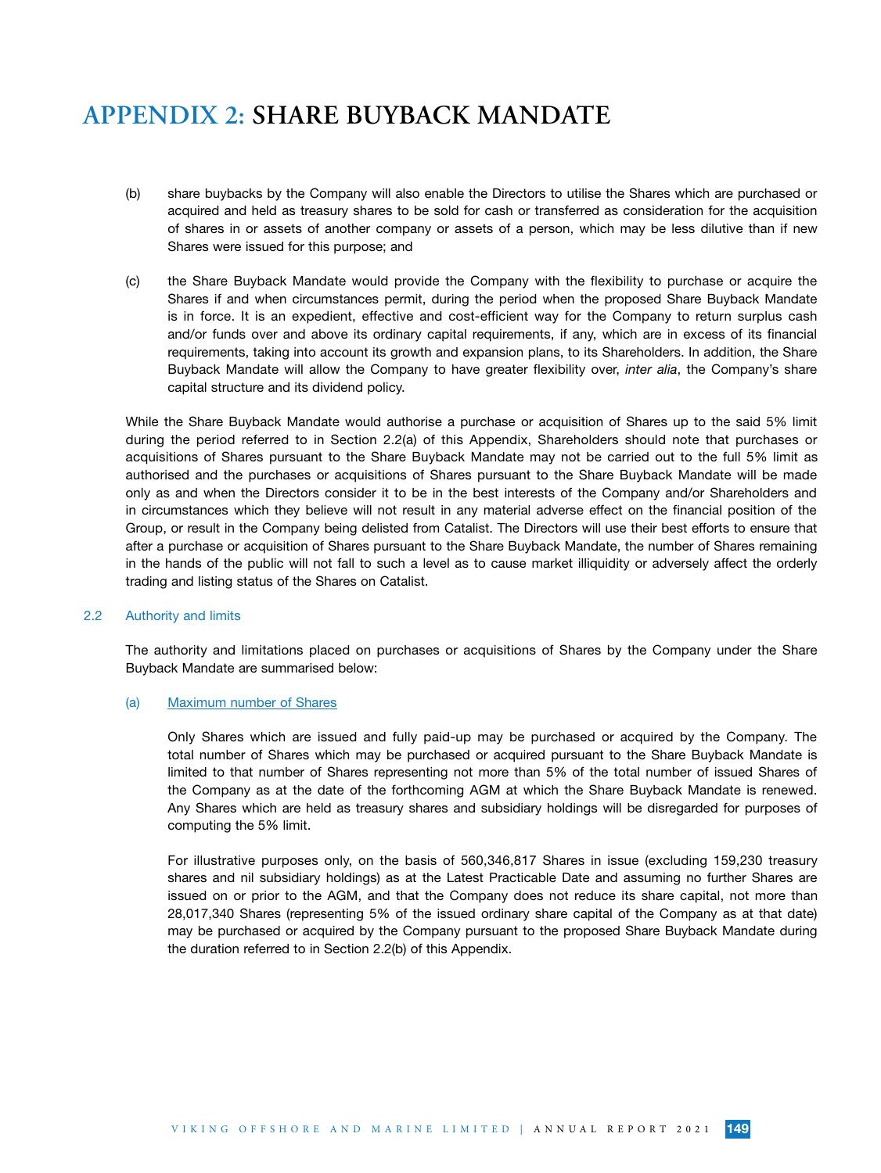- (b) share buybacks by the Company will also enable the Directors to utilise the Shares which are purchased or acquired and held as treasury shares to be sold for cash or transferred as consideration for the acquisition of shares in or assets of another company or assets of a person, which may be less dilutive than if new Shares were issued for this purpose; and
- (c) the Share Buyback Mandate would provide the Company with the flexibility to purchase or acquire the Shares if and when circumstances permit, during the period when the proposed Share Buyback Mandate is in force. It is an expedient, effective and cost-efficient way for the Company to return surplus cash and/or funds over and above its ordinary capital requirements, if any, which are in excess of its financial requirements, taking into account its growth and expansion plans, to its Shareholders. In addition, the Share Buyback Mandate will allow the Company to have greater flexibility over, *inter alia*, the Company's share capital structure and its dividend policy.

While the Share Buyback Mandate would authorise a purchase or acquisition of Shares up to the said 5% limit during the period referred to in Section 2.2(a) of this Appendix, Shareholders should note that purchases or acquisitions of Shares pursuant to the Share Buyback Mandate may not be carried out to the full 5% limit as authorised and the purchases or acquisitions of Shares pursuant to the Share Buyback Mandate will be made only as and when the Directors consider it to be in the best interests of the Company and/or Shareholders and in circumstances which they believe will not result in any material adverse effect on the financial position of the Group, or result in the Company being delisted from Catalist. The Directors will use their best efforts to ensure that after a purchase or acquisition of Shares pursuant to the Share Buyback Mandate, the number of Shares remaining in the hands of the public will not fall to such a level as to cause market illiquidity or adversely affect the orderly trading and listing status of the Shares on Catalist.

### 2.2 Authority and limits

The authority and limitations placed on purchases or acquisitions of Shares by the Company under the Share Buyback Mandate are summarised below:

#### (a) Maximum number of Shares

Only Shares which are issued and fully paid-up may be purchased or acquired by the Company. The total number of Shares which may be purchased or acquired pursuant to the Share Buyback Mandate is limited to that number of Shares representing not more than 5% of the total number of issued Shares of the Company as at the date of the forthcoming AGM at which the Share Buyback Mandate is renewed. Any Shares which are held as treasury shares and subsidiary holdings will be disregarded for purposes of computing the 5% limit.

For illustrative purposes only, on the basis of 560,346,817 Shares in issue (excluding 159,230 treasury shares and nil subsidiary holdings) as at the Latest Practicable Date and assuming no further Shares are issued on or prior to the AGM, and that the Company does not reduce its share capital, not more than 28,017,340 Shares (representing 5% of the issued ordinary share capital of the Company as at that date) may be purchased or acquired by the Company pursuant to the proposed Share Buyback Mandate during the duration referred to in Section 2.2(b) of this Appendix.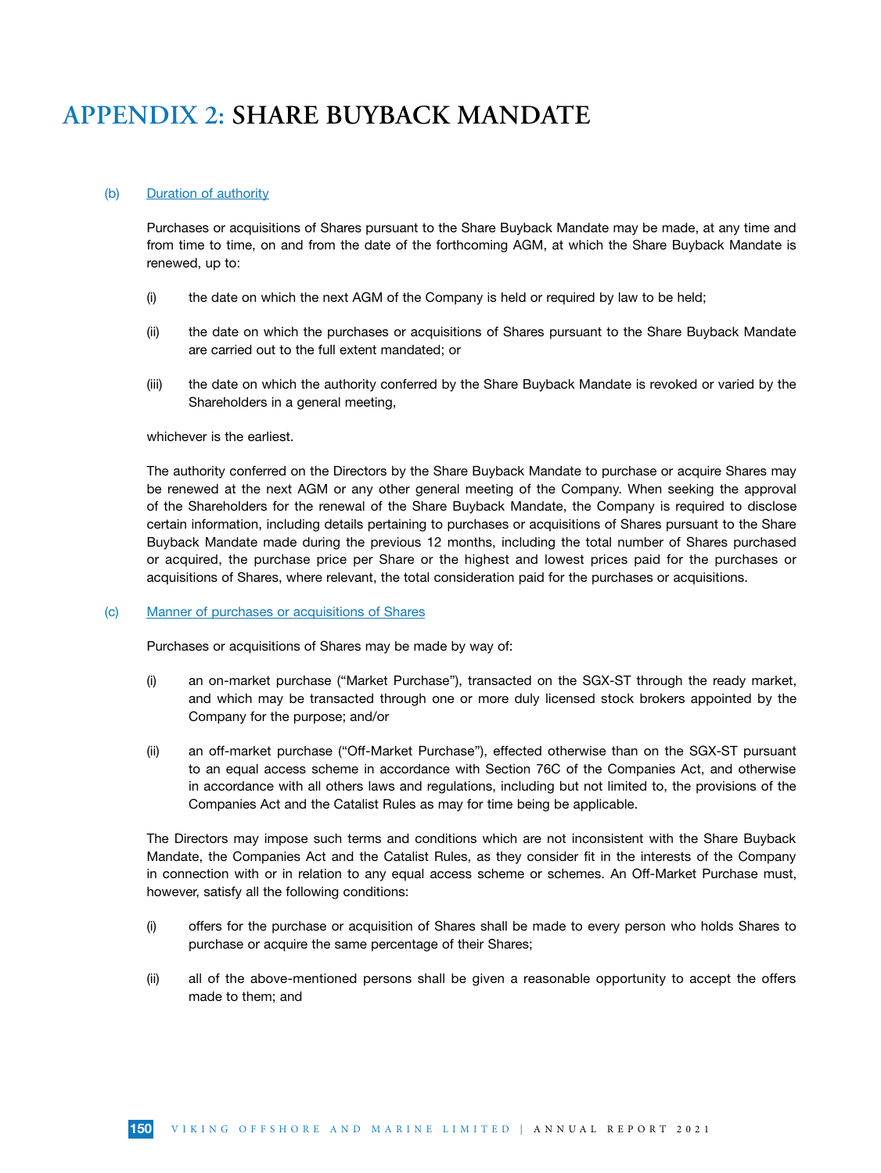#### (b) Duration of authority

Purchases or acquisitions of Shares pursuant to the Share Buyback Mandate may be made, at any time and from time to time, on and from the date of the forthcoming AGM, at which the Share Buyback Mandate is renewed, up to:

- (i) the date on which the next AGM of the Company is held or required by law to be held;
- (ii) the date on which the purchases or acquisitions of Shares pursuant to the Share Buyback Mandate are carried out to the full extent mandated; or
- (iii) the date on which the authority conferred by the Share Buyback Mandate is revoked or varied by the Shareholders in a general meeting,

#### whichever is the earliest.

The authority conferred on the Directors by the Share Buyback Mandate to purchase or acquire Shares may be renewed at the next AGM or any other general meeting of the Company. When seeking the approval of the Shareholders for the renewal of the Share Buyback Mandate, the Company is required to disclose certain information, including details pertaining to purchases or acquisitions of Shares pursuant to the Share Buyback Mandate made during the previous 12 months, including the total number of Shares purchased or acquired, the purchase price per Share or the highest and lowest prices paid for the purchases or acquisitions of Shares, where relevant, the total consideration paid for the purchases or acquisitions.

#### (c) Manner of purchases or acquisitions of Shares

Purchases or acquisitions of Shares may be made by way of:

- (i) an on-market purchase ("Market Purchase"), transacted on the SGX-ST through the ready market, and which may be transacted through one or more duly licensed stock brokers appointed by the Company for the purpose; and/or
- (ii) an off-market purchase ("Off-Market Purchase"), effected otherwise than on the SGX-ST pursuant to an equal access scheme in accordance with Section 76C of the Companies Act, and otherwise in accordance with all others laws and regulations, including but not limited to, the provisions of the Companies Act and the Catalist Rules as may for time being be applicable.

The Directors may impose such terms and conditions which are not inconsistent with the Share Buyback Mandate, the Companies Act and the Catalist Rules, as they consider fit in the interests of the Company in connection with or in relation to any equal access scheme or schemes. An Off-Market Purchase must, however, satisfy all the following conditions:

- (i) offers for the purchase or acquisition of Shares shall be made to every person who holds Shares to purchase or acquire the same percentage of their Shares;
- (ii) all of the above-mentioned persons shall be given a reasonable opportunity to accept the offers made to them; and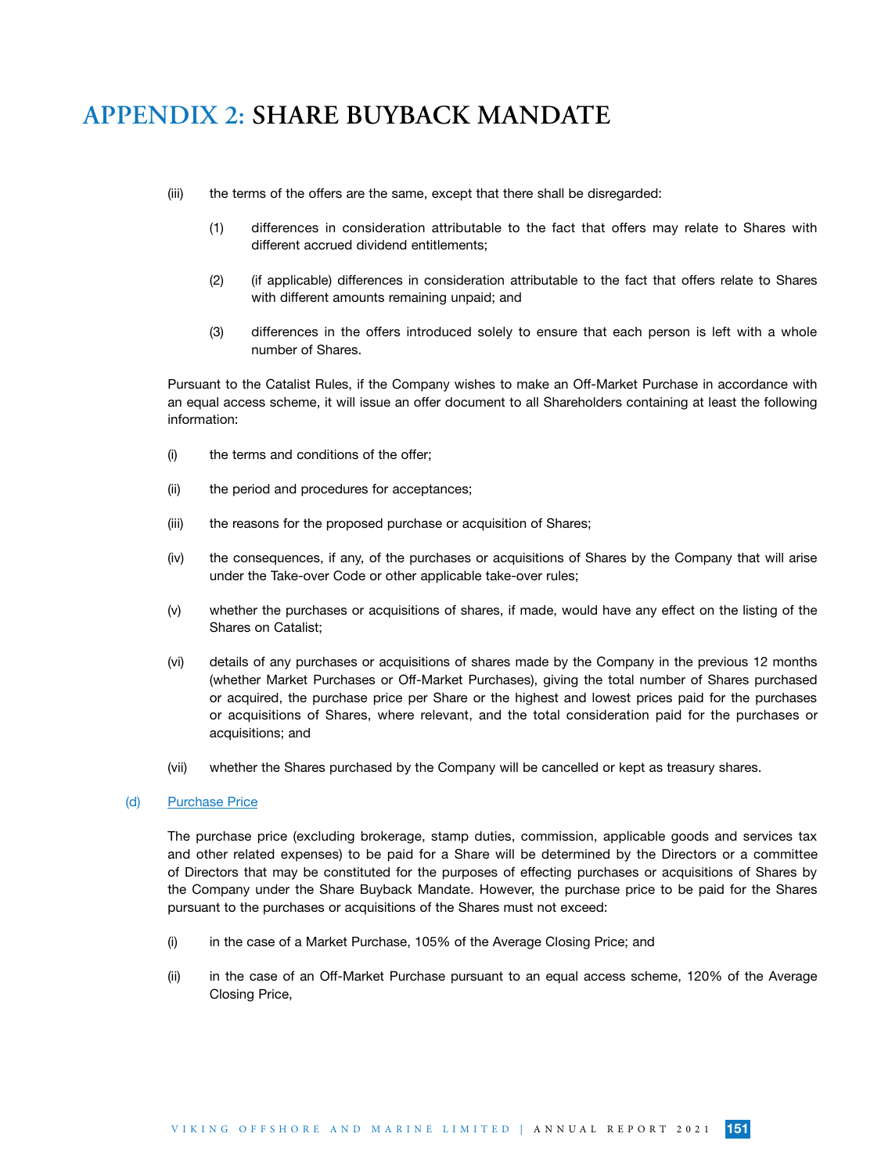- (iii) the terms of the offers are the same, except that there shall be disregarded:
	- (1) differences in consideration attributable to the fact that offers may relate to Shares with different accrued dividend entitlements;
	- (2) (if applicable) differences in consideration attributable to the fact that offers relate to Shares with different amounts remaining unpaid; and
	- (3) differences in the offers introduced solely to ensure that each person is left with a whole number of Shares.

Pursuant to the Catalist Rules, if the Company wishes to make an Off-Market Purchase in accordance with an equal access scheme, it will issue an offer document to all Shareholders containing at least the following information:

- (i) the terms and conditions of the offer;
- (ii) the period and procedures for acceptances;
- (iii) the reasons for the proposed purchase or acquisition of Shares;
- (iv) the consequences, if any, of the purchases or acquisitions of Shares by the Company that will arise under the Take-over Code or other applicable take-over rules;
- (v) whether the purchases or acquisitions of shares, if made, would have any effect on the listing of the Shares on Catalist;
- (vi) details of any purchases or acquisitions of shares made by the Company in the previous 12 months (whether Market Purchases or Off-Market Purchases), giving the total number of Shares purchased or acquired, the purchase price per Share or the highest and lowest prices paid for the purchases or acquisitions of Shares, where relevant, and the total consideration paid for the purchases or acquisitions; and
- (vii) whether the Shares purchased by the Company will be cancelled or kept as treasury shares.

### (d) Purchase Price

The purchase price (excluding brokerage, stamp duties, commission, applicable goods and services tax and other related expenses) to be paid for a Share will be determined by the Directors or a committee of Directors that may be constituted for the purposes of effecting purchases or acquisitions of Shares by the Company under the Share Buyback Mandate. However, the purchase price to be paid for the Shares pursuant to the purchases or acquisitions of the Shares must not exceed:

- (i) in the case of a Market Purchase, 105% of the Average Closing Price; and
- (ii) in the case of an Off-Market Purchase pursuant to an equal access scheme, 120% of the Average Closing Price,

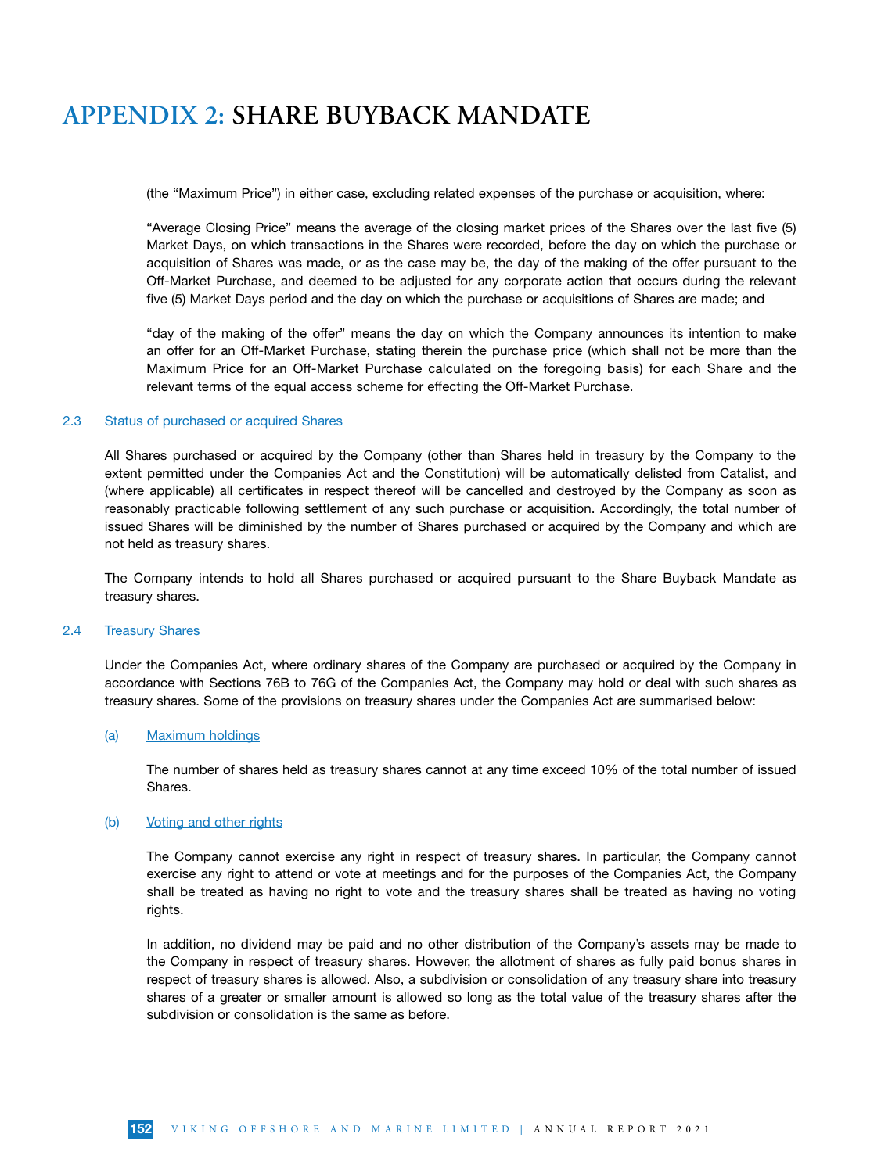(the "Maximum Price") in either case, excluding related expenses of the purchase or acquisition, where:

"Average Closing Price" means the average of the closing market prices of the Shares over the last five (5) Market Days, on which transactions in the Shares were recorded, before the day on which the purchase or acquisition of Shares was made, or as the case may be, the day of the making of the offer pursuant to the Off-Market Purchase, and deemed to be adjusted for any corporate action that occurs during the relevant five (5) Market Days period and the day on which the purchase or acquisitions of Shares are made; and

"day of the making of the offer" means the day on which the Company announces its intention to make an offer for an Off-Market Purchase, stating therein the purchase price (which shall not be more than the Maximum Price for an Off-Market Purchase calculated on the foregoing basis) for each Share and the relevant terms of the equal access scheme for effecting the Off-Market Purchase.

#### 2.3 Status of purchased or acquired Shares

All Shares purchased or acquired by the Company (other than Shares held in treasury by the Company to the extent permitted under the Companies Act and the Constitution) will be automatically delisted from Catalist, and (where applicable) all certificates in respect thereof will be cancelled and destroyed by the Company as soon as reasonably practicable following settlement of any such purchase or acquisition. Accordingly, the total number of issued Shares will be diminished by the number of Shares purchased or acquired by the Company and which are not held as treasury shares.

The Company intends to hold all Shares purchased or acquired pursuant to the Share Buyback Mandate as treasury shares.

### 2.4 Treasury Shares

Under the Companies Act, where ordinary shares of the Company are purchased or acquired by the Company in accordance with Sections 76B to 76G of the Companies Act, the Company may hold or deal with such shares as treasury shares. Some of the provisions on treasury shares under the Companies Act are summarised below:

#### (a) Maximum holdings

The number of shares held as treasury shares cannot at any time exceed 10% of the total number of issued Shares.

#### (b) Voting and other rights

The Company cannot exercise any right in respect of treasury shares. In particular, the Company cannot exercise any right to attend or vote at meetings and for the purposes of the Companies Act, the Company shall be treated as having no right to vote and the treasury shares shall be treated as having no voting rights.

In addition, no dividend may be paid and no other distribution of the Company's assets may be made to the Company in respect of treasury shares. However, the allotment of shares as fully paid bonus shares in respect of treasury shares is allowed. Also, a subdivision or consolidation of any treasury share into treasury shares of a greater or smaller amount is allowed so long as the total value of the treasury shares after the subdivision or consolidation is the same as before.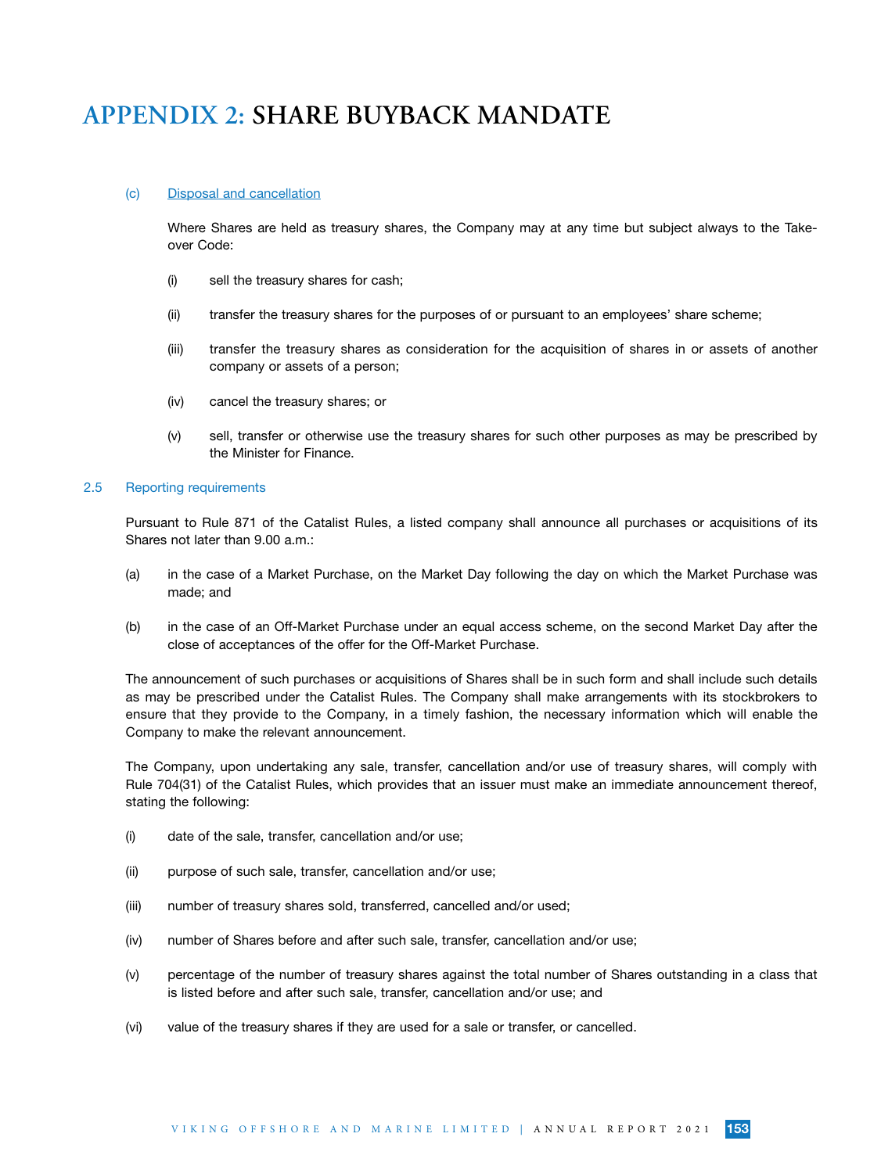#### (c) Disposal and cancellation

Where Shares are held as treasury shares, the Company may at any time but subject always to the Takeover Code:

- (i) sell the treasury shares for cash;
- (ii) transfer the treasury shares for the purposes of or pursuant to an employees' share scheme;
- (iii) transfer the treasury shares as consideration for the acquisition of shares in or assets of another company or assets of a person;
- (iv) cancel the treasury shares; or
- (v) sell, transfer or otherwise use the treasury shares for such other purposes as may be prescribed by the Minister for Finance.

#### 2.5 Reporting requirements

Pursuant to Rule 871 of the Catalist Rules, a listed company shall announce all purchases or acquisitions of its Shares not later than 9.00 a.m.:

- (a) in the case of a Market Purchase, on the Market Day following the day on which the Market Purchase was made; and
- (b) in the case of an Off-Market Purchase under an equal access scheme, on the second Market Day after the close of acceptances of the offer for the Off-Market Purchase.

The announcement of such purchases or acquisitions of Shares shall be in such form and shall include such details as may be prescribed under the Catalist Rules. The Company shall make arrangements with its stockbrokers to ensure that they provide to the Company, in a timely fashion, the necessary information which will enable the Company to make the relevant announcement.

The Company, upon undertaking any sale, transfer, cancellation and/or use of treasury shares, will comply with Rule 704(31) of the Catalist Rules, which provides that an issuer must make an immediate announcement thereof, stating the following:

- (i) date of the sale, transfer, cancellation and/or use;
- (ii) purpose of such sale, transfer, cancellation and/or use;
- (iii) number of treasury shares sold, transferred, cancelled and/or used;
- (iv) number of Shares before and after such sale, transfer, cancellation and/or use;
- (v) percentage of the number of treasury shares against the total number of Shares outstanding in a class that is listed before and after such sale, transfer, cancellation and/or use; and
- (vi) value of the treasury shares if they are used for a sale or transfer, or cancelled.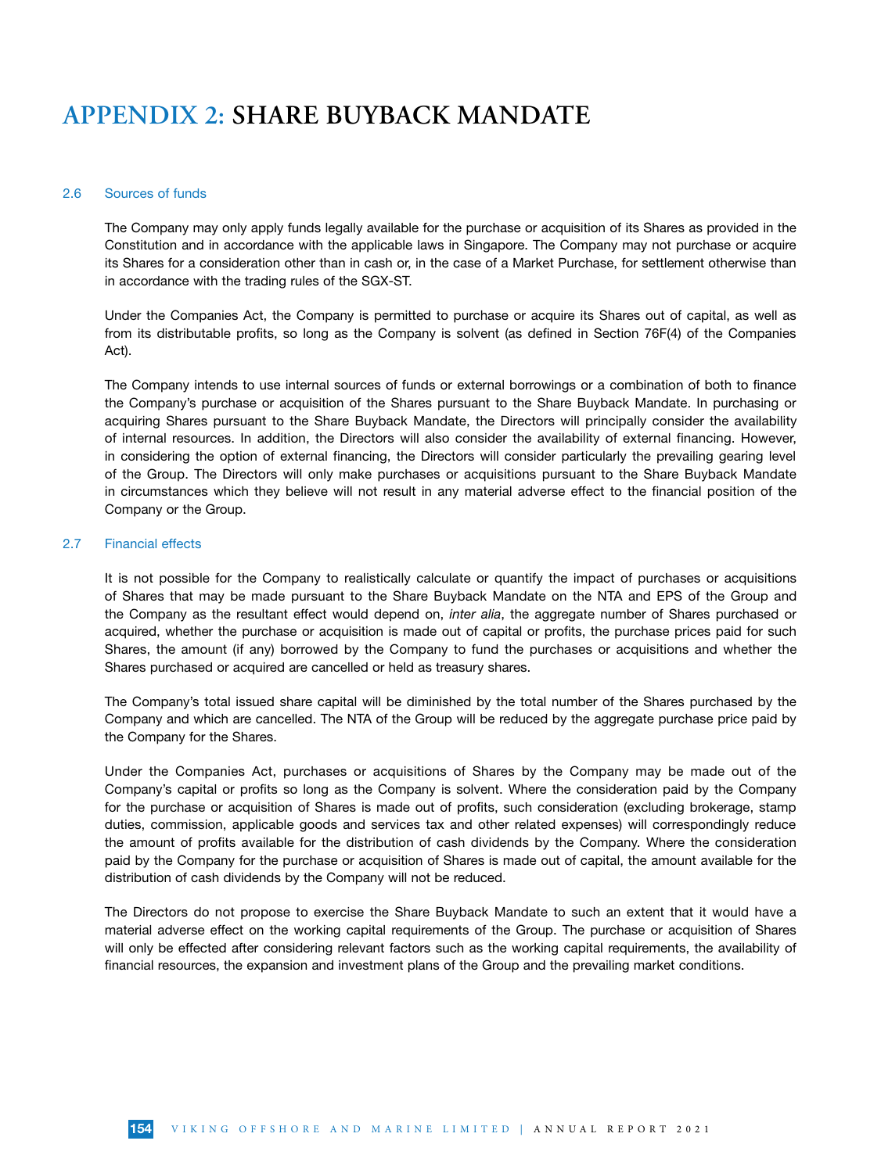#### 2.6 Sources of funds

The Company may only apply funds legally available for the purchase or acquisition of its Shares as provided in the Constitution and in accordance with the applicable laws in Singapore. The Company may not purchase or acquire its Shares for a consideration other than in cash or, in the case of a Market Purchase, for settlement otherwise than in accordance with the trading rules of the SGX-ST.

Under the Companies Act, the Company is permitted to purchase or acquire its Shares out of capital, as well as from its distributable profits, so long as the Company is solvent (as defined in Section 76F(4) of the Companies Act).

The Company intends to use internal sources of funds or external borrowings or a combination of both to finance the Company's purchase or acquisition of the Shares pursuant to the Share Buyback Mandate. In purchasing or acquiring Shares pursuant to the Share Buyback Mandate, the Directors will principally consider the availability of internal resources. In addition, the Directors will also consider the availability of external financing. However, in considering the option of external financing, the Directors will consider particularly the prevailing gearing level of the Group. The Directors will only make purchases or acquisitions pursuant to the Share Buyback Mandate in circumstances which they believe will not result in any material adverse effect to the financial position of the Company or the Group.

#### 2.7 Financial effects

It is not possible for the Company to realistically calculate or quantify the impact of purchases or acquisitions of Shares that may be made pursuant to the Share Buyback Mandate on the NTA and EPS of the Group and the Company as the resultant effect would depend on, *inter alia*, the aggregate number of Shares purchased or acquired, whether the purchase or acquisition is made out of capital or profits, the purchase prices paid for such Shares, the amount (if any) borrowed by the Company to fund the purchases or acquisitions and whether the Shares purchased or acquired are cancelled or held as treasury shares.

The Company's total issued share capital will be diminished by the total number of the Shares purchased by the Company and which are cancelled. The NTA of the Group will be reduced by the aggregate purchase price paid by the Company for the Shares.

Under the Companies Act, purchases or acquisitions of Shares by the Company may be made out of the Company's capital or profits so long as the Company is solvent. Where the consideration paid by the Company for the purchase or acquisition of Shares is made out of profits, such consideration (excluding brokerage, stamp duties, commission, applicable goods and services tax and other related expenses) will correspondingly reduce the amount of profits available for the distribution of cash dividends by the Company. Where the consideration paid by the Company for the purchase or acquisition of Shares is made out of capital, the amount available for the distribution of cash dividends by the Company will not be reduced.

The Directors do not propose to exercise the Share Buyback Mandate to such an extent that it would have a material adverse effect on the working capital requirements of the Group. The purchase or acquisition of Shares will only be effected after considering relevant factors such as the working capital requirements, the availability of financial resources, the expansion and investment plans of the Group and the prevailing market conditions.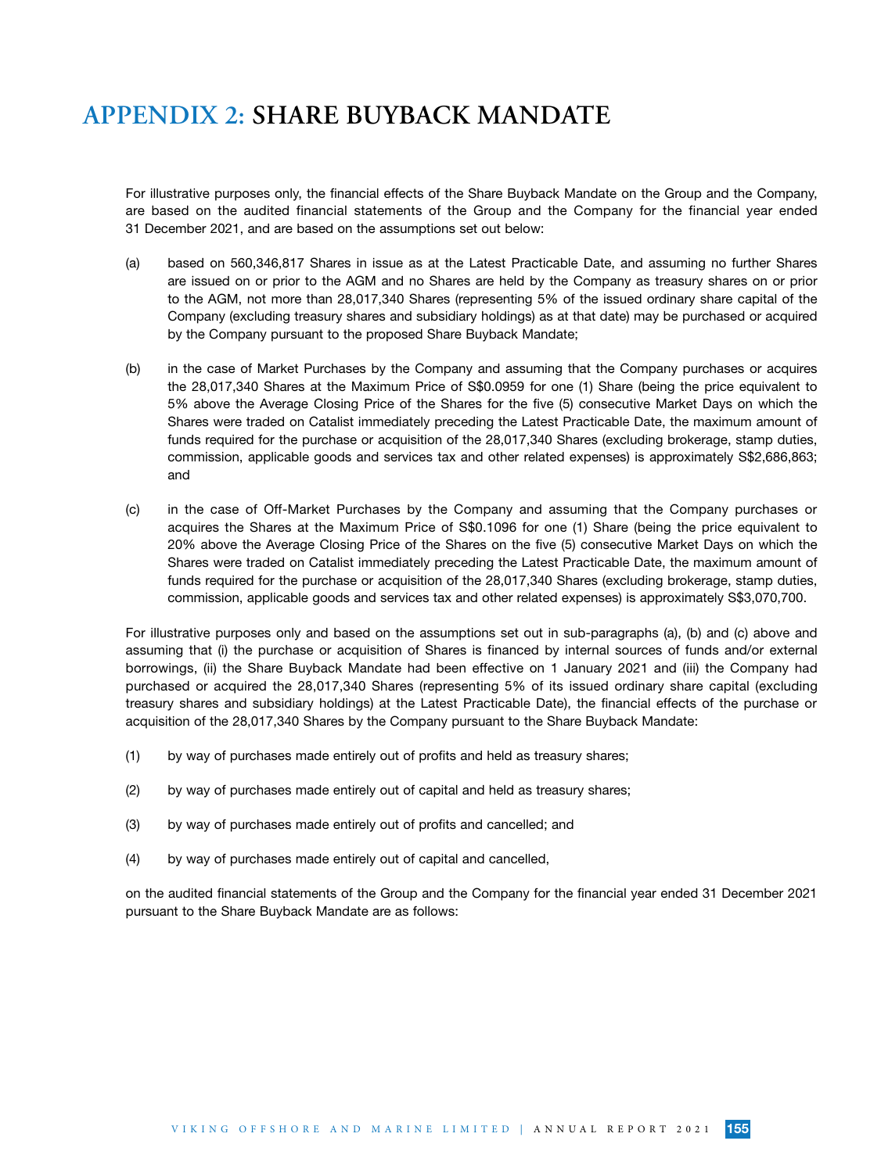For illustrative purposes only, the financial effects of the Share Buyback Mandate on the Group and the Company, are based on the audited financial statements of the Group and the Company for the financial year ended 31 December 2021, and are based on the assumptions set out below:

- (a) based on 560,346,817 Shares in issue as at the Latest Practicable Date, and assuming no further Shares are issued on or prior to the AGM and no Shares are held by the Company as treasury shares on or prior to the AGM, not more than 28,017,340 Shares (representing 5% of the issued ordinary share capital of the Company (excluding treasury shares and subsidiary holdings) as at that date) may be purchased or acquired by the Company pursuant to the proposed Share Buyback Mandate;
- (b) in the case of Market Purchases by the Company and assuming that the Company purchases or acquires the 28,017,340 Shares at the Maximum Price of S\$0.0959 for one (1) Share (being the price equivalent to 5% above the Average Closing Price of the Shares for the five (5) consecutive Market Days on which the Shares were traded on Catalist immediately preceding the Latest Practicable Date, the maximum amount of funds required for the purchase or acquisition of the 28,017,340 Shares (excluding brokerage, stamp duties, commission, applicable goods and services tax and other related expenses) is approximately S\$2,686,863; and
- (c) in the case of Off-Market Purchases by the Company and assuming that the Company purchases or acquires the Shares at the Maximum Price of S\$0.1096 for one (1) Share (being the price equivalent to 20% above the Average Closing Price of the Shares on the five (5) consecutive Market Days on which the Shares were traded on Catalist immediately preceding the Latest Practicable Date, the maximum amount of funds required for the purchase or acquisition of the 28,017,340 Shares (excluding brokerage, stamp duties, commission, applicable goods and services tax and other related expenses) is approximately S\$3,070,700.

For illustrative purposes only and based on the assumptions set out in sub-paragraphs (a), (b) and (c) above and assuming that (i) the purchase or acquisition of Shares is financed by internal sources of funds and/or external borrowings, (ii) the Share Buyback Mandate had been effective on 1 January 2021 and (iii) the Company had purchased or acquired the 28,017,340 Shares (representing 5% of its issued ordinary share capital (excluding treasury shares and subsidiary holdings) at the Latest Practicable Date), the financial effects of the purchase or acquisition of the 28,017,340 Shares by the Company pursuant to the Share Buyback Mandate:

- (1) by way of purchases made entirely out of profits and held as treasury shares;
- (2) by way of purchases made entirely out of capital and held as treasury shares;
- (3) by way of purchases made entirely out of profits and cancelled; and
- (4) by way of purchases made entirely out of capital and cancelled,

on the audited financial statements of the Group and the Company for the financial year ended 31 December 2021 pursuant to the Share Buyback Mandate are as follows: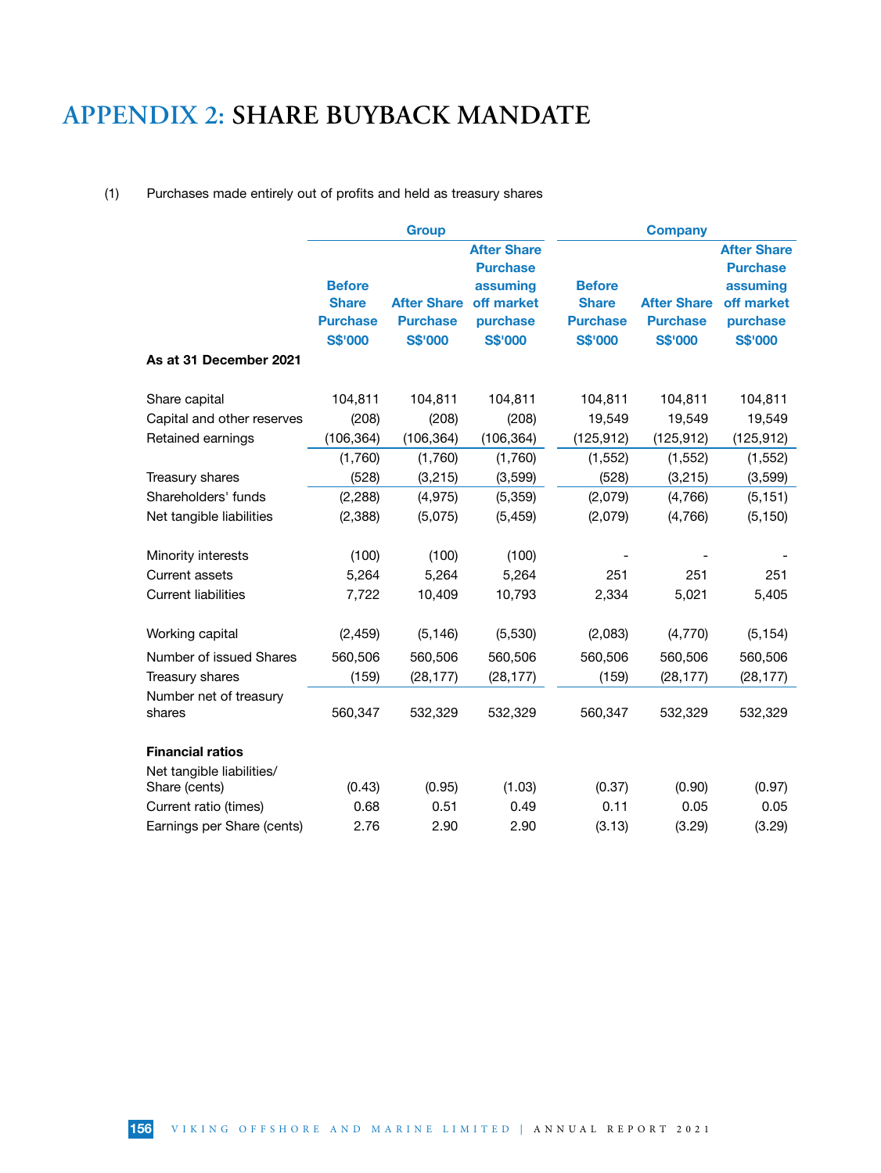### (1) Purchases made entirely out of profits and held as treasury shares

|                            |                 | <b>Group</b>       |                    |                 | <b>Company</b>     |                    |
|----------------------------|-----------------|--------------------|--------------------|-----------------|--------------------|--------------------|
|                            |                 |                    | <b>After Share</b> |                 |                    | <b>After Share</b> |
|                            |                 |                    | <b>Purchase</b>    |                 |                    | <b>Purchase</b>    |
|                            | <b>Before</b>   |                    | assuming           | <b>Before</b>   |                    | assuming           |
|                            | <b>Share</b>    | <b>After Share</b> | off market         | <b>Share</b>    | <b>After Share</b> | off market         |
|                            | <b>Purchase</b> | <b>Purchase</b>    | purchase           | <b>Purchase</b> | <b>Purchase</b>    | purchase           |
|                            | <b>S\$'000</b>  | <b>S\$'000</b>     | <b>S\$'000</b>     | <b>S\$'000</b>  | <b>S\$'000</b>     | <b>S\$'000</b>     |
| As at 31 December 2021     |                 |                    |                    |                 |                    |                    |
| Share capital              | 104,811         | 104,811            | 104,811            | 104,811         | 104,811            | 104,811            |
| Capital and other reserves | (208)           | (208)              | (208)              | 19,549          | 19,549             | 19,549             |
| Retained earnings          | (106, 364)      | (106, 364)         | (106, 364)         | (125, 912)      | (125, 912)         | (125, 912)         |
|                            | (1,760)         | (1,760)            | (1,760)            | (1, 552)        | (1, 552)           | (1, 552)           |
| Treasury shares            | (528)           | (3,215)            | (3,599)            | (528)           | (3,215)            | (3, 599)           |
| Shareholders' funds        | (2, 288)        | (4, 975)           | (5, 359)           | (2,079)         | (4,766)            | (5, 151)           |
| Net tangible liabilities   | (2,388)         | (5,075)            | (5, 459)           | (2,079)         | (4, 766)           | (5, 150)           |
| Minority interests         | (100)           | (100)              | (100)              |                 |                    |                    |
| <b>Current assets</b>      | 5,264           | 5,264              | 5,264              | 251             | 251                | 251                |
| <b>Current liabilities</b> | 7,722           | 10,409             | 10,793             | 2,334           | 5,021              | 5,405              |
| Working capital            | (2, 459)        | (5, 146)           | (5,530)            | (2,083)         | (4,770)            | (5, 154)           |
| Number of issued Shares    | 560,506         | 560,506            | 560,506            | 560,506         | 560,506            | 560,506            |
| Treasury shares            | (159)           | (28, 177)          | (28, 177)          | (159)           | (28, 177)          | (28, 177)          |
| Number net of treasury     |                 |                    |                    |                 |                    |                    |
| shares                     | 560,347         | 532,329            | 532,329            | 560,347         | 532,329            | 532,329            |
| <b>Financial ratios</b>    |                 |                    |                    |                 |                    |                    |
| Net tangible liabilities/  |                 |                    |                    |                 |                    |                    |
| Share (cents)              | (0.43)          | (0.95)             | (1.03)             | (0.37)          | (0.90)             | (0.97)             |
| Current ratio (times)      | 0.68            | 0.51               | 0.49               | 0.11            | 0.05               | 0.05               |
| Earnings per Share (cents) | 2.76            | 2.90               | 2.90               | (3.13)          | (3.29)             | (3.29)             |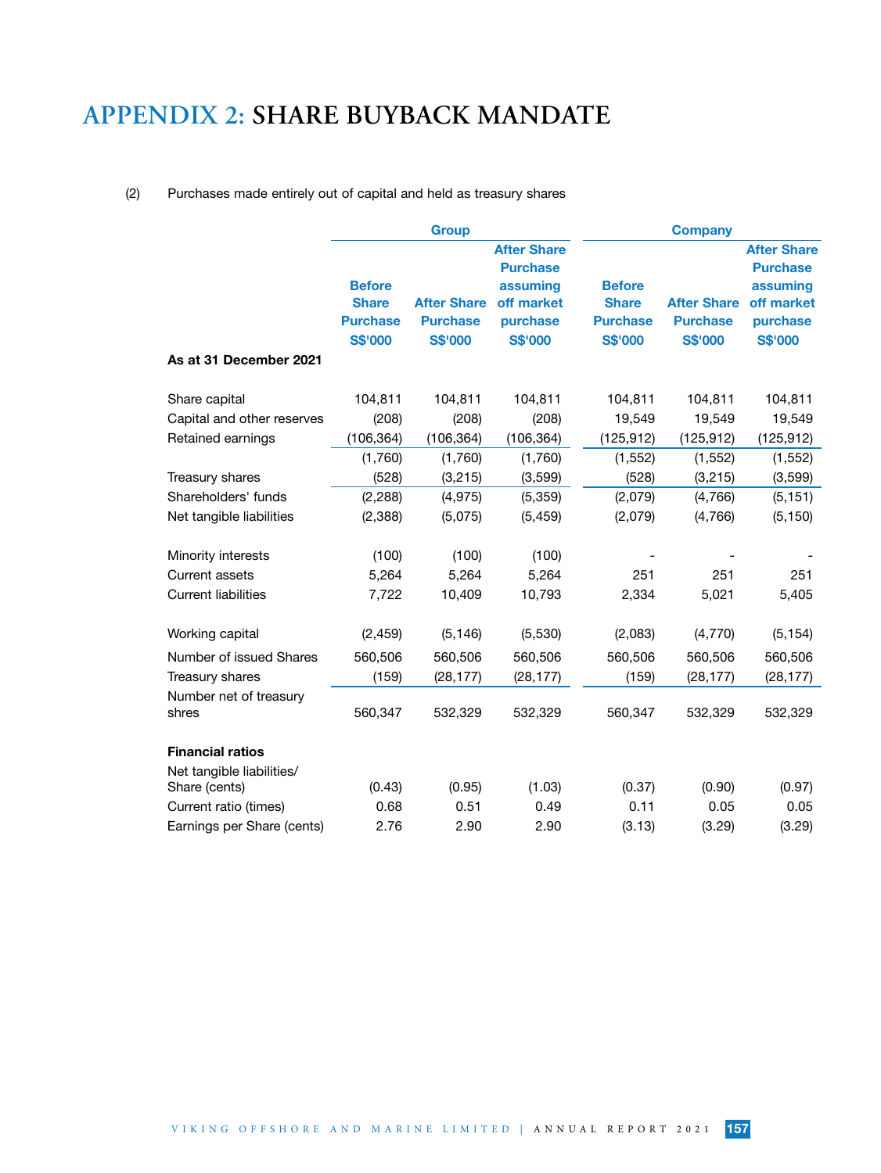### (2) Purchases made entirely out of capital and held as treasury shares

|                                 |                 | <b>Group</b>       |                                       |                 | <b>Company</b>     |                                       |
|---------------------------------|-----------------|--------------------|---------------------------------------|-----------------|--------------------|---------------------------------------|
|                                 |                 |                    | <b>After Share</b><br><b>Purchase</b> |                 |                    | <b>After Share</b><br><b>Purchase</b> |
|                                 | <b>Before</b>   |                    | assuming                              | <b>Before</b>   |                    | assuming                              |
|                                 | <b>Share</b>    | <b>After Share</b> | off market                            | <b>Share</b>    | <b>After Share</b> | off market                            |
|                                 | <b>Purchase</b> | <b>Purchase</b>    | purchase                              | <b>Purchase</b> | <b>Purchase</b>    | purchase                              |
|                                 | <b>S\$'000</b>  | <b>S\$'000</b>     | <b>S\$'000</b>                        | <b>S\$'000</b>  | <b>S\$'000</b>     | <b>S\$'000</b>                        |
| As at 31 December 2021          |                 |                    |                                       |                 |                    |                                       |
| Share capital                   | 104,811         | 104,811            | 104,811                               | 104,811         | 104,811            | 104,811                               |
| Capital and other reserves      | (208)           | (208)              | (208)                                 | 19,549          | 19,549             | 19,549                                |
| Retained earnings               | (106, 364)      | (106, 364)         | (106, 364)                            | (125, 912)      | (125, 912)         | (125, 912)                            |
|                                 | (1,760)         | (1,760)            | (1,760)                               | (1, 552)        | (1, 552)           | (1, 552)                              |
| Treasury shares                 | (528)           | (3,215)            | (3, 599)                              | (528)           | (3,215)            | (3, 599)                              |
| Shareholders' funds             | (2, 288)        | (4, 975)           | (5, 359)                              | (2,079)         | (4,766)            | (5, 151)                              |
| Net tangible liabilities        | (2, 388)        | (5,075)            | (5, 459)                              | (2,079)         | (4,766)            | (5, 150)                              |
| Minority interests              | (100)           | (100)              | (100)                                 |                 |                    |                                       |
| <b>Current assets</b>           | 5,264           | 5,264              | 5,264                                 | 251             | 251                | 251                                   |
| <b>Current liabilities</b>      | 7,722           | 10,409             | 10,793                                | 2,334           | 5,021              | 5,405                                 |
| Working capital                 | (2, 459)        | (5, 146)           | (5,530)                               | (2,083)         | (4,770)            | (5, 154)                              |
| Number of issued Shares         | 560,506         | 560,506            | 560,506                               | 560,506         | 560,506            | 560,506                               |
| Treasury shares                 | (159)           | (28, 177)          | (28, 177)                             | (159)           | (28, 177)          | (28, 177)                             |
| Number net of treasury<br>shres | 560,347         | 532,329            | 532,329                               | 560,347         | 532,329            | 532,329                               |
| <b>Financial ratios</b>         |                 |                    |                                       |                 |                    |                                       |
| Net tangible liabilities/       |                 |                    |                                       |                 |                    |                                       |
| Share (cents)                   | (0.43)          | (0.95)             | (1.03)                                | (0.37)          | (0.90)             | (0.97)                                |
| Current ratio (times)           | 0.68            | 0.51               | 0.49                                  | 0.11            | 0.05               | 0.05                                  |
| Earnings per Share (cents)      | 2.76            | 2.90               | 2.90                                  | (3.13)          | (3.29)             | (3.29)                                |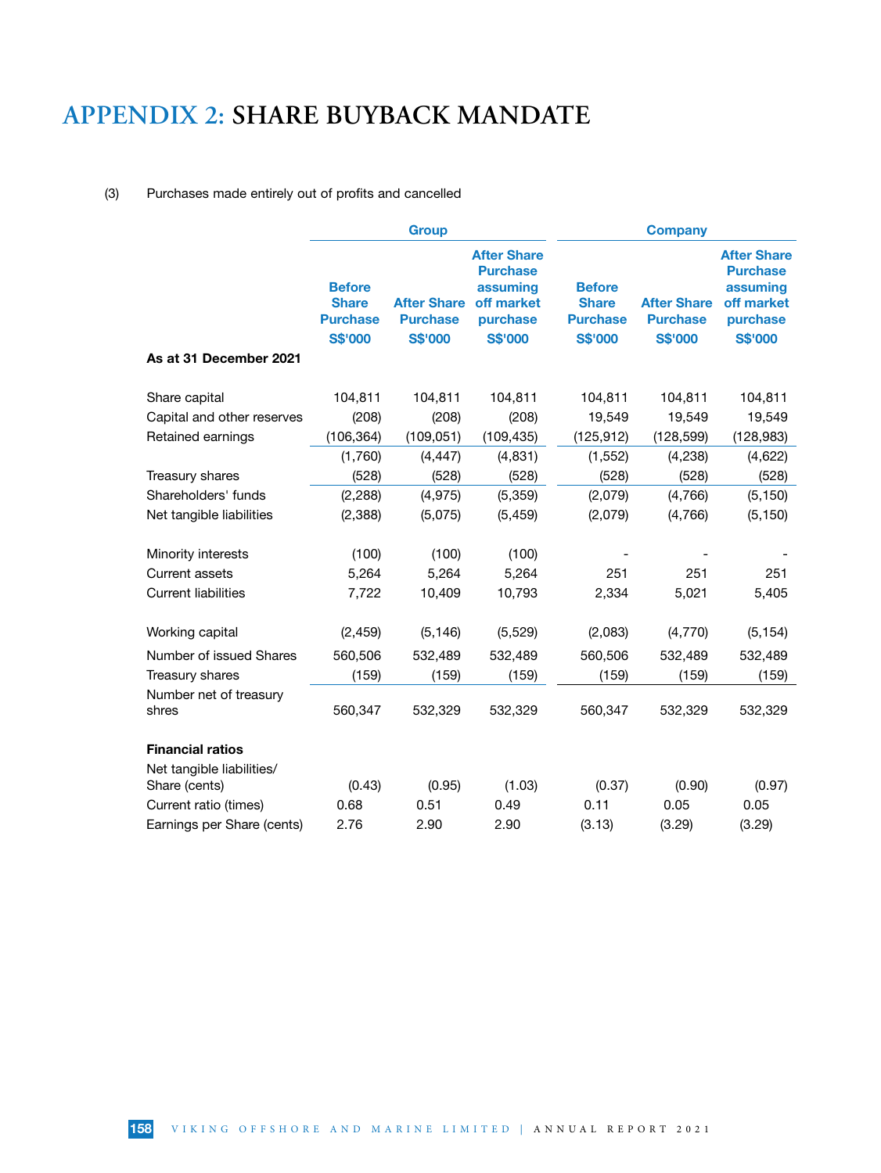### (3) Purchases made entirely out of profits and cancelled

|                                            | <b>Group</b>                                                       |                                                         |                                                                                               | <b>Company</b>                                                     |                                                         |                                                                                               |  |
|--------------------------------------------|--------------------------------------------------------------------|---------------------------------------------------------|-----------------------------------------------------------------------------------------------|--------------------------------------------------------------------|---------------------------------------------------------|-----------------------------------------------------------------------------------------------|--|
| As at 31 December 2021                     | <b>Before</b><br><b>Share</b><br><b>Purchase</b><br><b>S\$'000</b> | <b>After Share</b><br><b>Purchase</b><br><b>S\$'000</b> | <b>After Share</b><br><b>Purchase</b><br>assuming<br>off market<br>purchase<br><b>S\$'000</b> | <b>Before</b><br><b>Share</b><br><b>Purchase</b><br><b>S\$'000</b> | <b>After Share</b><br><b>Purchase</b><br><b>S\$'000</b> | <b>After Share</b><br><b>Purchase</b><br>assuming<br>off market<br>purchase<br><b>S\$'000</b> |  |
|                                            |                                                                    |                                                         |                                                                                               |                                                                    |                                                         |                                                                                               |  |
| Share capital                              | 104,811                                                            | 104,811                                                 | 104,811                                                                                       | 104,811                                                            | 104,811                                                 | 104,811                                                                                       |  |
| Capital and other reserves                 | (208)                                                              | (208)                                                   | (208)                                                                                         | 19,549                                                             | 19,549                                                  | 19,549                                                                                        |  |
| Retained earnings                          | (106, 364)                                                         | (109, 051)                                              | (109, 435)                                                                                    | (125, 912)                                                         | (128, 599)                                              | (128, 983)                                                                                    |  |
|                                            | (1,760)                                                            | (4, 447)                                                | (4, 831)                                                                                      | (1, 552)                                                           | (4, 238)                                                | (4,622)                                                                                       |  |
| Treasury shares                            | (528)                                                              | (528)                                                   | (528)                                                                                         | (528)                                                              | (528)                                                   | (528)                                                                                         |  |
| Shareholders' funds                        | (2, 288)                                                           | (4, 975)                                                | (5, 359)                                                                                      | (2,079)                                                            | (4,766)                                                 | (5, 150)                                                                                      |  |
| Net tangible liabilities                   | (2,388)                                                            | (5,075)                                                 | (5, 459)                                                                                      | (2,079)                                                            | (4,766)                                                 | (5, 150)                                                                                      |  |
| Minority interests                         | (100)                                                              | (100)                                                   | (100)                                                                                         |                                                                    |                                                         |                                                                                               |  |
| <b>Current assets</b>                      | 5,264                                                              | 5,264                                                   | 5,264                                                                                         | 251                                                                | 251                                                     | 251                                                                                           |  |
| <b>Current liabilities</b>                 | 7,722                                                              | 10,409                                                  | 10,793                                                                                        | 2,334                                                              | 5,021                                                   |                                                                                               |  |
| Working capital                            | (2, 459)                                                           | (5, 146)                                                | (5, 529)                                                                                      | (2,083)                                                            | (4,770)                                                 | (5, 154)                                                                                      |  |
| Number of issued Shares                    | 560,506                                                            | 532,489                                                 | 532,489                                                                                       | 560,506                                                            | 532,489                                                 | 532,489                                                                                       |  |
| Treasury shares                            | (159)                                                              | (159)                                                   | (159)                                                                                         | (159)                                                              | (159)                                                   | (159)                                                                                         |  |
| Number net of treasury<br>shres            | 560,347                                                            | 532,329                                                 | 532,329                                                                                       | 560,347                                                            | 532,329                                                 | 532,329                                                                                       |  |
| <b>Financial ratios</b>                    |                                                                    |                                                         |                                                                                               |                                                                    |                                                         |                                                                                               |  |
| Net tangible liabilities/<br>Share (cents) | (0.43)                                                             | (0.95)                                                  | (1.03)                                                                                        | (0.37)                                                             | (0.90)                                                  | (0.97)                                                                                        |  |
| Current ratio (times)                      | 0.68                                                               | 0.51                                                    | 0.49                                                                                          | 0.11                                                               | 0.05                                                    | 0.05                                                                                          |  |
| Earnings per Share (cents)                 | 2.76                                                               | 2.90                                                    | 2.90                                                                                          | (3.13)                                                             | (3.29)                                                  | (3.29)                                                                                        |  |
|                                            |                                                                    |                                                         |                                                                                               |                                                                    |                                                         |                                                                                               |  |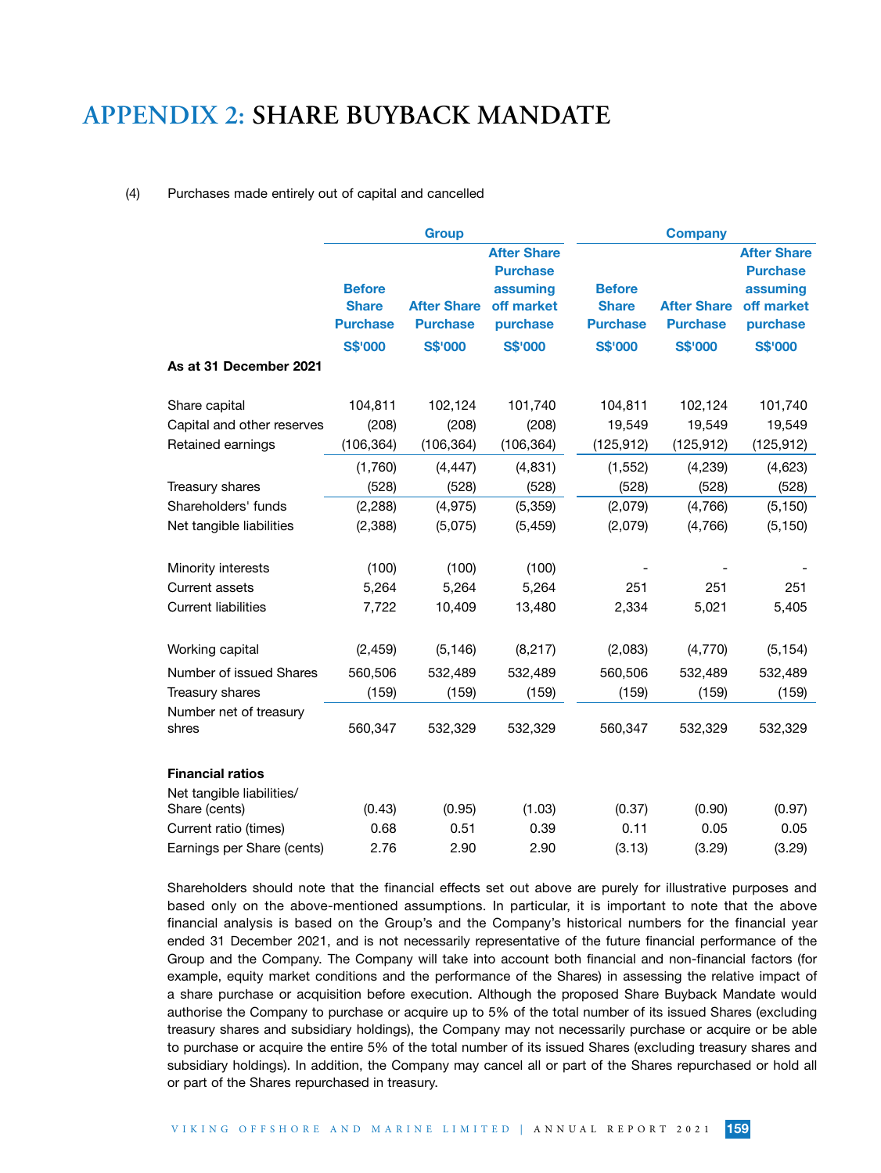#### (4) Purchases made entirely out of capital and cancelled

|                                                      | <b>Group</b>                    |                                       |                                       | <b>Company</b>                  |                                       |                                       |  |
|------------------------------------------------------|---------------------------------|---------------------------------------|---------------------------------------|---------------------------------|---------------------------------------|---------------------------------------|--|
|                                                      |                                 |                                       | <b>After Share</b><br><b>Purchase</b> |                                 |                                       | <b>After Share</b><br><b>Purchase</b> |  |
|                                                      | <b>Before</b>                   |                                       | assuming                              | <b>Before</b>                   |                                       | assuming                              |  |
|                                                      | <b>Share</b><br><b>Purchase</b> | <b>After Share</b><br><b>Purchase</b> | off market<br>purchase                | <b>Share</b><br><b>Purchase</b> | <b>After Share</b><br><b>Purchase</b> | off market<br>purchase                |  |
|                                                      | <b>S\$'000</b>                  | <b>S\$'000</b>                        | <b>S\$'000</b>                        | <b>S\$'000</b>                  | <b>S\$'000</b>                        | <b>S\$'000</b>                        |  |
| As at 31 December 2021                               |                                 |                                       |                                       |                                 |                                       |                                       |  |
| Share capital                                        | 104,811                         | 102,124                               | 101,740                               | 104,811                         | 102,124                               | 101,740                               |  |
| Capital and other reserves                           | (208)                           | (208)                                 | (208)                                 | 19,549                          | 19,549                                | 19,549                                |  |
| Retained earnings                                    | (106, 364)                      | (106, 364)                            | (106, 364)                            | (125, 912)                      | (125, 912)                            | (125, 912)                            |  |
|                                                      | (1,760)                         | (4, 447)                              | (4,831)                               | (1, 552)                        | (4,239)                               | (4,623)                               |  |
| Treasury shares                                      | (528)                           | (528)                                 | (528)                                 | (528)                           | (528)                                 | (528)                                 |  |
| Shareholders' funds                                  | (2, 288)                        | (4, 975)                              | (5, 359)                              | (2,079)                         | (4,766)                               | (5, 150)                              |  |
| Net tangible liabilities                             | (2,388)                         | (5,075)                               | (5, 459)                              | (2,079)                         | (4,766)                               | (5, 150)                              |  |
| Minority interests                                   | (100)                           | (100)                                 | (100)                                 |                                 |                                       |                                       |  |
| Current assets                                       | 5,264                           | 5,264                                 | 5,264                                 | 251                             | 251                                   | 251                                   |  |
| <b>Current liabilities</b>                           | 7,722                           | 10,409                                | 13,480                                | 2,334                           | 5,021                                 | 5,405                                 |  |
| Working capital                                      | (2, 459)                        | (5, 146)                              | (8, 217)                              | (2,083)                         | (4, 770)                              | (5, 154)                              |  |
| Number of issued Shares                              | 560,506                         | 532,489                               | 532,489                               | 560,506                         | 532,489                               | 532,489                               |  |
| Treasury shares                                      | (159)                           | (159)                                 | (159)                                 | (159)                           | (159)                                 | (159)                                 |  |
| Number net of treasury<br>shres                      | 560,347                         | 532,329                               | 532,329                               | 560,347                         | 532,329                               | 532,329                               |  |
| <b>Financial ratios</b><br>Net tangible liabilities/ |                                 |                                       |                                       |                                 |                                       |                                       |  |
| Share (cents)                                        | (0.43)                          | (0.95)                                | (1.03)                                | (0.37)                          | (0.90)                                | (0.97)                                |  |
| Current ratio (times)                                | 0.68                            | 0.51                                  | 0.39                                  | 0.11                            | 0.05                                  | 0.05                                  |  |
| Earnings per Share (cents)                           | 2.76                            | 2.90                                  | 2.90                                  | (3.13)                          | (3.29)                                | (3.29)                                |  |

Shareholders should note that the financial effects set out above are purely for illustrative purposes and based only on the above-mentioned assumptions. In particular, it is important to note that the above financial analysis is based on the Group's and the Company's historical numbers for the financial year ended 31 December 2021, and is not necessarily representative of the future financial performance of the Group and the Company. The Company will take into account both financial and non-financial factors (for example, equity market conditions and the performance of the Shares) in assessing the relative impact of a share purchase or acquisition before execution. Although the proposed Share Buyback Mandate would authorise the Company to purchase or acquire up to 5% of the total number of its issued Shares (excluding treasury shares and subsidiary holdings), the Company may not necessarily purchase or acquire or be able to purchase or acquire the entire 5% of the total number of its issued Shares (excluding treasury shares and subsidiary holdings). In addition, the Company may cancel all or part of the Shares repurchased or hold all or part of the Shares repurchased in treasury.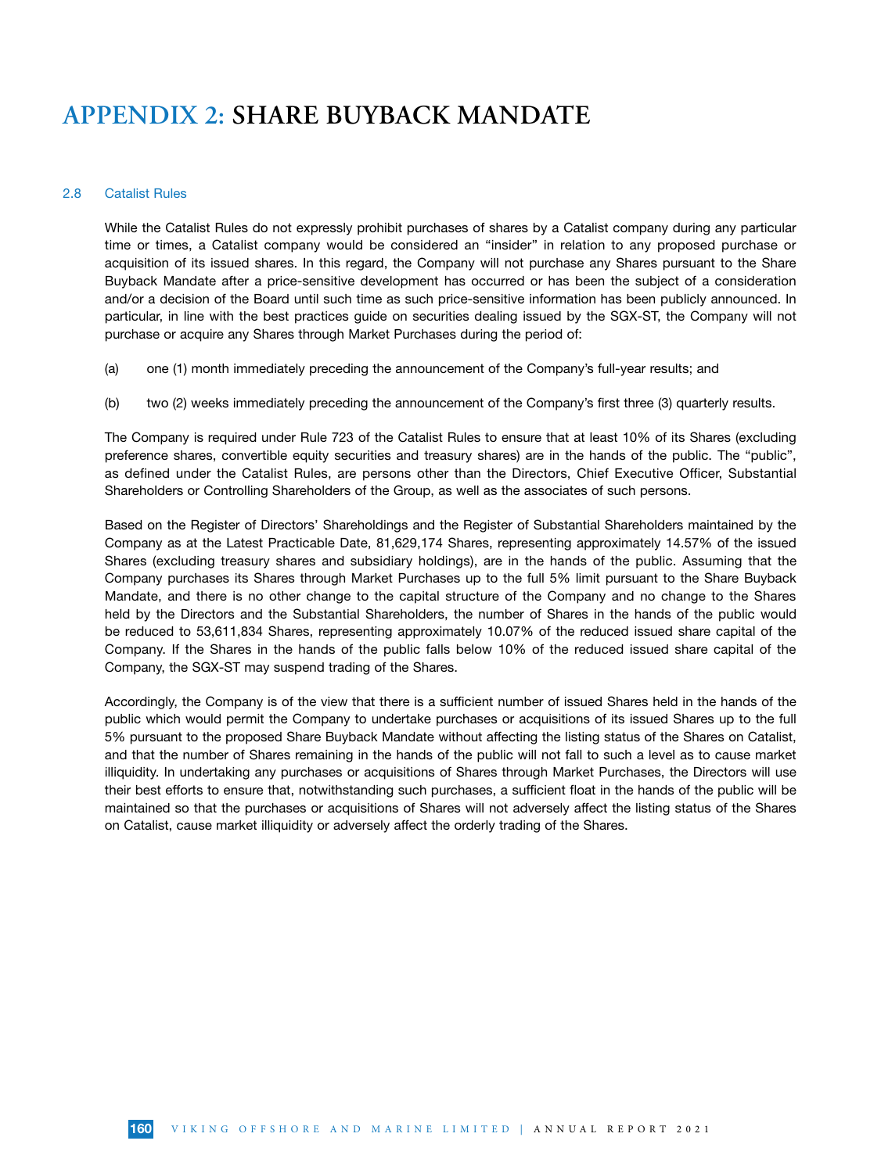#### 2.8 Catalist Rules

While the Catalist Rules do not expressly prohibit purchases of shares by a Catalist company during any particular time or times, a Catalist company would be considered an "insider" in relation to any proposed purchase or acquisition of its issued shares. In this regard, the Company will not purchase any Shares pursuant to the Share Buyback Mandate after a price-sensitive development has occurred or has been the subject of a consideration and/or a decision of the Board until such time as such price-sensitive information has been publicly announced. In particular, in line with the best practices guide on securities dealing issued by the SGX-ST, the Company will not purchase or acquire any Shares through Market Purchases during the period of:

- (a) one (1) month immediately preceding the announcement of the Company's full-year results; and
- (b) two (2) weeks immediately preceding the announcement of the Company's first three (3) quarterly results.

The Company is required under Rule 723 of the Catalist Rules to ensure that at least 10% of its Shares (excluding preference shares, convertible equity securities and treasury shares) are in the hands of the public. The "public", as defined under the Catalist Rules, are persons other than the Directors, Chief Executive Officer, Substantial Shareholders or Controlling Shareholders of the Group, as well as the associates of such persons.

Based on the Register of Directors' Shareholdings and the Register of Substantial Shareholders maintained by the Company as at the Latest Practicable Date, 81,629,174 Shares, representing approximately 14.57% of the issued Shares (excluding treasury shares and subsidiary holdings), are in the hands of the public. Assuming that the Company purchases its Shares through Market Purchases up to the full 5% limit pursuant to the Share Buyback Mandate, and there is no other change to the capital structure of the Company and no change to the Shares held by the Directors and the Substantial Shareholders, the number of Shares in the hands of the public would be reduced to 53,611,834 Shares, representing approximately 10.07% of the reduced issued share capital of the Company. If the Shares in the hands of the public falls below 10% of the reduced issued share capital of the Company, the SGX-ST may suspend trading of the Shares.

Accordingly, the Company is of the view that there is a sufficient number of issued Shares held in the hands of the public which would permit the Company to undertake purchases or acquisitions of its issued Shares up to the full 5% pursuant to the proposed Share Buyback Mandate without affecting the listing status of the Shares on Catalist, and that the number of Shares remaining in the hands of the public will not fall to such a level as to cause market illiquidity. In undertaking any purchases or acquisitions of Shares through Market Purchases, the Directors will use their best efforts to ensure that, notwithstanding such purchases, a sufficient float in the hands of the public will be maintained so that the purchases or acquisitions of Shares will not adversely affect the listing status of the Shares on Catalist, cause market illiquidity or adversely affect the orderly trading of the Shares.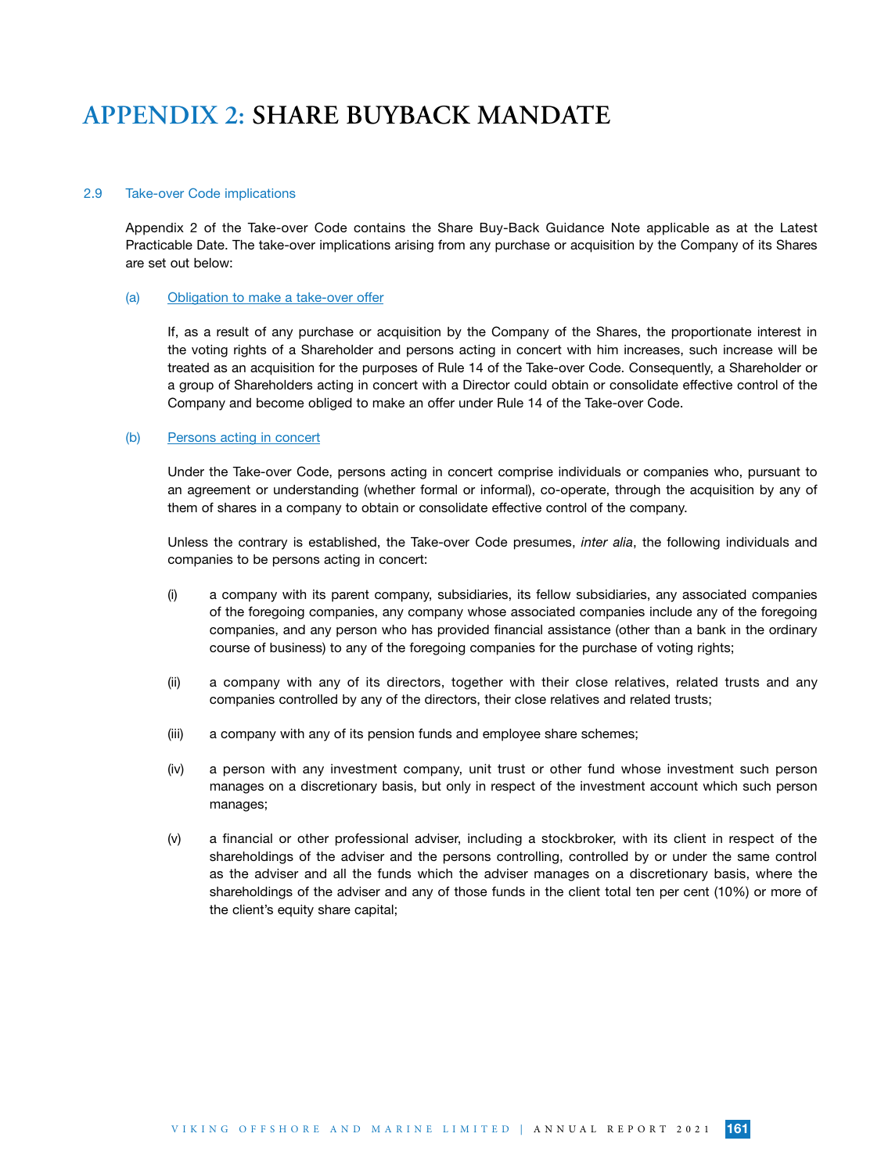#### 2.9 Take-over Code implications

Appendix 2 of the Take-over Code contains the Share Buy-Back Guidance Note applicable as at the Latest Practicable Date. The take-over implications arising from any purchase or acquisition by the Company of its Shares are set out below:

#### (a) Obligation to make a take-over offer

If, as a result of any purchase or acquisition by the Company of the Shares, the proportionate interest in the voting rights of a Shareholder and persons acting in concert with him increases, such increase will be treated as an acquisition for the purposes of Rule 14 of the Take-over Code. Consequently, a Shareholder or a group of Shareholders acting in concert with a Director could obtain or consolidate effective control of the Company and become obliged to make an offer under Rule 14 of the Take-over Code.

#### (b) Persons acting in concert

Under the Take-over Code, persons acting in concert comprise individuals or companies who, pursuant to an agreement or understanding (whether formal or informal), co-operate, through the acquisition by any of them of shares in a company to obtain or consolidate effective control of the company.

Unless the contrary is established, the Take-over Code presumes, *inter alia*, the following individuals and companies to be persons acting in concert:

- (i) a company with its parent company, subsidiaries, its fellow subsidiaries, any associated companies of the foregoing companies, any company whose associated companies include any of the foregoing companies, and any person who has provided financial assistance (other than a bank in the ordinary course of business) to any of the foregoing companies for the purchase of voting rights;
- (ii) a company with any of its directors, together with their close relatives, related trusts and any companies controlled by any of the directors, their close relatives and related trusts;
- (iii) a company with any of its pension funds and employee share schemes;
- (iv) a person with any investment company, unit trust or other fund whose investment such person manages on a discretionary basis, but only in respect of the investment account which such person manages;
- (v) a financial or other professional adviser, including a stockbroker, with its client in respect of the shareholdings of the adviser and the persons controlling, controlled by or under the same control as the adviser and all the funds which the adviser manages on a discretionary basis, where the shareholdings of the adviser and any of those funds in the client total ten per cent (10%) or more of the client's equity share capital;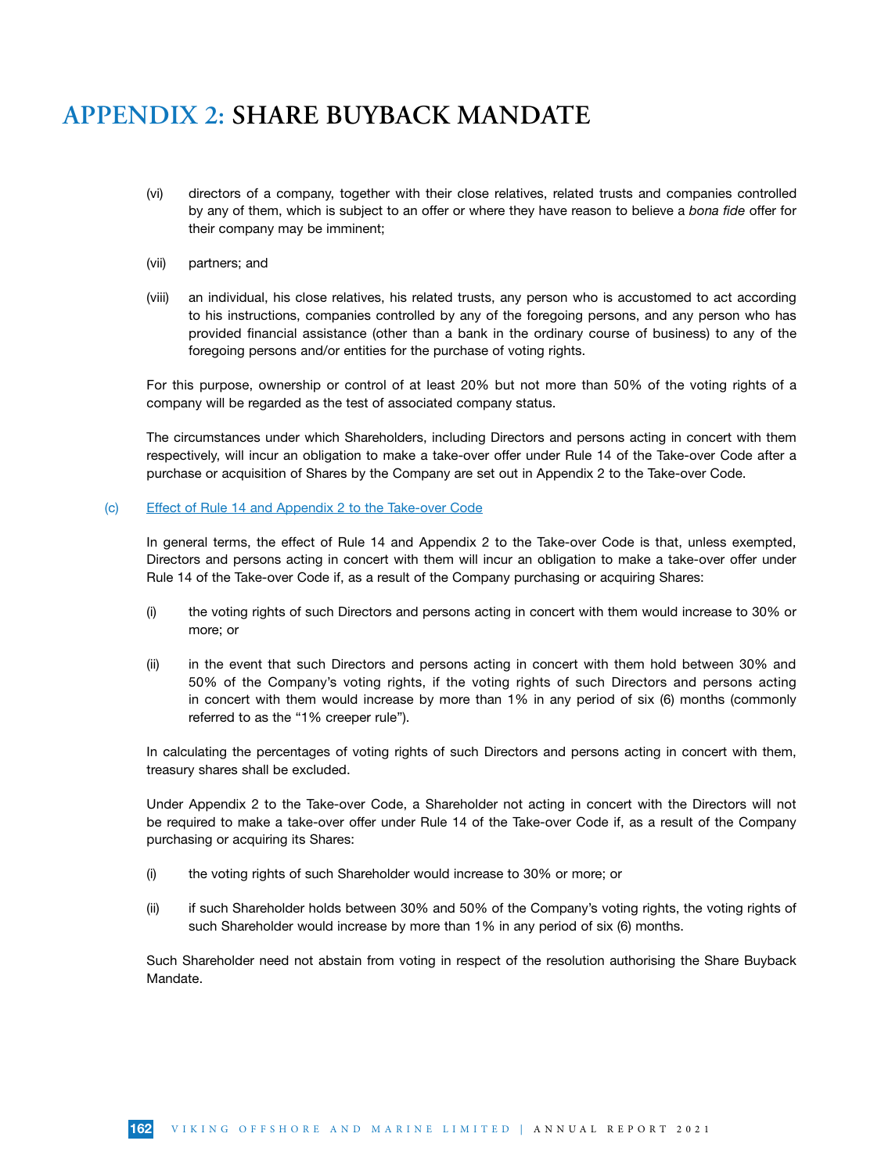- (vi) directors of a company, together with their close relatives, related trusts and companies controlled by any of them, which is subject to an offer or where they have reason to believe a *bona fide* offer for their company may be imminent;
- (vii) partners; and
- (viii) an individual, his close relatives, his related trusts, any person who is accustomed to act according to his instructions, companies controlled by any of the foregoing persons, and any person who has provided financial assistance (other than a bank in the ordinary course of business) to any of the foregoing persons and/or entities for the purchase of voting rights.

For this purpose, ownership or control of at least 20% but not more than 50% of the voting rights of a company will be regarded as the test of associated company status.

The circumstances under which Shareholders, including Directors and persons acting in concert with them respectively, will incur an obligation to make a take-over offer under Rule 14 of the Take-over Code after a purchase or acquisition of Shares by the Company are set out in Appendix 2 to the Take-over Code.

#### (c) Effect of Rule 14 and Appendix 2 to the Take-over Code

In general terms, the effect of Rule 14 and Appendix 2 to the Take-over Code is that, unless exempted, Directors and persons acting in concert with them will incur an obligation to make a take-over offer under Rule 14 of the Take-over Code if, as a result of the Company purchasing or acquiring Shares:

- (i) the voting rights of such Directors and persons acting in concert with them would increase to 30% or more; or
- (ii) in the event that such Directors and persons acting in concert with them hold between 30% and 50% of the Company's voting rights, if the voting rights of such Directors and persons acting in concert with them would increase by more than 1% in any period of six (6) months (commonly referred to as the "1% creeper rule").

In calculating the percentages of voting rights of such Directors and persons acting in concert with them, treasury shares shall be excluded.

Under Appendix 2 to the Take-over Code, a Shareholder not acting in concert with the Directors will not be required to make a take-over offer under Rule 14 of the Take-over Code if, as a result of the Company purchasing or acquiring its Shares:

- (i) the voting rights of such Shareholder would increase to 30% or more; or
- (ii) if such Shareholder holds between 30% and 50% of the Company's voting rights, the voting rights of such Shareholder would increase by more than 1% in any period of six (6) months.

Such Shareholder need not abstain from voting in respect of the resolution authorising the Share Buyback Mandate.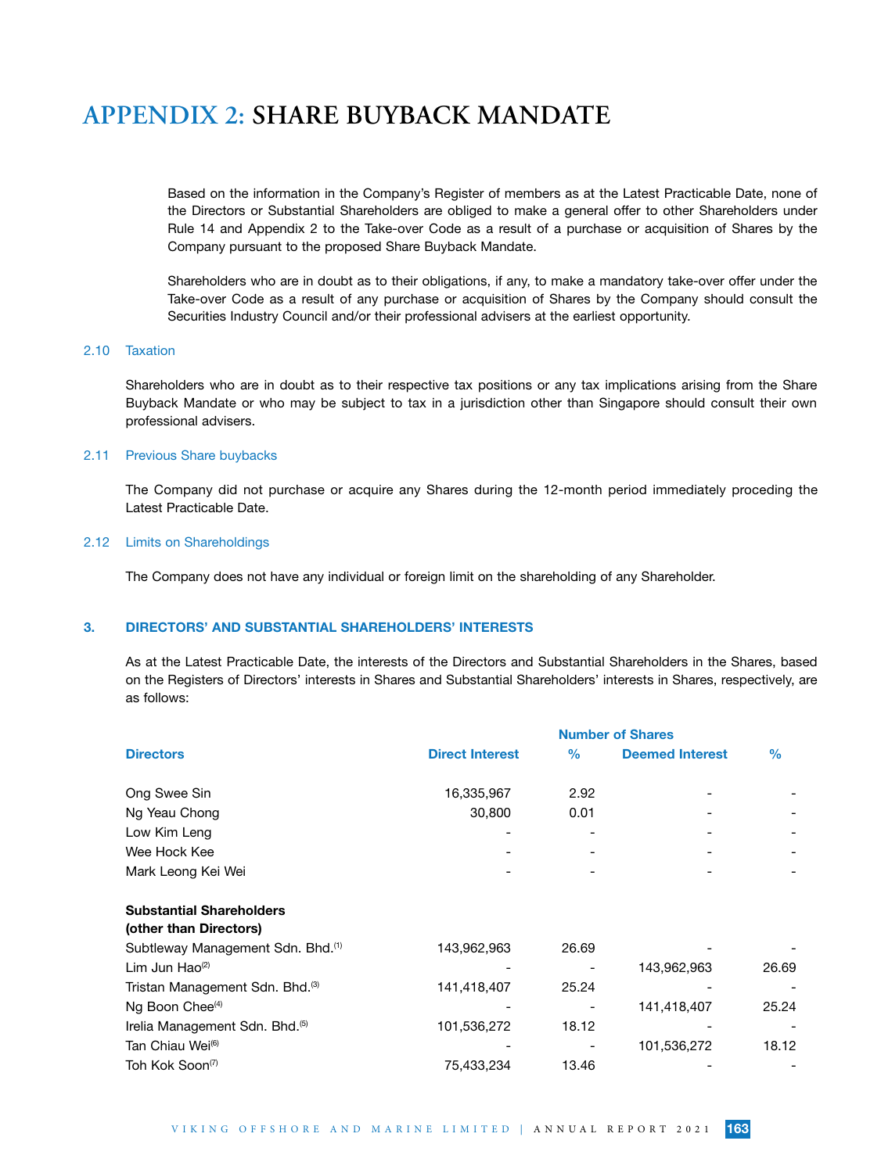Based on the information in the Company's Register of members as at the Latest Practicable Date, none of the Directors or Substantial Shareholders are obliged to make a general offer to other Shareholders under Rule 14 and Appendix 2 to the Take-over Code as a result of a purchase or acquisition of Shares by the Company pursuant to the proposed Share Buyback Mandate.

Shareholders who are in doubt as to their obligations, if any, to make a mandatory take-over offer under the Take-over Code as a result of any purchase or acquisition of Shares by the Company should consult the Securities Industry Council and/or their professional advisers at the earliest opportunity.

### 2.10 Taxation

Shareholders who are in doubt as to their respective tax positions or any tax implications arising from the Share Buyback Mandate or who may be subject to tax in a jurisdiction other than Singapore should consult their own professional advisers.

#### 2.11 Previous Share buybacks

The Company did not purchase or acquire any Shares during the 12-month period immediately proceding the Latest Practicable Date.

#### 2.12 Limits on Shareholdings

The Company does not have any individual or foreign limit on the shareholding of any Shareholder.

### 3. DIRECTORS' AND SUBSTANTIAL SHAREHOLDERS' INTERESTS

As at the Latest Practicable Date, the interests of the Directors and Substantial Shareholders in the Shares, based on the Registers of Directors' interests in Shares and Substantial Shareholders' interests in Shares, respectively, are as follows:

|                                                                    | <b>Number of Shares</b> |       |                        |               |  |  |  |
|--------------------------------------------------------------------|-------------------------|-------|------------------------|---------------|--|--|--|
| <b>Directors</b>                                                   | <b>Direct Interest</b>  | $\%$  | <b>Deemed Interest</b> | $\frac{0}{0}$ |  |  |  |
| Ong Swee Sin                                                       | 16,335,967              | 2.92  |                        |               |  |  |  |
| Ng Yeau Chong                                                      | 30,800                  | 0.01  |                        |               |  |  |  |
| Low Kim Leng                                                       |                         |       |                        |               |  |  |  |
| Wee Hock Kee                                                       |                         |       |                        |               |  |  |  |
| Mark Leong Kei Wei                                                 |                         |       |                        |               |  |  |  |
| <b>Substantial Shareholders</b>                                    |                         |       |                        |               |  |  |  |
| (other than Directors)                                             |                         | 26.69 |                        |               |  |  |  |
| Subtleway Management Sdn. Bhd. <sup>(1)</sup><br>Lim Jun Hao $(2)$ | 143,962,963             |       | 143,962,963            | 26.69         |  |  |  |
| Tristan Management Sdn. Bhd. <sup>(3)</sup>                        | 141,418,407             | 25.24 |                        |               |  |  |  |
| Ng Boon Chee <sup>(4)</sup>                                        |                         |       | 141,418,407            | 25.24         |  |  |  |
| Irelia Management Sdn. Bhd. <sup>(5)</sup>                         | 101,536,272             | 18.12 |                        |               |  |  |  |
| Tan Chiau Wei <sup>6</sup>                                         |                         |       | 101,536,272            | 18.12         |  |  |  |
| Toh Kok Soon <sup>(7)</sup>                                        | 75,433,234              | 13.46 |                        |               |  |  |  |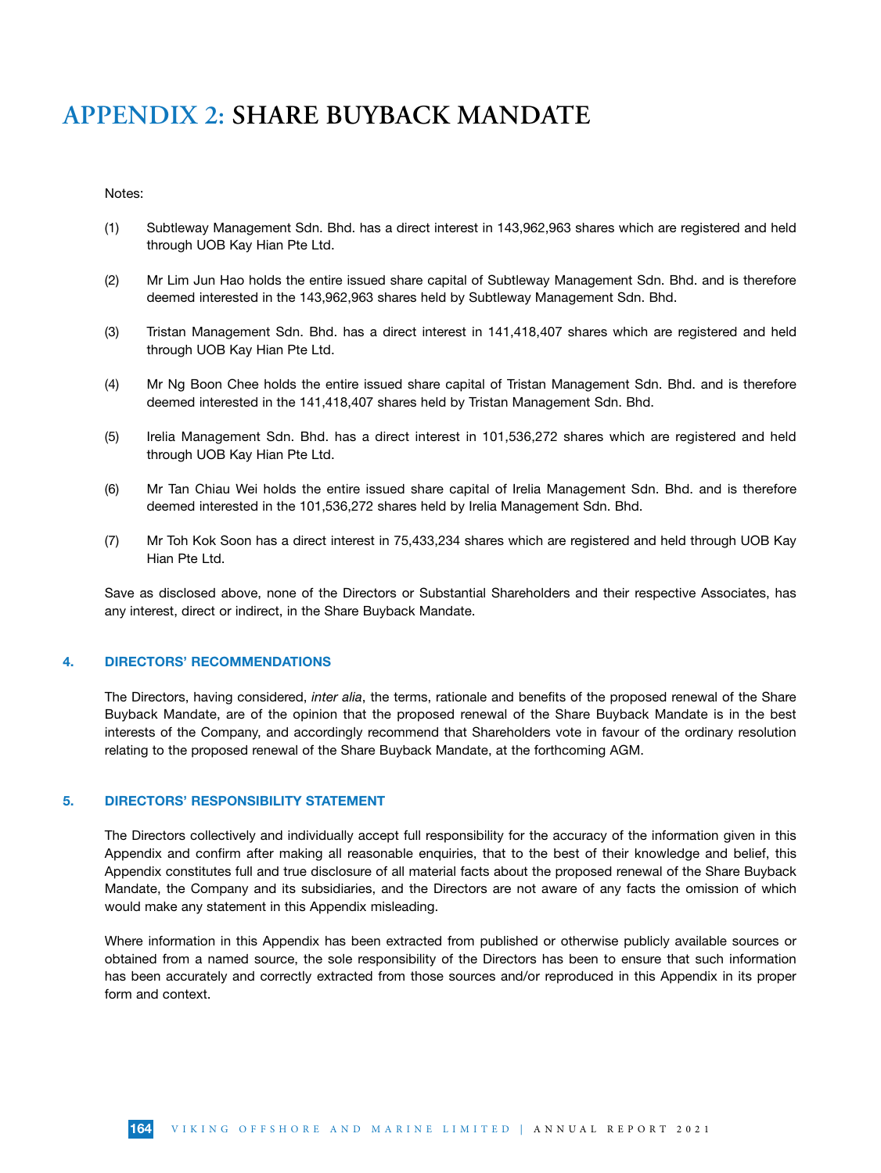#### Notes:

- (1) Subtleway Management Sdn. Bhd. has a direct interest in 143,962,963 shares which are registered and held through UOB Kay Hian Pte Ltd.
- (2) Mr Lim Jun Hao holds the entire issued share capital of Subtleway Management Sdn. Bhd. and is therefore deemed interested in the 143,962,963 shares held by Subtleway Management Sdn. Bhd.
- (3) Tristan Management Sdn. Bhd. has a direct interest in 141,418,407 shares which are registered and held through UOB Kay Hian Pte Ltd.
- (4) Mr Ng Boon Chee holds the entire issued share capital of Tristan Management Sdn. Bhd. and is therefore deemed interested in the 141,418,407 shares held by Tristan Management Sdn. Bhd.
- (5) Irelia Management Sdn. Bhd. has a direct interest in 101,536,272 shares which are registered and held through UOB Kay Hian Pte Ltd.
- (6) Mr Tan Chiau Wei holds the entire issued share capital of Irelia Management Sdn. Bhd. and is therefore deemed interested in the 101,536,272 shares held by Irelia Management Sdn. Bhd.
- (7) Mr Toh Kok Soon has a direct interest in 75,433,234 shares which are registered and held through UOB Kay Hian Pte Ltd.

Save as disclosed above, none of the Directors or Substantial Shareholders and their respective Associates, has any interest, direct or indirect, in the Share Buyback Mandate.

#### 4. DIRECTORS' RECOMMENDATIONS

The Directors, having considered, *inter alia*, the terms, rationale and benefits of the proposed renewal of the Share Buyback Mandate, are of the opinion that the proposed renewal of the Share Buyback Mandate is in the best interests of the Company, and accordingly recommend that Shareholders vote in favour of the ordinary resolution relating to the proposed renewal of the Share Buyback Mandate, at the forthcoming AGM.

#### 5. DIRECTORS' RESPONSIBILITY STATEMENT

The Directors collectively and individually accept full responsibility for the accuracy of the information given in this Appendix and confirm after making all reasonable enquiries, that to the best of their knowledge and belief, this Appendix constitutes full and true disclosure of all material facts about the proposed renewal of the Share Buyback Mandate, the Company and its subsidiaries, and the Directors are not aware of any facts the omission of which would make any statement in this Appendix misleading.

Where information in this Appendix has been extracted from published or otherwise publicly available sources or obtained from a named source, the sole responsibility of the Directors has been to ensure that such information has been accurately and correctly extracted from those sources and/or reproduced in this Appendix in its proper form and context.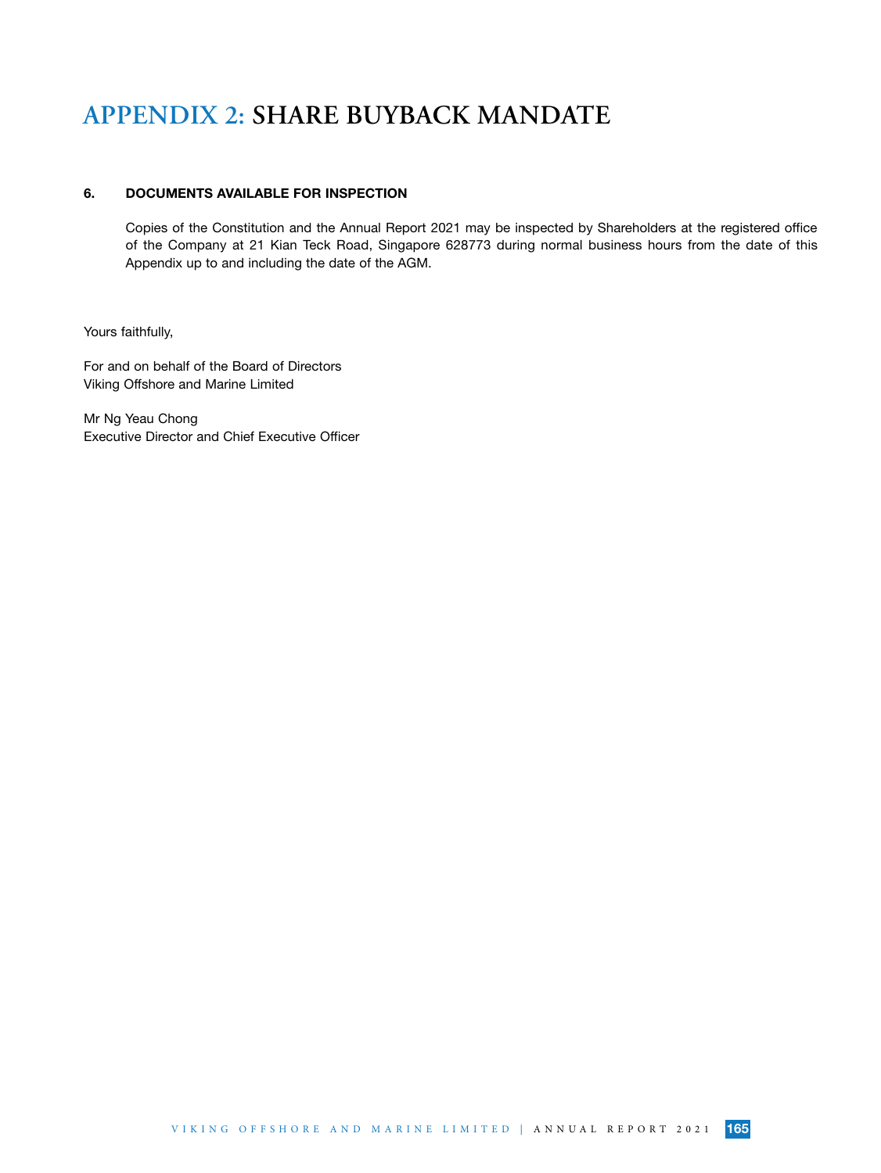### 6. DOCUMENTS AVAILABLE FOR INSPECTION

Copies of the Constitution and the Annual Report 2021 may be inspected by Shareholders at the registered office of the Company at 21 Kian Teck Road, Singapore 628773 during normal business hours from the date of this Appendix up to and including the date of the AGM.

Yours faithfully,

For and on behalf of the Board of Directors Viking Offshore and Marine Limited

Mr Ng Yeau Chong Executive Director and Chief Executive Officer